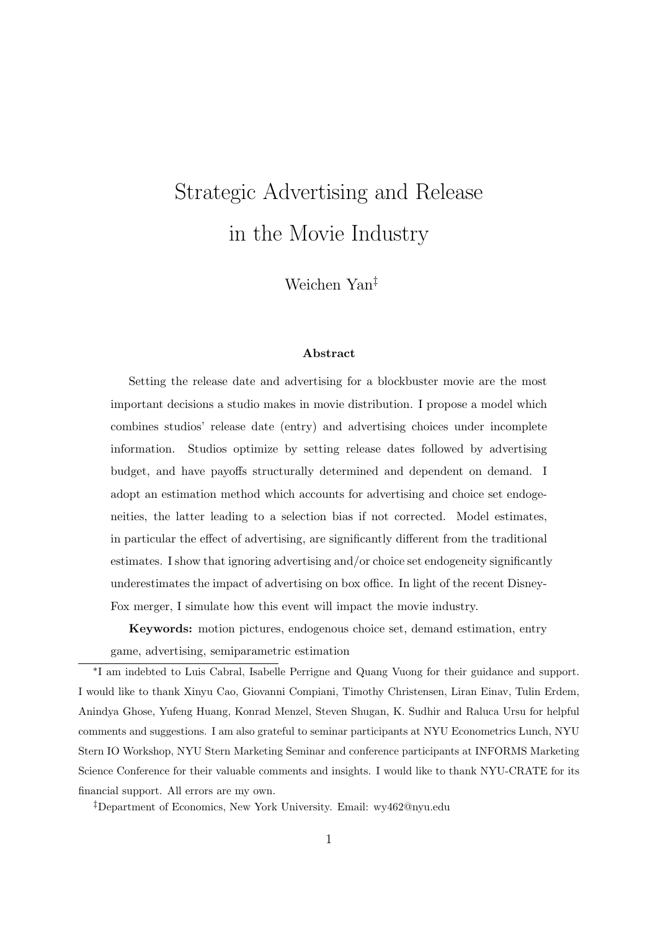# Strategic Advertising and Release in the Movie Industry

Weichen Yan‡

#### Abstract

Setting the release date and advertising for a blockbuster movie are the most important decisions a studio makes in movie distribution. I propose a model which combines studios' release date (entry) and advertising choices under incomplete information. Studios optimize by setting release dates followed by advertising budget, and have payoffs structurally determined and dependent on demand. I adopt an estimation method which accounts for advertising and choice set endogeneities, the latter leading to a selection bias if not corrected. Model estimates, in particular the effect of advertising, are significantly different from the traditional estimates. I show that ignoring advertising and/or choice set endogeneity significantly underestimates the impact of advertising on box office. In light of the recent Disney-Fox merger, I simulate how this event will impact the movie industry.

Keywords: motion pictures, endogenous choice set, demand estimation, entry game, advertising, semiparametric estimation

∗ I am indebted to Luis Cabral, Isabelle Perrigne and Quang Vuong for their guidance and support. I would like to thank Xinyu Cao, Giovanni Compiani, Timothy Christensen, Liran Einav, Tulin Erdem, Anindya Ghose, Yufeng Huang, Konrad Menzel, Steven Shugan, K. Sudhir and Raluca Ursu for helpful comments and suggestions. I am also grateful to seminar participants at NYU Econometrics Lunch, NYU Stern IO Workshop, NYU Stern Marketing Seminar and conference participants at INFORMS Marketing Science Conference for their valuable comments and insights. I would like to thank NYU-CRATE for its financial support. All errors are my own.

‡Department of Economics, New York University. Email: wy462@nyu.edu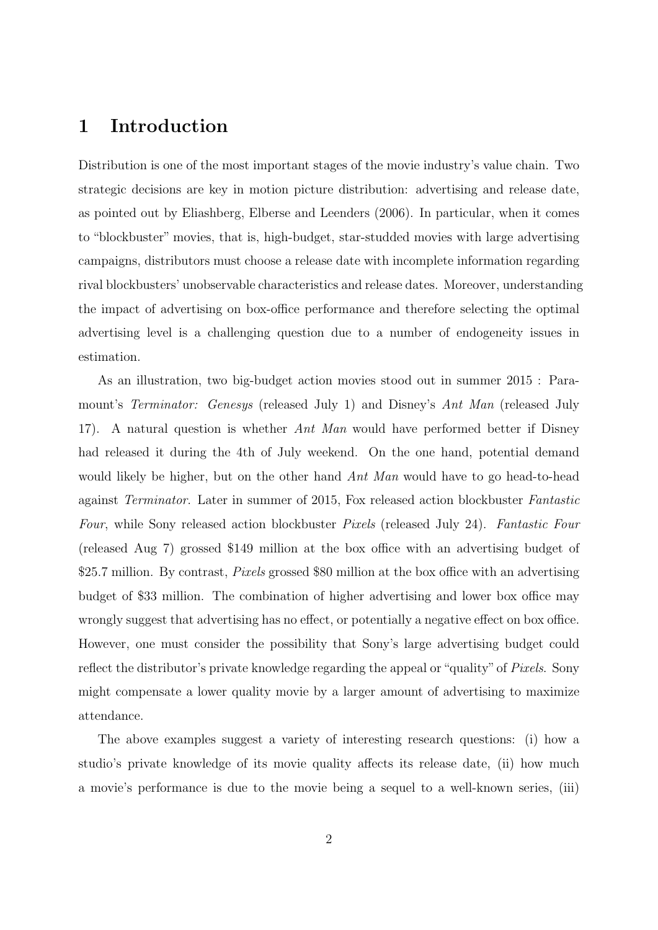# 1 Introduction

Distribution is one of the most important stages of the movie industry's value chain. Two strategic decisions are key in motion picture distribution: advertising and release date, as pointed out by Eliashberg, Elberse and Leenders (2006). In particular, when it comes to "blockbuster" movies, that is, high-budget, star-studded movies with large advertising campaigns, distributors must choose a release date with incomplete information regarding rival blockbusters' unobservable characteristics and release dates. Moreover, understanding the impact of advertising on box-office performance and therefore selecting the optimal advertising level is a challenging question due to a number of endogeneity issues in estimation.

As an illustration, two big-budget action movies stood out in summer 2015 : Paramount's *Terminator:* Genesys (released July 1) and Disney's Ant Man (released July 17). A natural question is whether Ant Man would have performed better if Disney had released it during the 4th of July weekend. On the one hand, potential demand would likely be higher, but on the other hand Ant Man would have to go head-to-head against Terminator. Later in summer of 2015, Fox released action blockbuster Fantastic Four, while Sony released action blockbuster *Pixels* (released July 24). Fantastic Four (released Aug 7) grossed \$149 million at the box office with an advertising budget of \$25.7 million. By contrast, *Pixels* grossed \$80 million at the box office with an advertising budget of \$33 million. The combination of higher advertising and lower box office may wrongly suggest that advertising has no effect, or potentially a negative effect on box office. However, one must consider the possibility that Sony's large advertising budget could reflect the distributor's private knowledge regarding the appeal or "quality" of *Pixels*. Sony might compensate a lower quality movie by a larger amount of advertising to maximize attendance.

The above examples suggest a variety of interesting research questions: (i) how a studio's private knowledge of its movie quality affects its release date, (ii) how much a movie's performance is due to the movie being a sequel to a well-known series, (iii)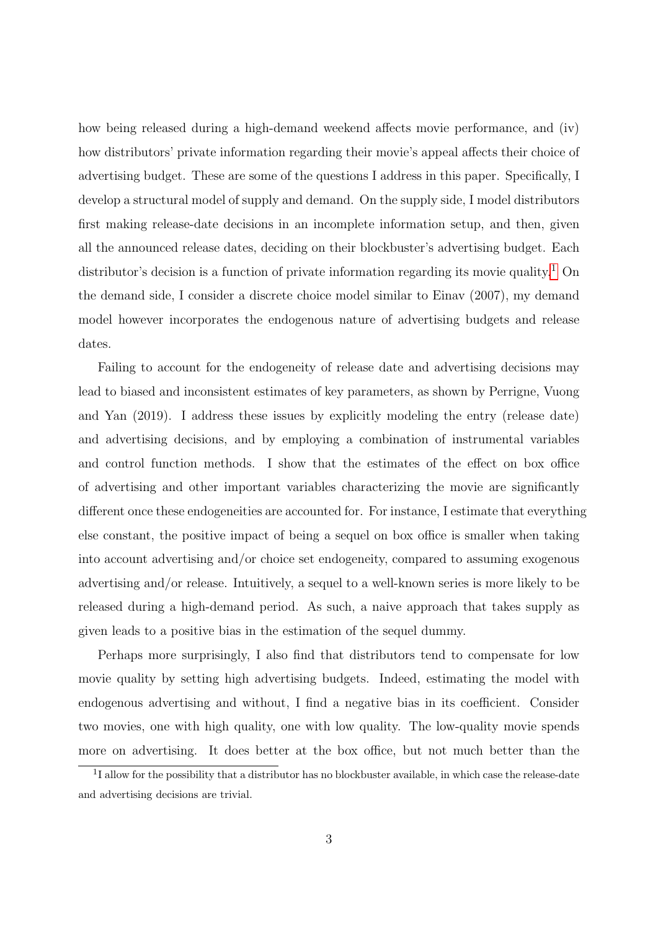how being released during a high-demand weekend affects movie performance, and (iv) how distributors' private information regarding their movie's appeal affects their choice of advertising budget. These are some of the questions I address in this paper. Specifically, I develop a structural model of supply and demand. On the supply side, I model distributors first making release-date decisions in an incomplete information setup, and then, given all the announced release dates, deciding on their blockbuster's advertising budget. Each distributor's decision is a function of private information regarding its movie quality.<sup>[1](#page-2-0)</sup> On the demand side, I consider a discrete choice model similar to Einav (2007), my demand model however incorporates the endogenous nature of advertising budgets and release dates.

Failing to account for the endogeneity of release date and advertising decisions may lead to biased and inconsistent estimates of key parameters, as shown by Perrigne, Vuong and Yan (2019). I address these issues by explicitly modeling the entry (release date) and advertising decisions, and by employing a combination of instrumental variables and control function methods. I show that the estimates of the effect on box office of advertising and other important variables characterizing the movie are significantly different once these endogeneities are accounted for. For instance, I estimate that everything else constant, the positive impact of being a sequel on box office is smaller when taking into account advertising and/or choice set endogeneity, compared to assuming exogenous advertising and/or release. Intuitively, a sequel to a well-known series is more likely to be released during a high-demand period. As such, a naive approach that takes supply as given leads to a positive bias in the estimation of the sequel dummy.

Perhaps more surprisingly, I also find that distributors tend to compensate for low movie quality by setting high advertising budgets. Indeed, estimating the model with endogenous advertising and without, I find a negative bias in its coefficient. Consider two movies, one with high quality, one with low quality. The low-quality movie spends more on advertising. It does better at the box office, but not much better than the

<span id="page-2-0"></span><sup>&</sup>lt;sup>1</sup>I allow for the possibility that a distributor has no blockbuster available, in which case the release-date and advertising decisions are trivial.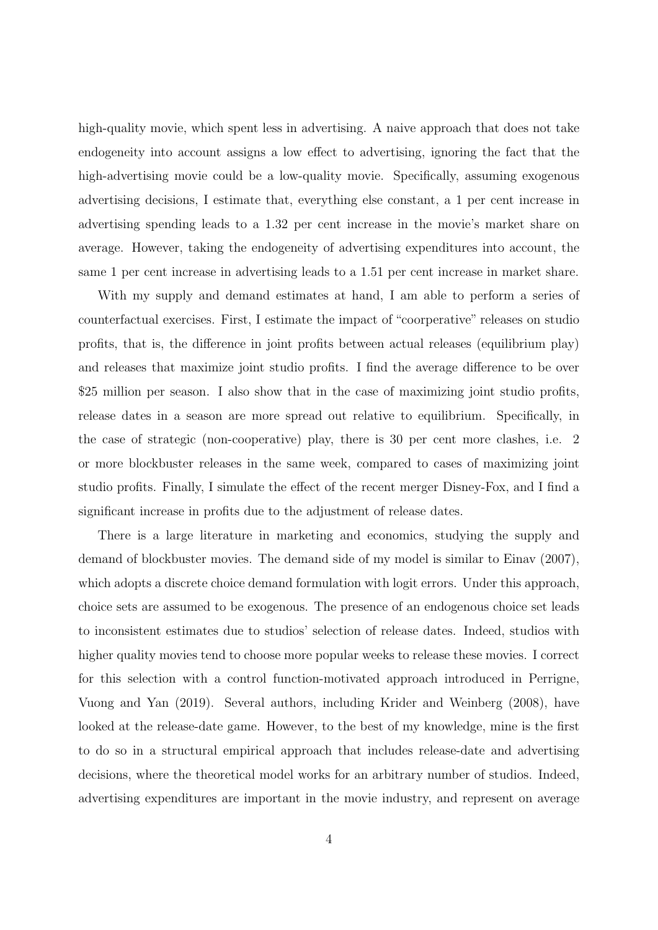high-quality movie, which spent less in advertising. A naive approach that does not take endogeneity into account assigns a low effect to advertising, ignoring the fact that the high-advertising movie could be a low-quality movie. Specifically, assuming exogenous advertising decisions, I estimate that, everything else constant, a 1 per cent increase in advertising spending leads to a 1.32 per cent increase in the movie's market share on average. However, taking the endogeneity of advertising expenditures into account, the same 1 per cent increase in advertising leads to a 1.51 per cent increase in market share.

With my supply and demand estimates at hand, I am able to perform a series of counterfactual exercises. First, I estimate the impact of "coorperative" releases on studio profits, that is, the difference in joint profits between actual releases (equilibrium play) and releases that maximize joint studio profits. I find the average difference to be over \$25 million per season. I also show that in the case of maximizing joint studio profits, release dates in a season are more spread out relative to equilibrium. Specifically, in the case of strategic (non-cooperative) play, there is 30 per cent more clashes, i.e. 2 or more blockbuster releases in the same week, compared to cases of maximizing joint studio profits. Finally, I simulate the effect of the recent merger Disney-Fox, and I find a significant increase in profits due to the adjustment of release dates.

There is a large literature in marketing and economics, studying the supply and demand of blockbuster movies. The demand side of my model is similar to Einav (2007), which adopts a discrete choice demand formulation with logit errors. Under this approach, choice sets are assumed to be exogenous. The presence of an endogenous choice set leads to inconsistent estimates due to studios' selection of release dates. Indeed, studios with higher quality movies tend to choose more popular weeks to release these movies. I correct for this selection with a control function-motivated approach introduced in Perrigne, Vuong and Yan (2019). Several authors, including Krider and Weinberg (2008), have looked at the release-date game. However, to the best of my knowledge, mine is the first to do so in a structural empirical approach that includes release-date and advertising decisions, where the theoretical model works for an arbitrary number of studios. Indeed, advertising expenditures are important in the movie industry, and represent on average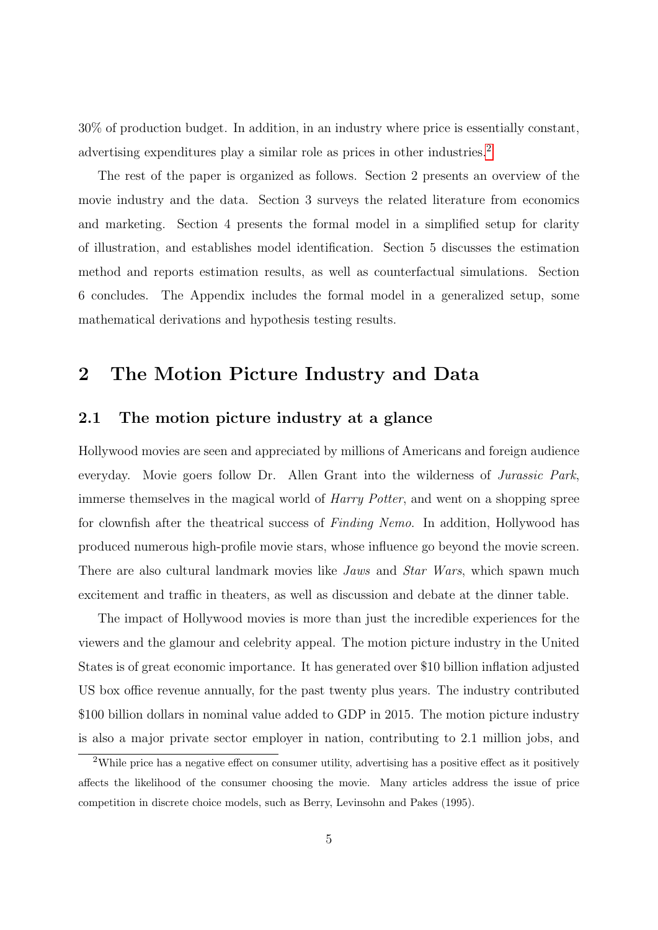30% of production budget. In addition, in an industry where price is essentially constant, advertising expenditures play a similar role as prices in other industries.<sup>[2](#page-4-0)</sup>

The rest of the paper is organized as follows. Section 2 presents an overview of the movie industry and the data. Section 3 surveys the related literature from economics and marketing. Section 4 presents the formal model in a simplified setup for clarity of illustration, and establishes model identification. Section 5 discusses the estimation method and reports estimation results, as well as counterfactual simulations. Section 6 concludes. The Appendix includes the formal model in a generalized setup, some mathematical derivations and hypothesis testing results.

# 2 The Motion Picture Industry and Data

### 2.1 The motion picture industry at a glance

Hollywood movies are seen and appreciated by millions of Americans and foreign audience everyday. Movie goers follow Dr. Allen Grant into the wilderness of Jurassic Park, immerse themselves in the magical world of *Harry Potter*, and went on a shopping spree for clownfish after the theatrical success of Finding Nemo. In addition, Hollywood has produced numerous high-profile movie stars, whose influence go beyond the movie screen. There are also cultural landmark movies like *Jaws* and *Star Wars*, which spawn much excitement and traffic in theaters, as well as discussion and debate at the dinner table.

The impact of Hollywood movies is more than just the incredible experiences for the viewers and the glamour and celebrity appeal. The motion picture industry in the United States is of great economic importance. It has generated over \$10 billion inflation adjusted US box office revenue annually, for the past twenty plus years. The industry contributed \$100 billion dollars in nominal value added to GDP in 2015. The motion picture industry is also a major private sector employer in nation, contributing to 2.1 million jobs, and

<span id="page-4-0"></span><sup>&</sup>lt;sup>2</sup>While price has a negative effect on consumer utility, advertising has a positive effect as it positively affects the likelihood of the consumer choosing the movie. Many articles address the issue of price competition in discrete choice models, such as Berry, Levinsohn and Pakes (1995).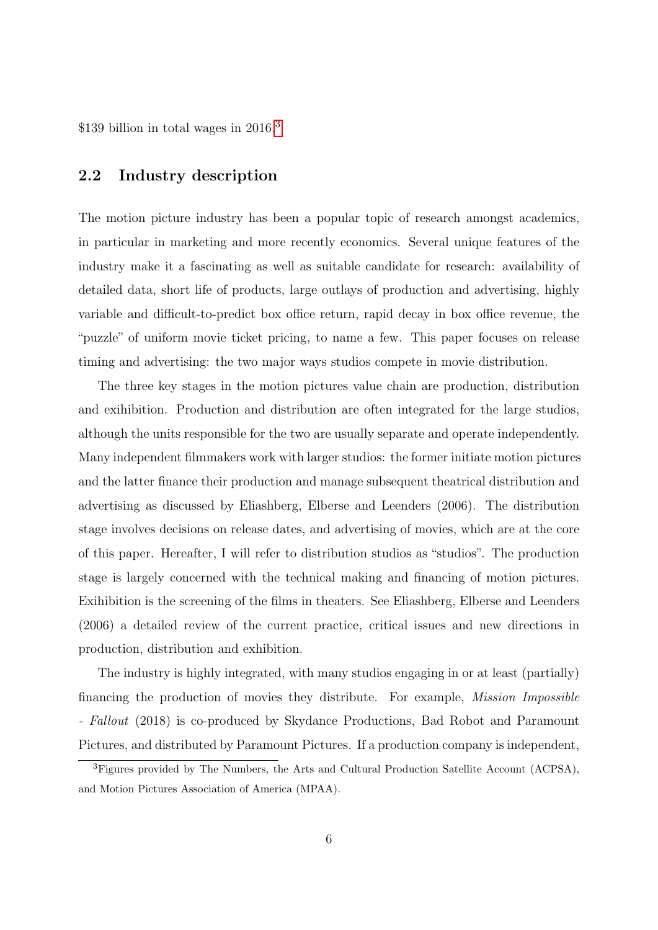\$1[3](#page-5-0)9 billion in total wages in  $2016<sup>3</sup>$ 

### 2.2 Industry description

The motion picture industry has been a popular topic of research amongst academics, in particular in marketing and more recently economics. Several unique features of the industry make it a fascinating as well as suitable candidate for research: availability of detailed data, short life of products, large outlays of production and advertising, highly variable and difficult-to-predict box office return, rapid decay in box office revenue, the "puzzle" of uniform movie ticket pricing, to name a few. This paper focuses on release timing and advertising: the two major ways studios compete in movie distribution.

The three key stages in the motion pictures value chain are production, distribution and exihibition. Production and distribution are often integrated for the large studios, although the units responsible for the two are usually separate and operate independently. Many independent filmmakers work with larger studios: the former initiate motion pictures and the latter finance their production and manage subsequent theatrical distribution and advertising as discussed by Eliashberg, Elberse and Leenders (2006). The distribution stage involves decisions on release dates, and advertising of movies, which are at the core of this paper. Hereafter, I will refer to distribution studios as "studios". The production stage is largely concerned with the technical making and financing of motion pictures. Exihibition is the screening of the films in theaters. See Eliashberg, Elberse and Leenders (2006) a detailed review of the current practice, critical issues and new directions in production, distribution and exhibition.

The industry is highly integrated, with many studios engaging in or at least (partially) financing the production of movies they distribute. For example, Mission Impossible - Fallout (2018) is co-produced by Skydance Productions, Bad Robot and Paramount Pictures, and distributed by Paramount Pictures. If a production company is independent,

<span id="page-5-0"></span><sup>&</sup>lt;sup>3</sup>Figures provided by The Numbers, the Arts and Cultural Production Satellite Account (ACPSA), and Motion Pictures Association of America (MPAA).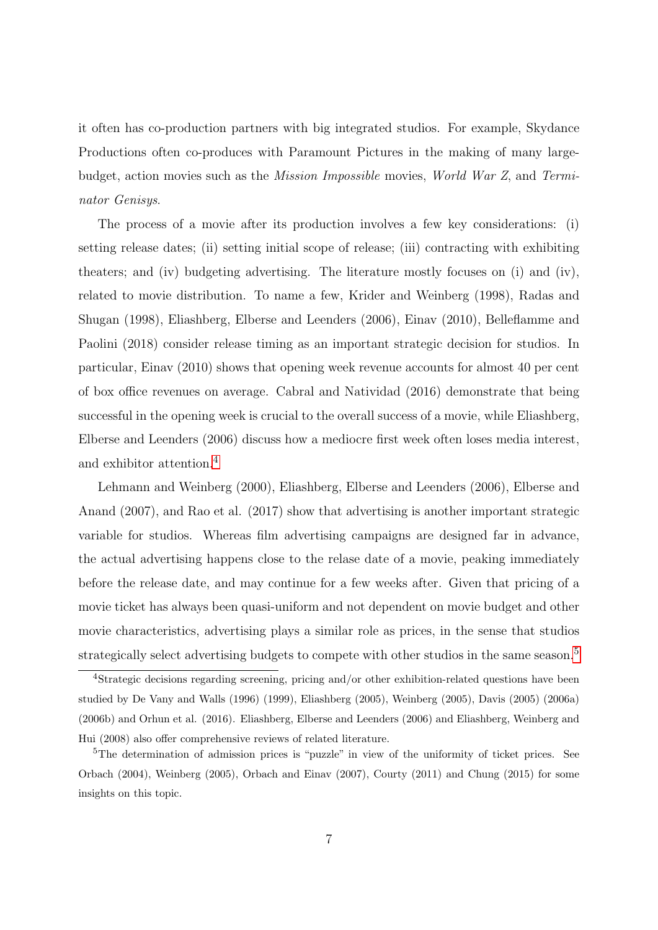it often has co-production partners with big integrated studios. For example, Skydance Productions often co-produces with Paramount Pictures in the making of many largebudget, action movies such as the Mission Impossible movies, World War Z, and Terminator Genisys.

The process of a movie after its production involves a few key considerations: (i) setting release dates; (ii) setting initial scope of release; (iii) contracting with exhibiting theaters; and (iv) budgeting advertising. The literature mostly focuses on (i) and (iv), related to movie distribution. To name a few, Krider and Weinberg (1998), Radas and Shugan (1998), Eliashberg, Elberse and Leenders (2006), Einav (2010), Belleflamme and Paolini (2018) consider release timing as an important strategic decision for studios. In particular, Einav (2010) shows that opening week revenue accounts for almost 40 per cent of box office revenues on average. Cabral and Natividad (2016) demonstrate that being successful in the opening week is crucial to the overall success of a movie, while Eliashberg, Elberse and Leenders (2006) discuss how a mediocre first week often loses media interest, and exhibitor attention.[4](#page-6-0)

Lehmann and Weinberg (2000), Eliashberg, Elberse and Leenders (2006), Elberse and Anand (2007), and Rao et al. (2017) show that advertising is another important strategic variable for studios. Whereas film advertising campaigns are designed far in advance, the actual advertising happens close to the relase date of a movie, peaking immediately before the release date, and may continue for a few weeks after. Given that pricing of a movie ticket has always been quasi-uniform and not dependent on movie budget and other movie characteristics, advertising plays a similar role as prices, in the sense that studios strategically select advertising budgets to compete with other studios in the same season.<sup>[5](#page-6-1)</sup>

<span id="page-6-0"></span><sup>&</sup>lt;sup>4</sup>Strategic decisions regarding screening, pricing and/or other exhibition-related questions have been studied by De Vany and Walls (1996) (1999), Eliashberg (2005), Weinberg (2005), Davis (2005) (2006a) (2006b) and Orhun et al. (2016). Eliashberg, Elberse and Leenders (2006) and Eliashberg, Weinberg and Hui (2008) also offer comprehensive reviews of related literature.

<span id="page-6-1"></span><sup>5</sup>The determination of admission prices is "puzzle" in view of the uniformity of ticket prices. See Orbach (2004), Weinberg (2005), Orbach and Einav (2007), Courty (2011) and Chung (2015) for some insights on this topic.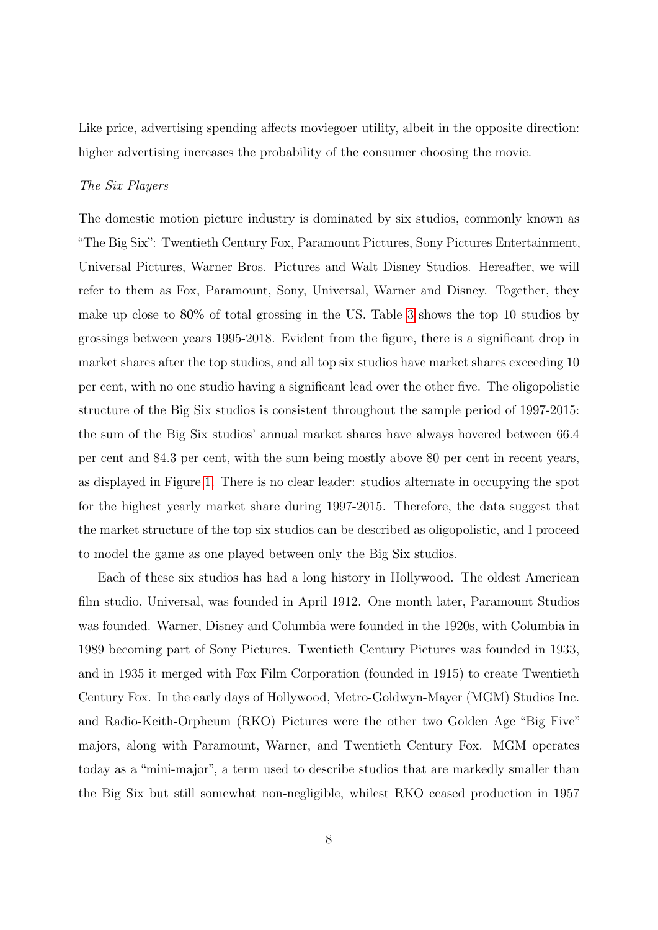Like price, advertising spending affects moviegoer utility, albeit in the opposite direction: higher advertising increases the probability of the consumer choosing the movie.

#### The Six Players

The domestic motion picture industry is dominated by six studios, commonly known as "The Big Six": Twentieth Century Fox, Paramount Pictures, Sony Pictures Entertainment, Universal Pictures, Warner Bros. Pictures and Walt Disney Studios. Hereafter, we will refer to them as Fox, Paramount, Sony, Universal, Warner and Disney. Together, they make up close to 80% of total grossing in the US. Table [3](#page-42-0) shows the top 10 studios by grossings between years 1995-2018. Evident from the figure, there is a significant drop in market shares after the top studios, and all top six studios have market shares exceeding 10 per cent, with no one studio having a significant lead over the other five. The oligopolistic structure of the Big Six studios is consistent throughout the sample period of 1997-2015: the sum of the Big Six studios' annual market shares have always hovered between 66.4 per cent and 84.3 per cent, with the sum being mostly above 80 per cent in recent years, as displayed in Figure [1.](#page-48-0) There is no clear leader: studios alternate in occupying the spot for the highest yearly market share during 1997-2015. Therefore, the data suggest that the market structure of the top six studios can be described as oligopolistic, and I proceed to model the game as one played between only the Big Six studios.

Each of these six studios has had a long history in Hollywood. The oldest American film studio, Universal, was founded in April 1912. One month later, Paramount Studios was founded. Warner, Disney and Columbia were founded in the 1920s, with Columbia in 1989 becoming part of Sony Pictures. Twentieth Century Pictures was founded in 1933, and in 1935 it merged with Fox Film Corporation (founded in 1915) to create Twentieth Century Fox. In the early days of Hollywood, Metro-Goldwyn-Mayer (MGM) Studios Inc. and Radio-Keith-Orpheum (RKO) Pictures were the other two Golden Age "Big Five" majors, along with Paramount, Warner, and Twentieth Century Fox. MGM operates today as a "mini-major", a term used to describe studios that are markedly smaller than the Big Six but still somewhat non-negligible, whilest RKO ceased production in 1957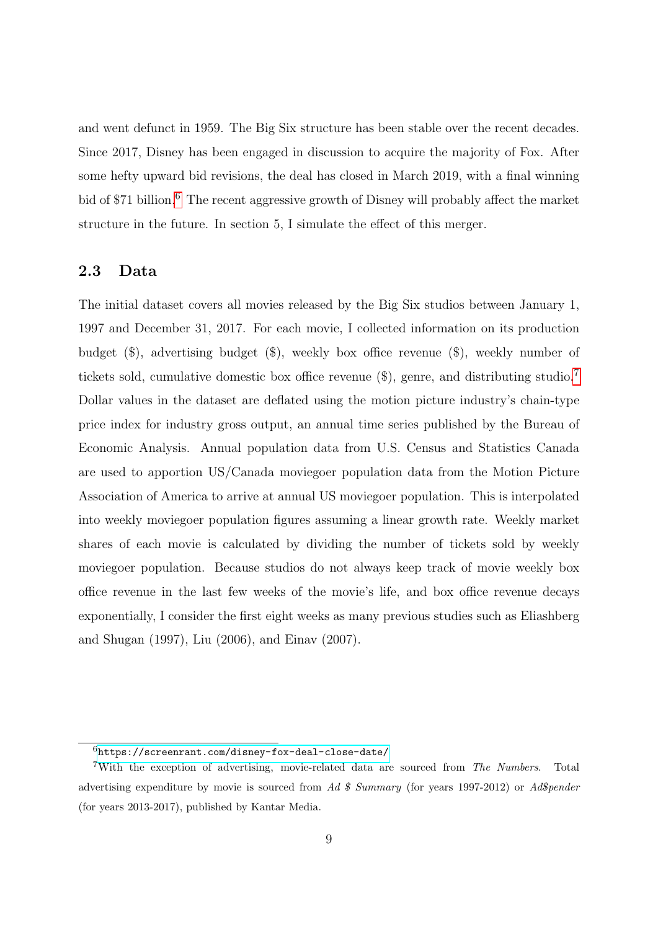and went defunct in 1959. The Big Six structure has been stable over the recent decades. Since 2017, Disney has been engaged in discussion to acquire the majority of Fox. After some hefty upward bid revisions, the deal has closed in March 2019, with a final winning bid of \$71 billion.<sup>[6](#page-8-0)</sup> The recent aggressive growth of Disney will probably affect the market structure in the future. In section 5, I simulate the effect of this merger.

### 2.3 Data

The initial dataset covers all movies released by the Big Six studios between January 1, 1997 and December 31, 2017. For each movie, I collected information on its production budget (\$), advertising budget (\$), weekly box office revenue (\$), weekly number of tickets sold, cumulative domestic box office revenue (\$), genre, and distributing studio.[7](#page-8-1) Dollar values in the dataset are deflated using the motion picture industry's chain-type price index for industry gross output, an annual time series published by the Bureau of Economic Analysis. Annual population data from U.S. Census and Statistics Canada are used to apportion US/Canada moviegoer population data from the Motion Picture Association of America to arrive at annual US moviegoer population. This is interpolated into weekly moviegoer population figures assuming a linear growth rate. Weekly market shares of each movie is calculated by dividing the number of tickets sold by weekly moviegoer population. Because studios do not always keep track of movie weekly box office revenue in the last few weeks of the movie's life, and box office revenue decays exponentially, I consider the first eight weeks as many previous studies such as Eliashberg and Shugan (1997), Liu (2006), and Einav (2007).

<span id="page-8-1"></span><span id="page-8-0"></span> $6$ <https://screenrant.com/disney-fox-deal-close-date/>

<sup>7</sup>With the exception of advertising, movie-related data are sourced from The Numbers. Total advertising expenditure by movie is sourced from Ad  $\frac{2}{3}$  Summary (for years 1997-2012) or Ad $\frac{2012}{3}$ (for years 2013-2017), published by Kantar Media.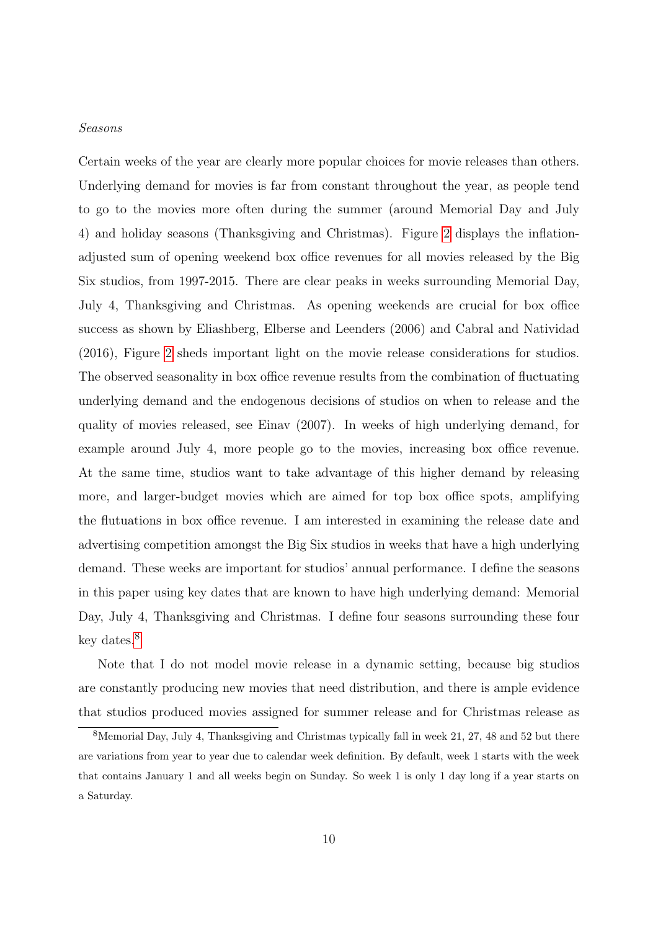#### Seasons

Certain weeks of the year are clearly more popular choices for movie releases than others. Underlying demand for movies is far from constant throughout the year, as people tend to go to the movies more often during the summer (around Memorial Day and July 4) and holiday seasons (Thanksgiving and Christmas). Figure [2](#page-49-0) displays the inflationadjusted sum of opening weekend box office revenues for all movies released by the Big Six studios, from 1997-2015. There are clear peaks in weeks surrounding Memorial Day, July 4, Thanksgiving and Christmas. As opening weekends are crucial for box office success as shown by Eliashberg, Elberse and Leenders (2006) and Cabral and Natividad (2016), Figure [2](#page-49-0) sheds important light on the movie release considerations for studios. The observed seasonality in box office revenue results from the combination of fluctuating underlying demand and the endogenous decisions of studios on when to release and the quality of movies released, see Einav (2007). In weeks of high underlying demand, for example around July 4, more people go to the movies, increasing box office revenue. At the same time, studios want to take advantage of this higher demand by releasing more, and larger-budget movies which are aimed for top box office spots, amplifying the flutuations in box office revenue. I am interested in examining the release date and advertising competition amongst the Big Six studios in weeks that have a high underlying demand. These weeks are important for studios' annual performance. I define the seasons in this paper using key dates that are known to have high underlying demand: Memorial Day, July 4, Thanksgiving and Christmas. I define four seasons surrounding these four key dates.[8](#page-9-0)

Note that I do not model movie release in a dynamic setting, because big studios are constantly producing new movies that need distribution, and there is ample evidence that studios produced movies assigned for summer release and for Christmas release as

<span id="page-9-0"></span><sup>8</sup>Memorial Day, July 4, Thanksgiving and Christmas typically fall in week 21, 27, 48 and 52 but there are variations from year to year due to calendar week definition. By default, week 1 starts with the week that contains January 1 and all weeks begin on Sunday. So week 1 is only 1 day long if a year starts on a Saturday.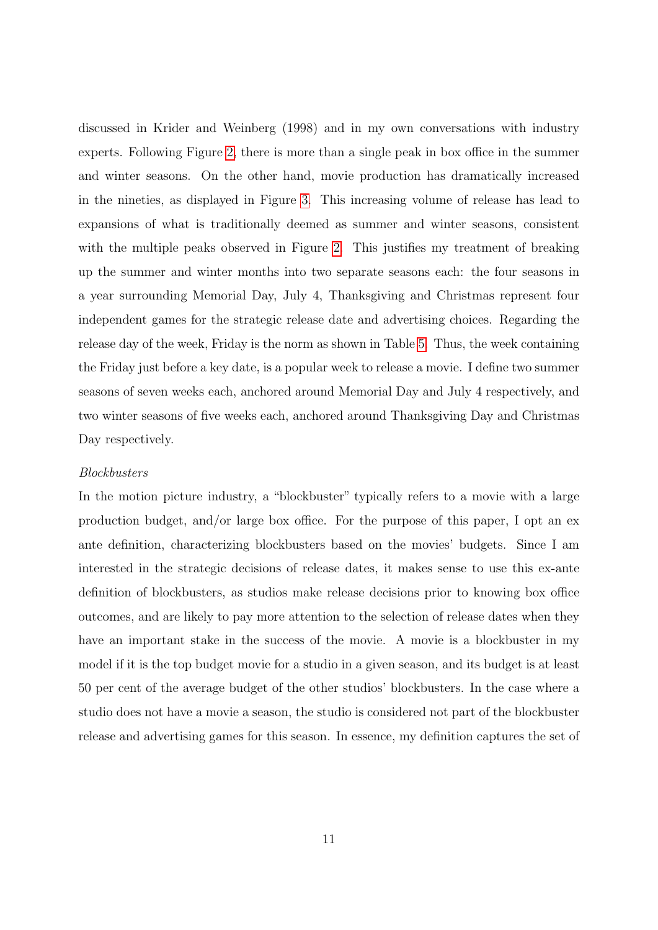discussed in Krider and Weinberg (1998) and in my own conversations with industry experts. Following Figure [2,](#page-49-0) there is more than a single peak in box office in the summer and winter seasons. On the other hand, movie production has dramatically increased in the nineties, as displayed in Figure [3.](#page-49-1) This increasing volume of release has lead to expansions of what is traditionally deemed as summer and winter seasons, consistent with the multiple peaks observed in Figure [2.](#page-49-0) This justifies my treatment of breaking up the summer and winter months into two separate seasons each: the four seasons in a year surrounding Memorial Day, July 4, Thanksgiving and Christmas represent four independent games for the strategic release date and advertising choices. Regarding the release day of the week, Friday is the norm as shown in Table [5.](#page-43-0) Thus, the week containing the Friday just before a key date, is a popular week to release a movie. I define two summer seasons of seven weeks each, anchored around Memorial Day and July 4 respectively, and two winter seasons of five weeks each, anchored around Thanksgiving Day and Christmas Day respectively.

#### Blockbusters

In the motion picture industry, a "blockbuster" typically refers to a movie with a large production budget, and/or large box office. For the purpose of this paper, I opt an ex ante definition, characterizing blockbusters based on the movies' budgets. Since I am interested in the strategic decisions of release dates, it makes sense to use this ex-ante definition of blockbusters, as studios make release decisions prior to knowing box office outcomes, and are likely to pay more attention to the selection of release dates when they have an important stake in the success of the movie. A movie is a blockbuster in my model if it is the top budget movie for a studio in a given season, and its budget is at least 50 per cent of the average budget of the other studios' blockbusters. In the case where a studio does not have a movie a season, the studio is considered not part of the blockbuster release and advertising games for this season. In essence, my definition captures the set of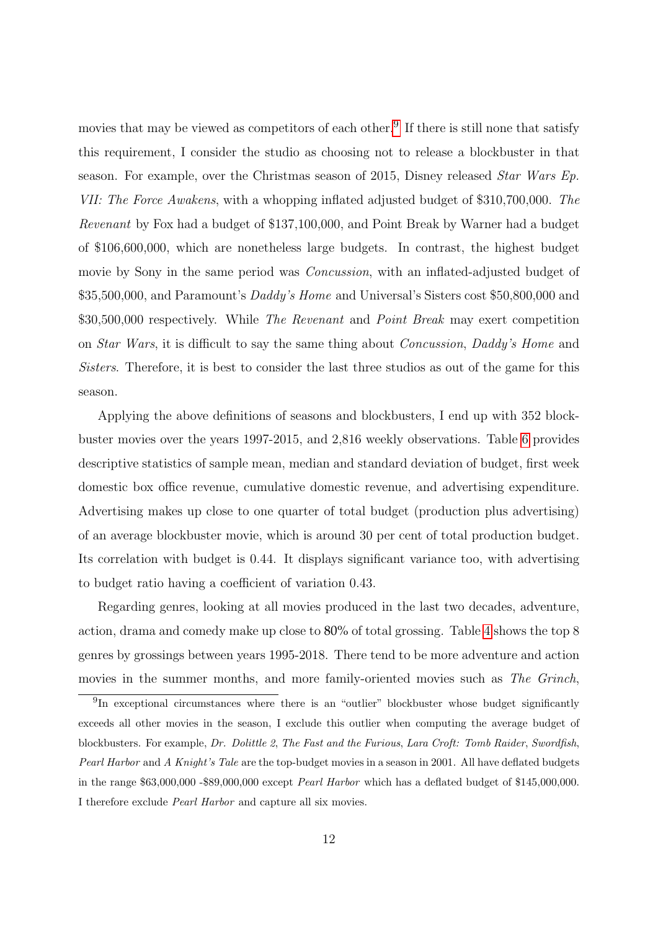movies that may be viewed as competitors of each other.<sup>[9](#page-11-0)</sup> If there is still none that satisfy this requirement, I consider the studio as choosing not to release a blockbuster in that season. For example, over the Christmas season of 2015, Disney released Star Wars Ep. VII: The Force Awakens, with a whopping inflated adjusted budget of \$310,700,000. The Revenant by Fox had a budget of \$137,100,000, and Point Break by Warner had a budget of \$106,600,000, which are nonetheless large budgets. In contrast, the highest budget movie by Sony in the same period was *Concussion*, with an inflated-adjusted budget of \$35,500,000, and Paramount's Daddy's Home and Universal's Sisters cost \$50,800,000 and \$30,500,000 respectively. While The Revenant and Point Break may exert competition on Star Wars, it is difficult to say the same thing about Concussion, Daddy's Home and Sisters. Therefore, it is best to consider the last three studios as out of the game for this season.

Applying the above definitions of seasons and blockbusters, I end up with 352 blockbuster movies over the years 1997-2015, and 2,816 weekly observations. Table [6](#page-43-1) provides descriptive statistics of sample mean, median and standard deviation of budget, first week domestic box office revenue, cumulative domestic revenue, and advertising expenditure. Advertising makes up close to one quarter of total budget (production plus advertising) of an average blockbuster movie, which is around 30 per cent of total production budget. Its correlation with budget is 0.44. It displays significant variance too, with advertising to budget ratio having a coefficient of variation 0.43.

Regarding genres, looking at all movies produced in the last two decades, adventure, action, drama and comedy make up close to 80% of total grossing. Table [4](#page-42-1) shows the top 8 genres by grossings between years 1995-2018. There tend to be more adventure and action movies in the summer months, and more family-oriented movies such as The Grinch,

<span id="page-11-0"></span><sup>&</sup>lt;sup>9</sup>In exceptional circumstances where there is an "outlier" blockbuster whose budget significantly exceeds all other movies in the season, I exclude this outlier when computing the average budget of blockbusters. For example, Dr. Dolittle 2, The Fast and the Furious, Lara Croft: Tomb Raider, Swordfish, Pearl Harbor and A Knight's Tale are the top-budget movies in a season in 2001. All have deflated budgets in the range \$63,000,000 -\$89,000,000 except Pearl Harbor which has a deflated budget of \$145,000,000. I therefore exclude Pearl Harbor and capture all six movies.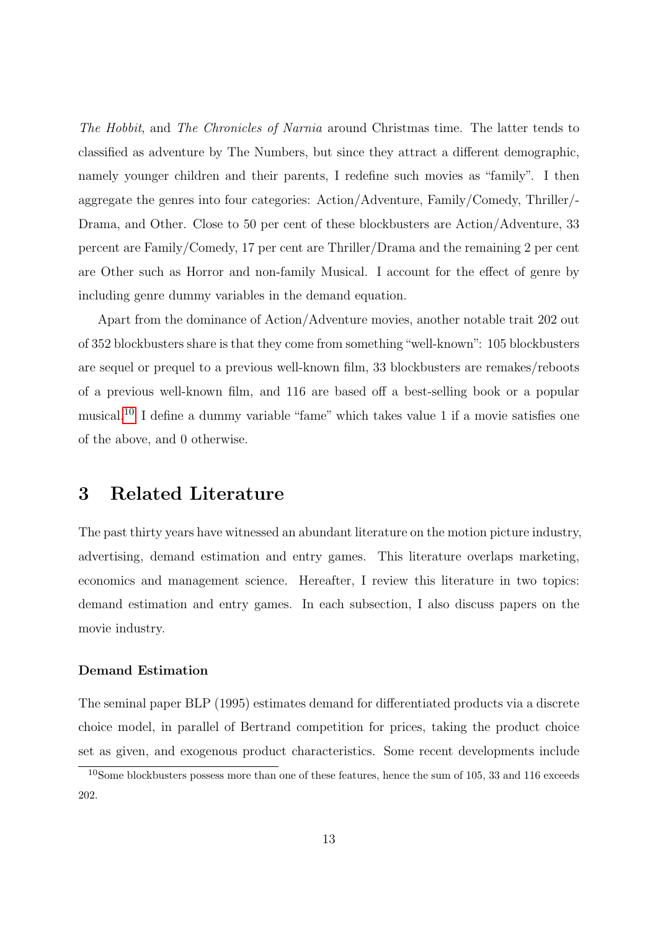The Hobbit, and The Chronicles of Narnia around Christmas time. The latter tends to classified as adventure by The Numbers, but since they attract a different demographic, namely younger children and their parents, I redefine such movies as "family". I then aggregate the genres into four categories: Action/Adventure, Family/Comedy, Thriller/- Drama, and Other. Close to 50 per cent of these blockbusters are Action/Adventure, 33 percent are Family/Comedy, 17 per cent are Thriller/Drama and the remaining 2 per cent are Other such as Horror and non-family Musical. I account for the effect of genre by including genre dummy variables in the demand equation.

Apart from the dominance of Action/Adventure movies, another notable trait 202 out of 352 blockbusters share is that they come from something"well-known": 105 blockbusters are sequel or prequel to a previous well-known film, 33 blockbusters are remakes/reboots of a previous well-known film, and 116 are based off a best-selling book or a popular musical.[10](#page-12-0) I define a dummy variable "fame" which takes value 1 if a movie satisfies one of the above, and 0 otherwise.

# 3 Related Literature

The past thirty years have witnessed an abundant literature on the motion picture industry, advertising, demand estimation and entry games. This literature overlaps marketing, economics and management science. Hereafter, I review this literature in two topics: demand estimation and entry games. In each subsection, I also discuss papers on the movie industry.

#### Demand Estimation

The seminal paper BLP (1995) estimates demand for differentiated products via a discrete choice model, in parallel of Bertrand competition for prices, taking the product choice set as given, and exogenous product characteristics. Some recent developments include

<span id="page-12-0"></span><sup>10</sup>Some blockbusters possess more than one of these features, hence the sum of 105, 33 and 116 exceeds 202.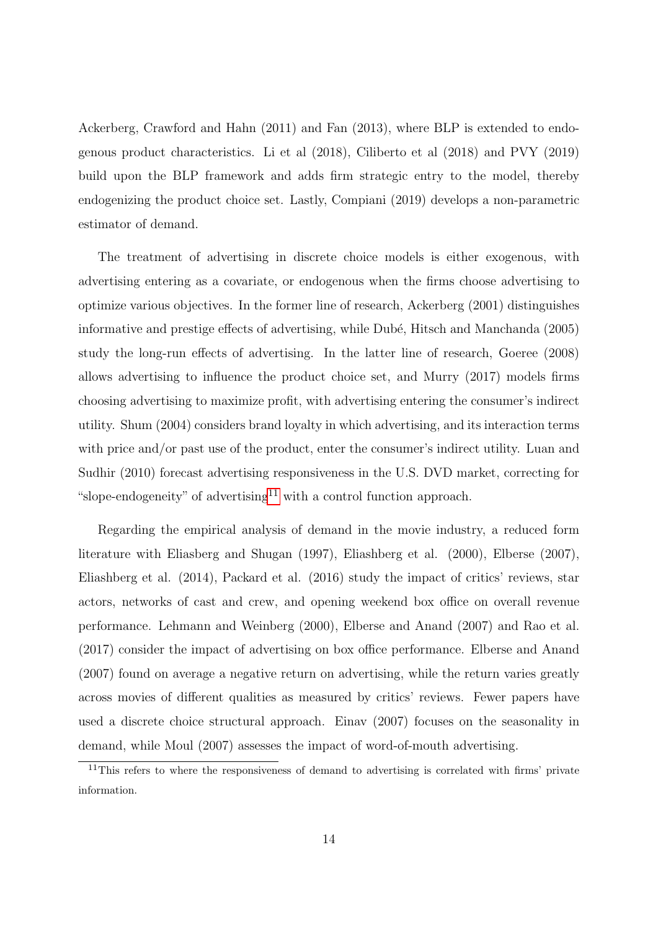Ackerberg, Crawford and Hahn (2011) and Fan (2013), where BLP is extended to endogenous product characteristics. Li et al (2018), Ciliberto et al (2018) and PVY (2019) build upon the BLP framework and adds firm strategic entry to the model, thereby endogenizing the product choice set. Lastly, Compiani (2019) develops a non-parametric estimator of demand.

The treatment of advertising in discrete choice models is either exogenous, with advertising entering as a covariate, or endogenous when the firms choose advertising to optimize various objectives. In the former line of research, Ackerberg (2001) distinguishes informative and prestige effects of advertising, while Dubé, Hitsch and Manchanda (2005) study the long-run effects of advertising. In the latter line of research, Goeree (2008) allows advertising to influence the product choice set, and Murry (2017) models firms choosing advertising to maximize profit, with advertising entering the consumer's indirect utility. Shum (2004) considers brand loyalty in which advertising, and its interaction terms with price and/or past use of the product, enter the consumer's indirect utility. Luan and Sudhir (2010) forecast advertising responsiveness in the U.S. DVD market, correcting for "slope-endogeneity" of advertising<sup>[11](#page-13-0)</sup> with a control function approach.

Regarding the empirical analysis of demand in the movie industry, a reduced form literature with Eliasberg and Shugan (1997), Eliashberg et al. (2000), Elberse (2007), Eliashberg et al. (2014), Packard et al. (2016) study the impact of critics' reviews, star actors, networks of cast and crew, and opening weekend box office on overall revenue performance. Lehmann and Weinberg (2000), Elberse and Anand (2007) and Rao et al. (2017) consider the impact of advertising on box office performance. Elberse and Anand (2007) found on average a negative return on advertising, while the return varies greatly across movies of different qualities as measured by critics' reviews. Fewer papers have used a discrete choice structural approach. Einav (2007) focuses on the seasonality in demand, while Moul (2007) assesses the impact of word-of-mouth advertising.

<span id="page-13-0"></span><sup>&</sup>lt;sup>11</sup>This refers to where the responsiveness of demand to advertising is correlated with firms' private information.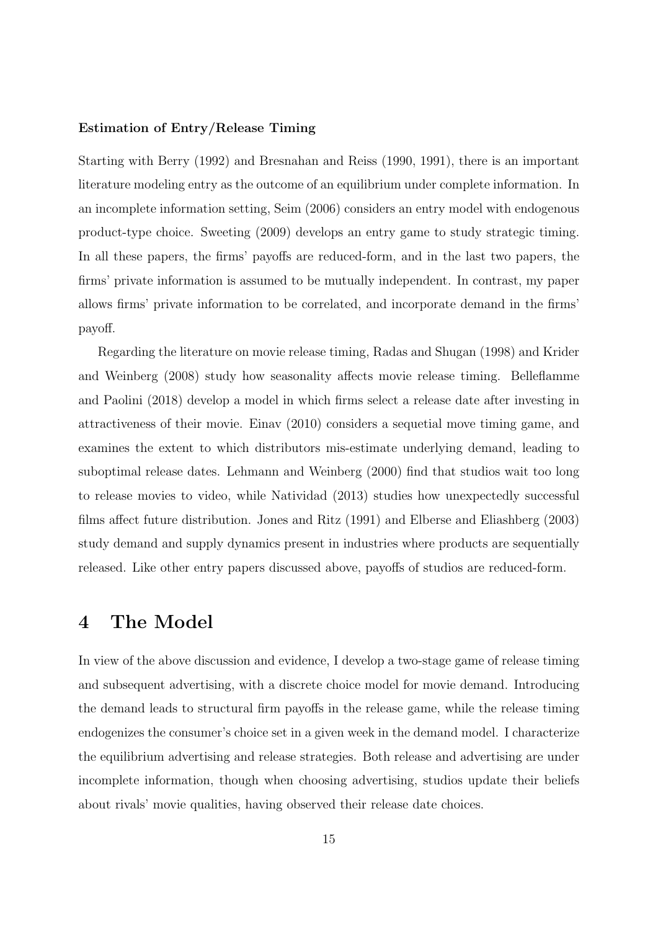#### Estimation of Entry/Release Timing

Starting with Berry (1992) and Bresnahan and Reiss (1990, 1991), there is an important literature modeling entry as the outcome of an equilibrium under complete information. In an incomplete information setting, Seim (2006) considers an entry model with endogenous product-type choice. Sweeting (2009) develops an entry game to study strategic timing. In all these papers, the firms' payoffs are reduced-form, and in the last two papers, the firms' private information is assumed to be mutually independent. In contrast, my paper allows firms' private information to be correlated, and incorporate demand in the firms' payoff.

Regarding the literature on movie release timing, Radas and Shugan (1998) and Krider and Weinberg (2008) study how seasonality affects movie release timing. Belleflamme and Paolini (2018) develop a model in which firms select a release date after investing in attractiveness of their movie. Einav (2010) considers a sequetial move timing game, and examines the extent to which distributors mis-estimate underlying demand, leading to suboptimal release dates. Lehmann and Weinberg (2000) find that studios wait too long to release movies to video, while Natividad (2013) studies how unexpectedly successful films affect future distribution. Jones and Ritz (1991) and Elberse and Eliashberg (2003) study demand and supply dynamics present in industries where products are sequentially released. Like other entry papers discussed above, payoffs of studios are reduced-form.

## 4 The Model

In view of the above discussion and evidence, I develop a two-stage game of release timing and subsequent advertising, with a discrete choice model for movie demand. Introducing the demand leads to structural firm payoffs in the release game, while the release timing endogenizes the consumer's choice set in a given week in the demand model. I characterize the equilibrium advertising and release strategies. Both release and advertising are under incomplete information, though when choosing advertising, studios update their beliefs about rivals' movie qualities, having observed their release date choices.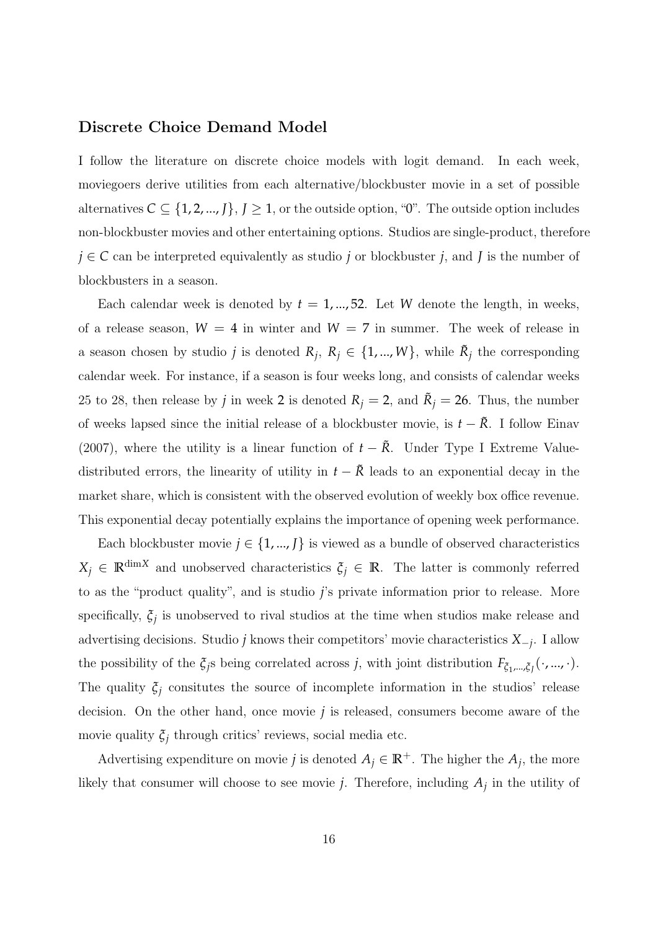### Discrete Choice Demand Model

I follow the literature on discrete choice models with logit demand. In each week, moviegoers derive utilities from each alternative/blockbuster movie in a set of possible alternatives  $C \subseteq \{1, 2, ..., J\}, J \geq 1$ , or the outside option, "0". The outside option includes non-blockbuster movies and other entertaining options. Studios are single-product, therefore  $j \in \mathbb{C}$  can be interpreted equivalently as studio *j* or blockbuster *j*, and *J* is the number of blockbusters in a season.

Each calendar week is denoted by  $t = 1, \ldots, 52$ . Let *W* denote the length, in weeks, of a release season,  $W = 4$  in winter and  $W = 7$  in summer. The week of release in a season chosen by studio *j* is denoted  $R_j$ ,  $R_j \in \{1, ..., W\}$ , while  $\tilde{R}_j$  the corresponding calendar week. For instance, if a season is four weeks long, and consists of calendar weeks 25 to 28, then release by *j* in week 2 is denoted  $R_j = 2$ , and  $\tilde{R}_j = 26$ . Thus, the number of weeks lapsed since the initial release of a blockbuster movie, is  $t - \tilde{R}$ . I follow Einav (2007), where the utility is a linear function of  $t - \tilde{R}$ . Under Type I Extreme Valuedistributed errors, the linearity of utility in  $t - \tilde{R}$  leads to an exponential decay in the market share, which is consistent with the observed evolution of weekly box office revenue. This exponential decay potentially explains the importance of opening week performance.

Each blockbuster movie  $j \in \{1, ..., J\}$  is viewed as a bundle of observed characteristics  $X_j \in \mathbb{R}^{\dim X}$  and unobserved characteristics  $\xi_j \in \mathbb{R}$ . The latter is commonly referred to as the "product quality", and is studio *j*'s private information prior to release. More specifically,  $\xi_j$  is unobserved to rival studios at the time when studios make release and advertising decisions. Studio *j* knows their competitors' movie characteristics *X*−*<sup>j</sup>* . I allow the possibility of the  $\xi_j$ s being correlated across *j*, with joint distribution  $F_{\xi_1,\dots,\xi_j}(\cdot,\dots,\cdot)$ . The quality  $\xi_j$  consitutes the source of incomplete information in the studios' release decision. On the other hand, once movie *j* is released, consumers become aware of the movie quality  $\xi_j$  through critics' reviews, social media etc.

Advertising expenditure on movie *j* is denoted  $A_j \in \mathbb{R}^+$ . The higher the  $A_j$ , the more likely that consumer will choose to see movie *j*. Therefore, including  $A_j$  in the utility of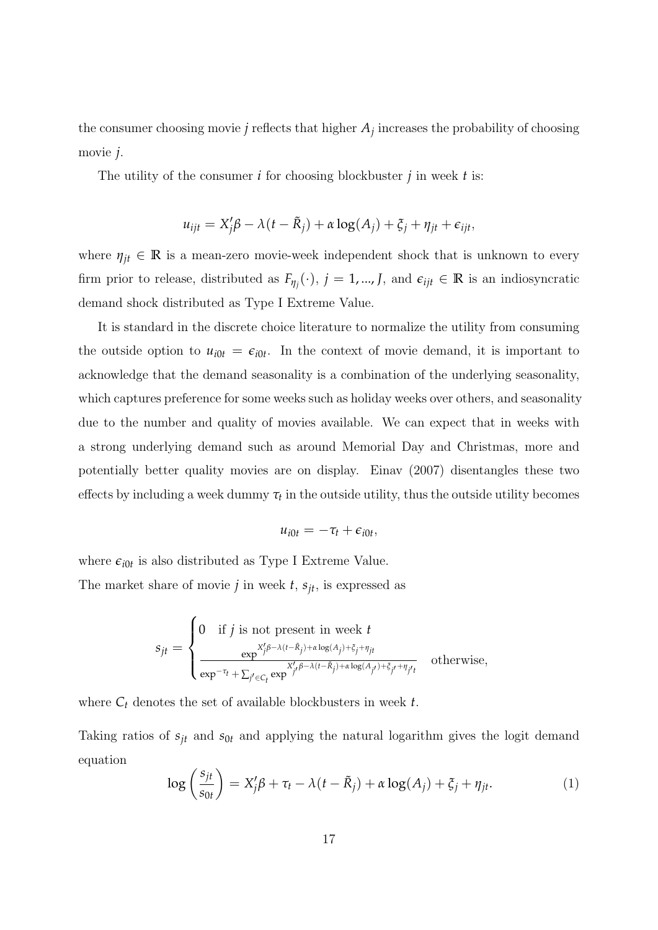the consumer choosing movie  $j$  reflects that higher  $A_j$  increases the probability of choosing movie *j*.

The utility of the consumer *i* for choosing blockbuster *j* in week *t* is:

$$
u_{ijt} = X_j'\beta - \lambda(t - \tilde{R}_j) + \alpha \log(A_j) + \xi_j + \eta_{jt} + \epsilon_{ijt},
$$

where  $\eta_{jt} \in \mathbb{R}$  is a mean-zero movie-week independent shock that is unknown to every firm prior to release, distributed as  $F_{\eta_j}(\cdot)$ ,  $j = 1, ..., J$ , and  $\epsilon_{ijt} \in \mathbb{R}$  is an indiosyncratic demand shock distributed as Type I Extreme Value.

It is standard in the discrete choice literature to normalize the utility from consuming the outside option to  $u_{i0t} = \epsilon_{i0t}$ . In the context of movie demand, it is important to acknowledge that the demand seasonality is a combination of the underlying seasonality, which captures preference for some weeks such as holiday weeks over others, and seasonality due to the number and quality of movies available. We can expect that in weeks with a strong underlying demand such as around Memorial Day and Christmas, more and potentially better quality movies are on display. Einav (2007) disentangles these two effects by including a week dummy  $\tau_t$  in the outside utility, thus the outside utility becomes

$$
u_{i0t}=-\tau_t+\epsilon_{i0t},
$$

where  $\epsilon_{i0t}$  is also distributed as Type I Extreme Value.

The market share of movie  $j$  in week  $t$ ,  $s_{it}$ , is expressed as

$$
s_{jt} = \begin{cases} 0 & \text{if } j \text{ is not present in week } t \\ \frac{\exp^{X'_j \beta - \lambda(t - \tilde{R}_j) + \alpha \log(A_j) + \xi_j + \eta_{jt}}}{\exp^{-\tau_t} + \sum_{j' \in C_t} \exp^{X'_j \beta - \lambda(t - \tilde{R}_j) + \alpha \log(A_{j'}) + \xi_{j'} + \eta_{j't}}} & \text{otherwise,} \end{cases}
$$

where  $C_t$  denotes the set of available blockbusters in week  $t$ .

Taking ratios of  $s_{jt}$  and  $s_{0t}$  and applying the natural logarithm gives the logit demand equation

<span id="page-16-0"></span>
$$
\log\left(\frac{s_{jt}}{s_{0t}}\right) = X_j'\beta + \tau_t - \lambda(t - \tilde{R}_j) + \alpha \log(A_j) + \xi_j + \eta_{jt}.
$$
 (1)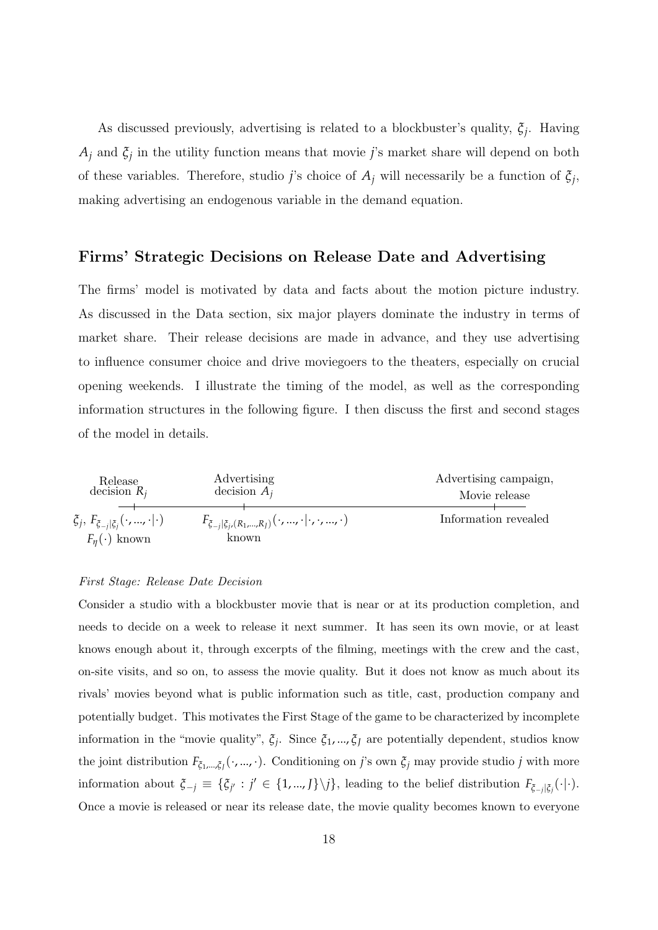As discussed previously, advertising is related to a blockbuster's quality, *ξ<sup>j</sup>* . Having *A<sup>j</sup>* and *ξ<sup>j</sup>* in the utility function means that movie *j*'s market share will depend on both of these variables. Therefore, studio *j*'s choice of  $A_j$  will necessarily be a function of  $\xi_j$ , making advertising an endogenous variable in the demand equation.

#### Firms' Strategic Decisions on Release Date and Advertising

The firms' model is motivated by data and facts about the motion picture industry. As discussed in the Data section, six major players dominate the industry in terms of market share. Their release decisions are made in advance, and they use advertising to influence consumer choice and drive moviegoers to the theaters, especially on crucial opening weekends. I illustrate the timing of the model, as well as the corresponding information structures in the following figure. I then discuss the first and second stages of the model in details.



#### First Stage: Release Date Decision

Consider a studio with a blockbuster movie that is near or at its production completion, and needs to decide on a week to release it next summer. It has seen its own movie, or at least knows enough about it, through excerpts of the filming, meetings with the crew and the cast, on-site visits, and so on, to assess the movie quality. But it does not know as much about its rivals' movies beyond what is public information such as title, cast, production company and potentially budget. This motivates the First Stage of the game to be characterized by incomplete information in the "movie quality", *ξ<sup>j</sup>* . Since *ξ*1, ..., *ξ<sup>J</sup>* are potentially dependent, studios know the joint distribution  $F_{\xi_1,\dots,\xi_j}(\cdot,...,\cdot)$ . Conditioning on *j*'s own  $\xi_j$  may provide studio *j* with more information about  $\zeta_{-j} \equiv {\zeta_{j'} : j' \in \{1, ..., J\} \setminus j}$ , leading to the belief distribution  $F_{\zeta_{-j}|\zeta_{j}}(\cdot|\cdot)$ . Once a movie is released or near its release date, the movie quality becomes known to everyone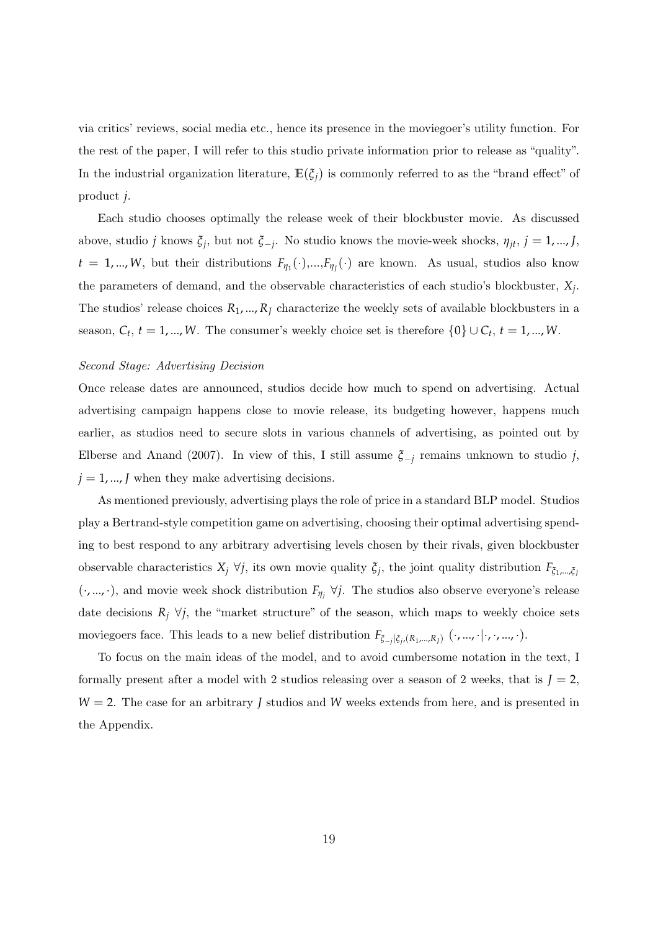via critics' reviews, social media etc., hence its presence in the moviegoer's utility function. For the rest of the paper, I will refer to this studio private information prior to release as "quality". In the industrial organization literature,  $\mathbb{E}(\xi_i)$  is commonly referred to as the "brand effect" of product *j*.

Each studio chooses optimally the release week of their blockbuster movie. As discussed above, studio *j* knows  $\xi_j$ , but not  $\xi_{-j}$ . No studio knows the movie-week shocks,  $\eta_{jt}$ ,  $j = 1, ..., J$ ,  $t = 1, ..., W$ , but their distributions  $F_{\eta_1}(\cdot),...,F_{\eta_J}(\cdot)$  are known. As usual, studios also know the parameters of demand, and the observable characteristics of each studio's blockbuster, *X<sup>j</sup>* . The studios' release choices  $R_1, ..., R_J$  characterize the weekly sets of available blockbusters in a season,  $C_t$ ,  $t = 1, ..., W$ . The consumer's weekly choice set is therefore  $\{0\} \cup C_t$ ,  $t = 1, ..., W$ .

#### Second Stage: Advertising Decision

Once release dates are announced, studios decide how much to spend on advertising. Actual advertising campaign happens close to movie release, its budgeting however, happens much earlier, as studios need to secure slots in various channels of advertising, as pointed out by Elberse and Anand (2007). In view of this, I still assume *ξ*−*<sup>j</sup>* remains unknown to studio *j*,  $j = 1, \dots, J$  when they make advertising decisions.

As mentioned previously, advertising plays the role of price in a standard BLP model. Studios play a Bertrand-style competition game on advertising, choosing their optimal advertising spending to best respond to any arbitrary advertising levels chosen by their rivals, given blockbuster observable characteristics  $X_j \forall j$ , its own movie quality  $\xi_j$ , the joint quality distribution  $F_{\xi_1,\dots,\xi_j}$  $(\cdot, ..., \cdot)$ , and movie week shock distribution  $F_{\eta_i}$   $\forall j$ . The studios also observe everyone's release date decisions  $R_j \forall j$ , the "market structure" of the season, which maps to weekly choice sets moviegoers face. This leads to a new belief distribution *Fξ*−*<sup>j</sup>* |*ξj* ,(*R*1,...,*RJ*) (·, ..., ·|·, ·, ..., ·).

To focus on the main ideas of the model, and to avoid cumbersome notation in the text, I formally present after a model with 2 studios releasing over a season of 2 weeks, that is  $J = 2$ , *W* = 2. The case for an arbitrary *J* studios and *W* weeks extends from here, and is presented in the Appendix.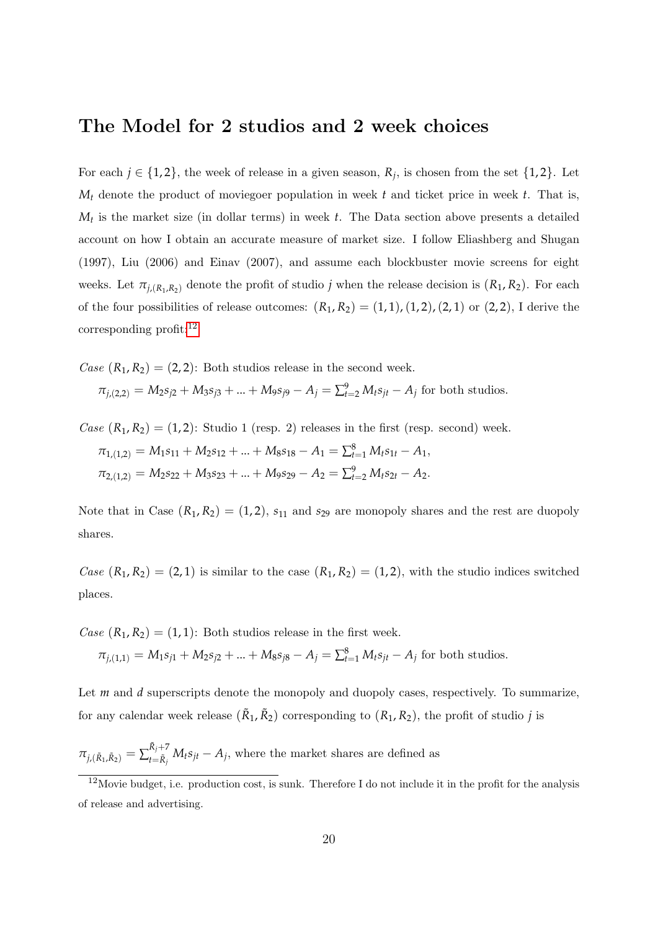# The Model for 2 studios and 2 week choices

For each  $j \in \{1, 2\}$ , the week of release in a given season,  $R_j$ , is chosen from the set  $\{1, 2\}$ . Let  $M_t$  denote the product of moviegoer population in week  $t$  and ticket price in week  $t$ . That is, *M<sup>t</sup>* is the market size (in dollar terms) in week *t*. The Data section above presents a detailed account on how I obtain an accurate measure of market size. I follow Eliashberg and Shugan (1997), Liu (2006) and Einav (2007), and assume each blockbuster movie screens for eight weeks. Let  $\pi_{j,(R_1,R_2)}$  denote the profit of studio *j* when the release decision is  $(R_1, R_2)$ . For each of the four possibilities of release outcomes:  $(R_1, R_2) = (1, 1), (1, 2), (2, 1)$  or  $(2, 2),$  I derive the corresponding profit: $^{12}$  $^{12}$  $^{12}$ 

Case  $(R_1, R_2) = (2, 2)$ : Both studios release in the second week.

 $\pi_{j,(2,2)} = M_2 s_{j2} + M_3 s_{j3} + ... + M_9 s_{j9} - A_j = \sum_{t=2}^9 M_t s_{jt} - A_j$  for both studios.

Case  $(R_1, R_2) = (1, 2)$ : Studio 1 (resp. 2) releases in the first (resp. second) week.  $\pi_{1,(1,2)} = M_1 s_{11} + M_2 s_{12} + ... + M_8 s_{18} - A_1 = \sum_{t=1}^8 M_t s_{1t} - A_1,$  $\pi_{2,(1,2)} = M_2s_{22} + M_3s_{23} + ... + M_9s_{29} - A_2 = \sum_{t=2}^{9} M_ts_{2t} - A_2.$ 

Note that in Case  $(R_1, R_2) = (1, 2)$ ,  $s_{11}$  and  $s_{29}$  are monopoly shares and the rest are duopoly shares.

Case  $(R_1, R_2) = (2, 1)$  is similar to the case  $(R_1, R_2) = (1, 2)$ , with the studio indices switched places.

Case  $(R_1, R_2) = (1, 1)$ : Both studios release in the first week.

$$
\pi_{j,(1,1)} = M_1 s_{j1} + M_2 s_{j2} + \dots + M_8 s_{j8} - A_j = \sum_{t=1}^8 M_t s_{jt} - A_j
$$
 for both studies.

Let *m* and *d* superscripts denote the monopoly and duopoly cases, respectively. To summarize, for any calendar week release  $(\tilde{R}_1, \tilde{R}_2)$  corresponding to  $(R_1, R_2)$ , the profit of studio *j* is

 $\pi_{j,(\tilde{R}_{1},\tilde{R}_{2})} = \sum_{t=\tilde{R}_{j}}^{\tilde{R}_{j}+7}$  $\sum_{t=\tilde{R}_j}^{K_j+Y} M_t s_{jt} - A_j$ , where the market shares are defined as

<span id="page-19-0"></span> $12$ Movie budget, i.e. production cost, is sunk. Therefore I do not include it in the profit for the analysis of release and advertising.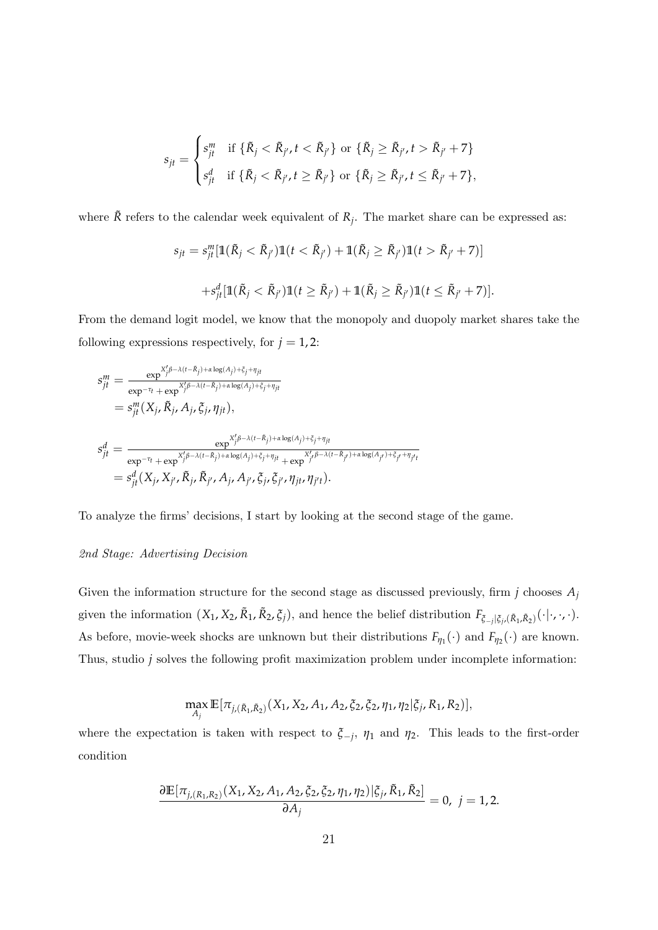$$
s_{jt} = \begin{cases} s_{jt}^m & \text{if } \{\tilde{R}_j < \tilde{R}_{j'}, t < \tilde{R}_{j'}\} \text{ or } \{\tilde{R}_j \geq \tilde{R}_{j'}, t > \tilde{R}_{j'} + 7\} \\ s_{jt}^d & \text{if } \{\tilde{R}_j < \tilde{R}_{j'}, t \geq \tilde{R}_{j'}\} \text{ or } \{\tilde{R}_j \geq \tilde{R}_{j'}, t \leq \tilde{R}_{j'} + 7\}, \end{cases}
$$

where  $\tilde{R}$  refers to the calendar week equivalent of  $R_j$ . The market share can be expressed as:

$$
s_{jt} = s_{jt}^m [\mathbb{1}(\tilde{R}_j < \tilde{R}_{j'}) \mathbb{1}(t < \tilde{R}_{j'}) + \mathbb{1}(\tilde{R}_j \geq \tilde{R}_{j'}) \mathbb{1}(t > \tilde{R}_{j'} + 7)]
$$
\n
$$
+ s_{jt}^d [\mathbb{1}(\tilde{R}_j < \tilde{R}_{j'}) \mathbb{1}(t \geq \tilde{R}_{j'}) + \mathbb{1}(\tilde{R}_j \geq \tilde{R}_{j'}) \mathbb{1}(t \leq \tilde{R}_{j'} + 7)].
$$

From the demand logit model, we know that the monopoly and duopoly market shares take the following expressions respectively, for  $j = 1, 2$ :

$$
s_{jt}^{m} = \frac{\exp^{X'_{j}\beta - \lambda(t-\tilde{R}_{j}) + \alpha \log(A_{j}) + \xi_{j} + \eta_{jt}}}{\exp^{-\tau_{t}} + \exp^{X'_{j}\beta - \lambda(t-\tilde{R}_{j}) + \alpha \log(A_{j}) + \xi_{j} + \eta_{jt}}}
$$
  
\n
$$
= s_{jt}^{m} (X_{j}, \tilde{R}_{j}, A_{j}, \xi_{j}, \eta_{jt}),
$$
  
\n
$$
s_{jt}^{d} = \frac{\exp^{X'_{j}\beta - \lambda(t-\tilde{R}_{j}) + \alpha \log(A_{j}) + \xi_{j} + \eta_{jt}}}{\exp^{-\tau_{t}} + \exp^{X'_{j}\beta - \lambda(t-\tilde{R}_{j}) + \alpha \log(A_{j}) + \xi_{j} + \eta_{jt}} + \exp^{X'_{j}\beta - \lambda(t-\tilde{R}_{j}) + \alpha \log(A_{j}) + \xi_{j} + \eta_{jt}}} = s_{jt}^{d} (X_{j}, X_{j'}, \tilde{R}_{j}, \tilde{R}_{j'}, A_{j}, A_{j'}, \xi_{j}, \xi_{j'}, \eta_{jt}, \eta_{jt'}).
$$

To analyze the firms' decisions, I start by looking at the second stage of the game.

#### 2nd Stage: Advertising Decision

Given the information structure for the second stage as discussed previously, firm  $j$  chooses  $A_j$ given the information  $(X_1, X_2, \tilde{R}_1, \tilde{R}_2, \xi_j)$ , and hence the belief distribution  $F_{\xi_{-j}|\xi_j, (\tilde{R}_1, \tilde{R}_2)}(\cdot | \cdot, \cdot, \cdot)$ . As before, movie-week shocks are unknown but their distributions  $F_{\eta_1}(\cdot)$  and  $F_{\eta_2}(\cdot)$  are known. Thus, studio *j* solves the following profit maximization problem under incomplete information:

$$
\max_{A_j} \mathbb{E}[\pi_{j, (\tilde{R}_1, \tilde{R}_2)}(X_1, X_2, A_1, A_2, \xi_2, \xi_2, \eta_1, \eta_2 | \xi_j, R_1, R_2)],
$$

where the expectation is taken with respect to  $\zeta$ <sub>-</sub>*j*,  $\eta$ <sub>1</sub> and  $\eta$ <sub>2</sub>. This leads to the first-order condition

$$
\frac{\partial \mathbb{E}[\pi_{j,(R_1,R_2)}(X_1,X_2,A_1,A_2,\xi_2,\xi_2,\eta_1,\eta_2)|\xi_j,\tilde{R}_1,\tilde{R}_2]}{\partial A_j} = 0, \ j = 1,2.
$$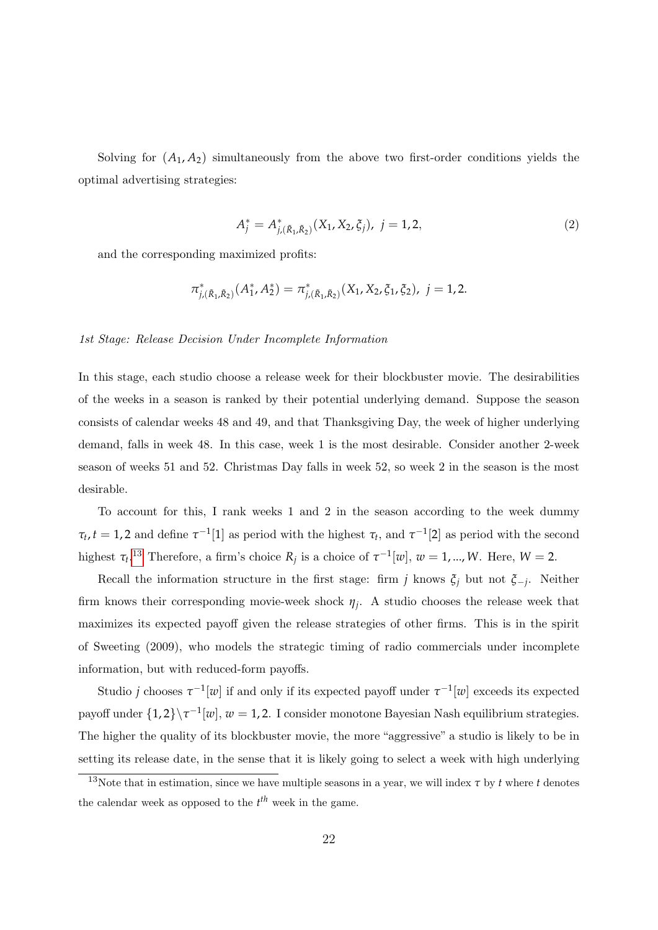Solving for  $(A_1, A_2)$  simultaneously from the above two first-order conditions yields the optimal advertising strategies:

<span id="page-21-1"></span>
$$
A_j^* = A_{j, (\tilde{R}_1, \tilde{R}_2)}^*(X_1, X_2, \xi_j), \ j = 1, 2,
$$
\n(2)

and the corresponding maximized profits:

$$
\pi_{j,(\tilde{R}_1,\tilde{R}_2)}^*(A_1^*,A_2^*) = \pi_{j,(\tilde{R}_1,\tilde{R}_2)}^*(X_1,X_2,\xi_1,\xi_2), \ j=1,2.
$$

#### 1st Stage: Release Decision Under Incomplete Information

In this stage, each studio choose a release week for their blockbuster movie. The desirabilities of the weeks in a season is ranked by their potential underlying demand. Suppose the season consists of calendar weeks 48 and 49, and that Thanksgiving Day, the week of higher underlying demand, falls in week 48. In this case, week 1 is the most desirable. Consider another 2-week season of weeks 51 and 52. Christmas Day falls in week 52, so week 2 in the season is the most desirable.

To account for this, I rank weeks 1 and 2 in the season according to the week dummy  $\tau_t$ , *t* = 1, 2 and define  $\tau^{-1}[1]$  as period with the highest  $\tau_t$ , and  $\tau^{-1}[2]$  as period with the second highest  $\tau_t$ <sup>[13](#page-21-0)</sup> Therefore, a firm's choice  $R_j$  is a choice of  $\tau^{-1}[w]$ ,  $w = 1, ..., W$ . Here,  $W = 2$ .

Recall the information structure in the first stage: firm *j* knows *ξ<sup>j</sup>* but not *ξ*−*<sup>j</sup>* . Neither firm knows their corresponding movie-week shock  $\eta_j$ . A studio chooses the release week that maximizes its expected payoff given the release strategies of other firms. This is in the spirit of Sweeting (2009), who models the strategic timing of radio commercials under incomplete information, but with reduced-form payoffs.

Studio *j* chooses  $\tau^{-1}[w]$  if and only if its expected payoff under  $\tau^{-1}[w]$  exceeds its expected payoff under  $\{1,2\}\$ <sup>-1</sup>[*w*], *w* = 1, 2. I consider monotone Bayesian Nash equilibrium strategies. The higher the quality of its blockbuster movie, the more "aggressive" a studio is likely to be in setting its release date, in the sense that it is likely going to select a week with high underlying

<span id="page-21-0"></span><sup>&</sup>lt;sup>13</sup>Note that in estimation, since we have multiple seasons in a year, we will index  $\tau$  by  $t$  where  $t$  denotes the calendar week as opposed to the  $t^{th}$  week in the game.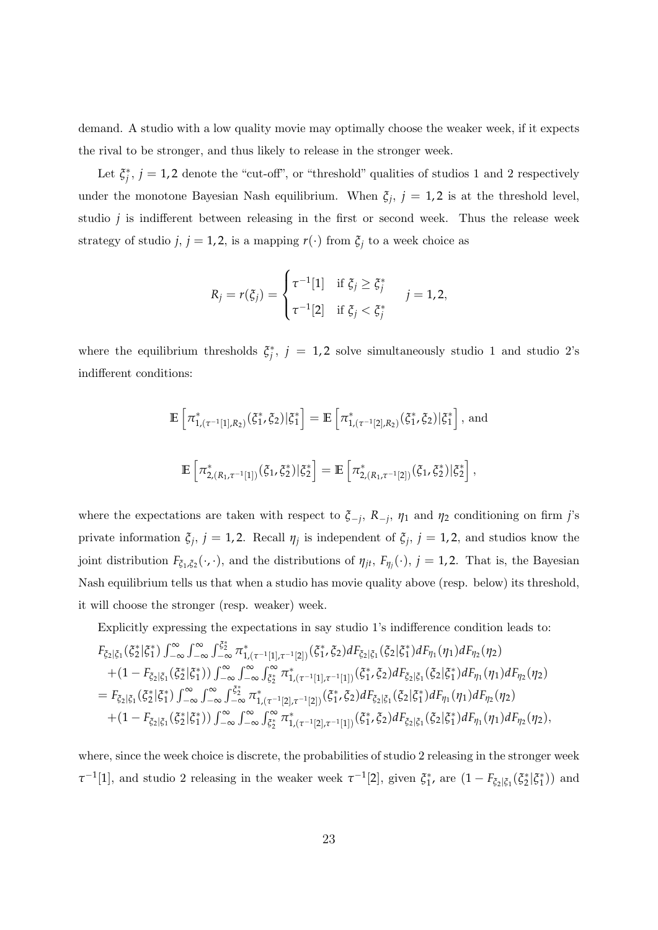demand. A studio with a low quality movie may optimally choose the weaker week, if it expects the rival to be stronger, and thus likely to release in the stronger week.

Let  $\xi_j^*, j = 1, 2$  denote the "cut-off", or "threshold" qualities of studios 1 and 2 respectively under the monotone Bayesian Nash equilibrium. When  $\xi_j$ ,  $j = 1, 2$  is at the threshold level, studio *j* is indifferent between releasing in the first or second week. Thus the release week strategy of studio *j*,  $j = 1, 2$ , is a mapping  $r(\cdot)$  from  $\xi_j$  to a week choice as

$$
R_j = r(\xi_j) = \begin{cases} \tau^{-1}[1] & \text{if } \xi_j \geq \xi_j^* \\ \tau^{-1}[2] & \text{if } \xi_j < \xi_j^* \end{cases} \quad j = 1, 2,
$$

where the equilibrium thresholds  $\xi_j^*$ ,  $j = 1,2$  solve simultaneously studio 1 and studio 2's indifferent conditions:

$$
\mathbb{E}\left[\pi_{1,(\tau^{-1}[1],R_2)}^*(\zeta_1^*,\zeta_2)|\zeta_1^*\right] = \mathbb{E}\left[\pi_{1,(\tau^{-1}[2],R_2)}^*(\zeta_1^*,\zeta_2)|\zeta_1^*\right], \text{ and}
$$
  

$$
\mathbb{E}\left[\pi_{2,(R_1,\tau^{-1}[1])}^*(\zeta_1,\zeta_2^*)|\zeta_2^*\right] = \mathbb{E}\left[\pi_{2,(R_1,\tau^{-1}[2])}^*(\zeta_1,\zeta_2^*)|\zeta_2^*\right],
$$

where the expectations are taken with respect to  $\zeta_{-j}$ ,  $R_{-j}$ ,  $\eta_1$  and  $\eta_2$  conditioning on firm *j*'s private information  $\xi_j$ ,  $j = 1, 2$ . Recall  $\eta_j$  is independent of  $\xi_j$ ,  $j = 1, 2$ , and studios know the joint distribution  $F_{\xi_1,\xi_2}(\cdot,\cdot)$ , and the distributions of  $\eta_{jt}$ ,  $F_{\eta_j}(\cdot)$ ,  $j=1,2$ . That is, the Bayesian Nash equilibrium tells us that when a studio has movie quality above (resp. below) its threshold, it will choose the stronger (resp. weaker) week.

Explicitly expressing the expectations in say studio 1's indifference condition leads to:

$$
F_{\xi_2|\xi_1}(\xi_2^*|\xi_1^*) \int_{-\infty}^{\infty} \int_{-\infty}^{\infty} \int_{-\infty}^{\xi_2^*} \pi_{1,(\tau^{-1}[1],\tau^{-1}[2])}^*(\xi_1^*,\xi_2) dF_{\xi_2|\xi_1}(\xi_2|\xi_1^*) dF_{\eta_1}(\eta_1) dF_{\eta_2}(\eta_2) + (1 - F_{\xi_2|\xi_1}(\xi_2^*|\xi_1^*)) \int_{-\infty}^{\infty} \int_{-\infty}^{\infty} \int_{\xi_2^*}^{\infty} \pi_{1,(\tau^{-1}[1],\tau^{-1}[1])}^*(\xi_1^*,\xi_2) dF_{\xi_2|\xi_1}(\xi_2|\xi_1^*) dF_{\eta_1}(\eta_1) dF_{\eta_2}(\eta_2) = F_{\xi_2|\xi_1}(\xi_2^*|\xi_1^*) \int_{-\infty}^{\infty} \int_{-\infty}^{\infty} \int_{-\infty}^{\xi_2^*} \pi_{1,(\tau^{-1}[2],\tau^{-1}[2])}^*(\xi_1^*,\xi_2) dF_{\xi_2|\xi_1}(\xi_2|\xi_1^*) dF_{\eta_1}(\eta_1) dF_{\eta_2}(\eta_2) + (1 - F_{\xi_2|\xi_1}(\xi_2^*|\xi_1^*)) \int_{-\infty}^{\infty} \int_{-\infty}^{\infty} \int_{\xi_2^*}^{\infty} \pi_{1,(\tau^{-1}[2],\tau^{-1}[1])}^*(\xi_1^*,\xi_2) dF_{\xi_2|\xi_1}(\xi_2|\xi_1^*) dF_{\eta_1}(\eta_1) dF_{\eta_2}(\eta_2),
$$

where, since the week choice is discrete, the probabilities of studio 2 releasing in the stronger week *τ*<sup>-1</sup>[1], and studio 2 releasing in the weaker week  $\tau^{-1}[2]$ , given  $\zeta_1^*$ , are  $(1 - F_{\zeta_2|\zeta_1}(\zeta_2^*|\zeta_1^*))$  and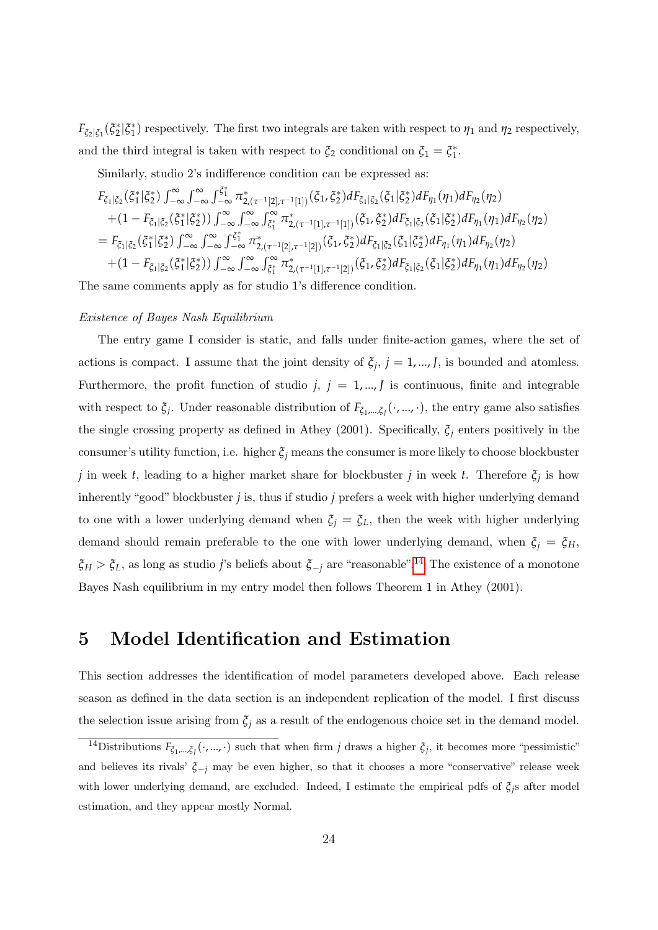$F_{\zeta_2|\zeta_1}(\zeta_2^*|\zeta_1^*)$  respectively. The first two integrals are taken with respect to  $\eta_1$  and  $\eta_2$  respectively, and the third integral is taken with respect to  $\zeta_2$  conditional on  $\zeta_1 = \zeta_1^*$ .

Similarly, studio 2's indifference condition can be expressed as:

$$
F_{\xi_1|\xi_2}(\xi_1^*|\xi_2^*) \int_{-\infty}^{\infty} \int_{-\infty}^{\infty} \int_{-\infty}^{\xi_1^*} \pi_{2,(\tau^{-1}[2],\tau^{-1}[1])}^*(\xi_1, \xi_2^*) dF_{\xi_1|\xi_2}(\xi_1|\xi_2^*) dF_{\eta_1}(\eta_1) dF_{\eta_2}(\eta_2)
$$
  
+  $(1 - F_{\xi_1|\xi_2}(\xi_1^*|\xi_2^*)) \int_{-\infty}^{\infty} \int_{-\infty}^{\infty} \int_{\xi_1^*}^{\infty} \pi_{2,(\tau^{-1}[1],\tau^{-1}[1])}^*(\xi_1, \xi_2^*) dF_{\xi_1|\xi_2}(\xi_1|\xi_2^*) dF_{\eta_1}(\eta_1) dF_{\eta_2}(\eta_2)$   
=  $F_{\xi_1|\xi_2}(\xi_1^*|\xi_2^*) \int_{-\infty}^{\infty} \int_{-\infty}^{\infty} \int_{-\infty}^{\xi_1^*} \pi_{2,(\tau^{-1}[2],\tau^{-1}[2])}^*(\xi_1, \xi_2^*) dF_{\xi_1|\xi_2}(\xi_1|\xi_2^*) dF_{\eta_1}(\eta_1) dF_{\eta_2}(\eta_2)$   
+  $(1 - F_{\xi_1|\xi_2}(\xi_1^*|\xi_2^*)) \int_{-\infty}^{\infty} \int_{-\infty}^{\infty} \int_{\xi_1^*}^{\infty} \pi_{2,(\tau^{-1}[1],\tau^{-1}[2])}^*(\xi_1, \xi_2^*) dF_{\xi_1|\xi_2}(\xi_1|\xi_2^*) dF_{\eta_1}(\eta_1) dF_{\eta_2}(\eta_2)$ 

The same comments apply as for studio 1's difference condition.

#### Existence of Bayes Nash Equilibrium

The entry game I consider is static, and falls under finite-action games, where the set of actions is compact. I assume that the joint density of  $\xi_j$ ,  $j = 1, ..., J$ , is bounded and atomless. Furthermore, the profit function of studio  $j, j = 1, \dots, J$  is continuous, finite and integrable with respect to  $\xi_j$ . Under reasonable distribution of  $F_{\xi_1,\dots,\xi_j}(\cdot,...,\cdot)$ , the entry game also satisfies the single crossing property as defined in Athey (2001). Specifically,  $\xi$ <sup>*j*</sup> enters positively in the consumer's utility function, i.e. higher  $\xi$ <sup>*j*</sup> means the consumer is more likely to choose blockbuster *j* in week *t*, leading to a higher market share for blockbuster *j* in week *t*. Therefore  $\xi_j$  is how inherently "good" blockbuster *j* is, thus if studio *j* prefers a week with higher underlying demand to one with a lower underlying demand when  $\xi_j = \xi_L$ , then the week with higher underlying demand should remain preferable to the one with lower underlying demand, when  $\xi_i = \xi_H$ ,  $\zeta$ <sup>H</sup> >  $\zeta$ <sup>L</sup>, as long as studio *j*'s beliefs about  $\zeta$ <sup>-</sup>*j* are "reasonable".<sup>[14](#page-23-0)</sup> The existence of a monotone Bayes Nash equilibrium in my entry model then follows Theorem 1 in Athey (2001).

# 5 Model Identification and Estimation

This section addresses the identification of model parameters developed above. Each release season as defined in the data section is an independent replication of the model. I first discuss the selection issue arising from  $\xi$ <sup>*j*</sup> as a result of the endogenous choice set in the demand model.

<span id="page-23-0"></span><sup>&</sup>lt;sup>14</sup>Distributions  $F_{\xi_1,\dots,\xi_j}(\cdot,\dots,\cdot)$  such that when firm *j* draws a higher  $\xi_j$ , it becomes more "pessimistic" and believes its rivals'  $\xi_{-i}$  may be even higher, so that it chooses a more "conservative" release week with lower underlying demand, are excluded. Indeed, I estimate the empirical pdfs of *ξj*s after model estimation, and they appear mostly Normal.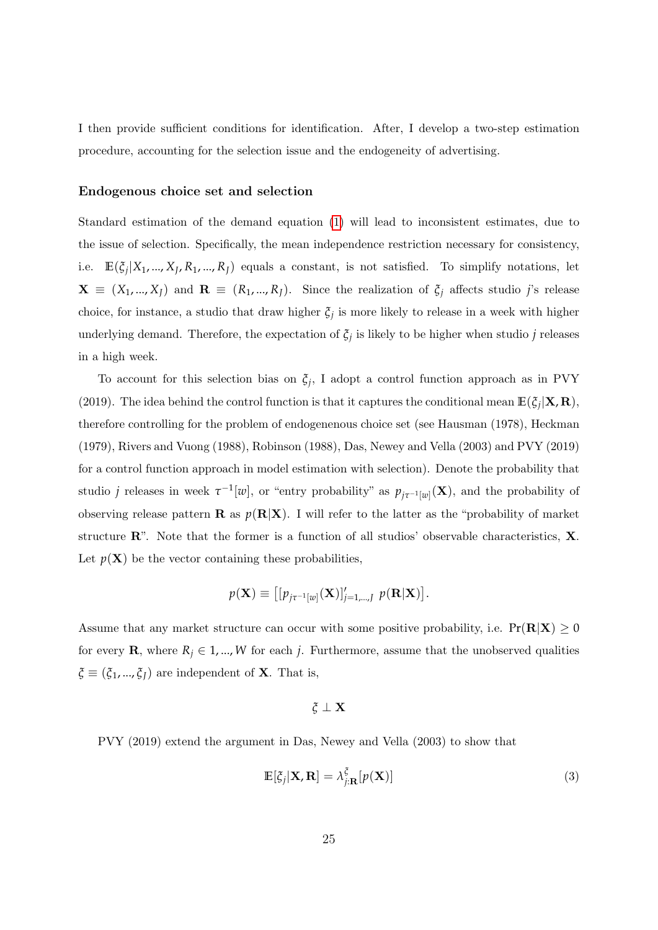I then provide sufficient conditions for identification. After, I develop a two-step estimation procedure, accounting for the selection issue and the endogeneity of advertising.

#### Endogenous choice set and selection

Standard estimation of the demand equation [\(1\)](#page-16-0) will lead to inconsistent estimates, due to the issue of selection. Specifically, the mean independence restriction necessary for consistency, i.e.  $\mathbb{E}(\zeta_j|X_1,...,X_J,R_1,...,R_J)$  equals a constant, is not satisfied. To simplify notations, let  $\mathbf{X} \equiv (X_1, ..., X_J)$  and  $\mathbf{R} \equiv (R_1, ..., R_J)$ . Since the realization of  $\xi_j$  affects studio *j*'s release choice, for instance, a studio that draw higher  $\xi_j$  is more likely to release in a week with higher underlying demand. Therefore, the expectation of  $\xi_j$  is likely to be higher when studio *j* releases in a high week.

To account for this selection bias on *ξ<sup>j</sup>* , I adopt a control function approach as in PVY (2019). The idea behind the control function is that it captures the conditional mean  $\mathbb{E}(\zeta_j|\mathbf{X}, \mathbf{R})$ , therefore controlling for the problem of endogenenous choice set (see Hausman (1978), Heckman (1979), Rivers and Vuong (1988), Robinson (1988), Das, Newey and Vella (2003) and PVY (2019) for a control function approach in model estimation with selection). Denote the probability that studio *j* releases in week  $\tau^{-1}[w]$ , or "entry probability" as  $p_{j\tau^{-1}[w]}(\mathbf{X})$ , and the probability of observing release pattern **R** as  $p(R|X)$ . I will refer to the latter as the "probability of market" structure  $\mathbb{R}^n$ . Note that the former is a function of all studios' observable characteristics,  $\mathbf{X}$ . Let  $p(X)$  be the vector containing these probabilities,

$$
p(\mathbf{X}) \equiv \left[ [p_{j\tau^{-1}[w]}(\mathbf{X})]_{j=1,\dots,J}^{\prime} \ p(\mathbf{R}|\mathbf{X}) \right].
$$

Assume that any market structure can occur with some positive probability, i.e.  $Pr(R|X) \geq 0$ for every **R**, where  $R_j \in 1, ..., W$  for each *j*. Furthermore, assume that the unobserved qualities  $\zeta \equiv (\zeta_1, ..., \zeta_J)$  are independent of **X**. That is,

$$
\xi\perp\mathbf{X}
$$

PVY (2019) extend the argument in Das, Newey and Vella (2003) to show that

<span id="page-24-0"></span>
$$
\mathbb{E}[\zeta_j|\mathbf{X},\mathbf{R}] = \lambda_{j:\mathbf{R}}^{\zeta}[p(\mathbf{X})]
$$
\n(3)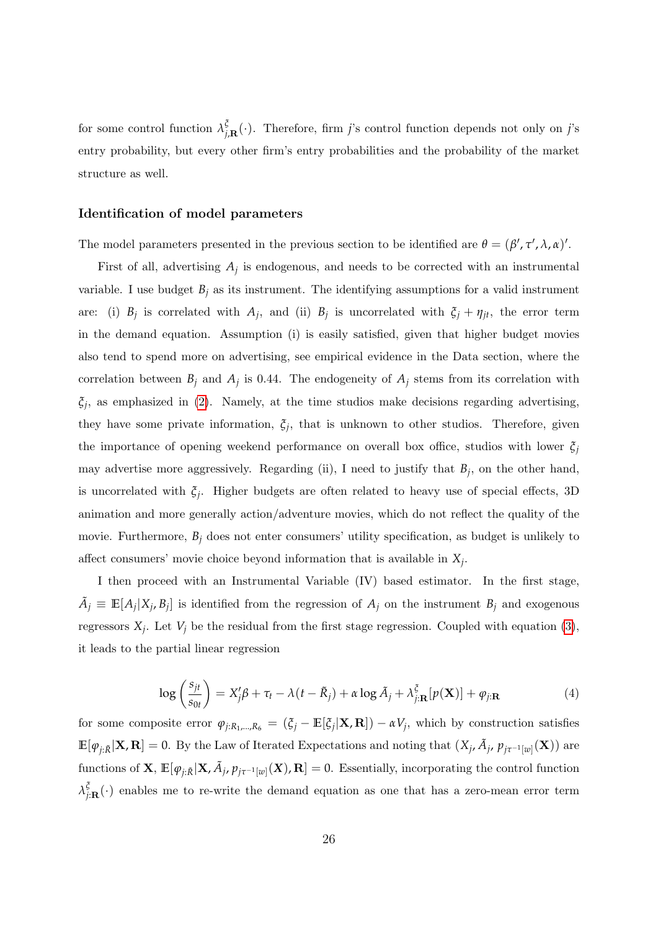for some control function  $\lambda_i^{\xi}$ *j*,R (·). Therefore, firm *j*'s control function depends not only on *j*'s entry probability, but every other firm's entry probabilities and the probability of the market structure as well.

#### Identification of model parameters

The model parameters presented in the previous section to be identified are  $\theta = (\beta', \tau', \lambda, \alpha)'.$ 

First of all, advertising  $A_j$  is endogenous, and needs to be corrected with an instrumental variable. I use budget  $B_j$  as its instrument. The identifying assumptions for a valid instrument are: (i)  $B_j$  is correlated with  $A_j$ , and (ii)  $B_j$  is uncorrelated with  $\xi_j + \eta_{jt}$ , the error term in the demand equation. Assumption (i) is easily satisfied, given that higher budget movies also tend to spend more on advertising, see empirical evidence in the Data section, where the correlation between  $B_j$  and  $A_j$  is 0.44. The endogeneity of  $A_j$  stems from its correlation with *ξj* , as emphasized in [\(2\)](#page-21-1). Namely, at the time studios make decisions regarding advertising, they have some private information,  $\xi_j$ , that is unknown to other studios. Therefore, given the importance of opening weekend performance on overall box office, studios with lower *ξ<sup>j</sup>* may advertise more aggressively. Regarding (ii), I need to justify that  $B_j$ , on the other hand, is uncorrelated with *ξ<sup>j</sup>* . Higher budgets are often related to heavy use of special effects, 3D animation and more generally action/adventure movies, which do not reflect the quality of the movie. Furthermore,  $B_j$  does not enter consumers' utility specification, as budget is unlikely to affect consumers' movie choice beyond information that is available in *X<sup>j</sup>* .

I then proceed with an Instrumental Variable (IV) based estimator. In the first stage,  $\tilde{A}_j \equiv \mathbb{E}[A_j|X_j, B_j]$  is identified from the regression of  $A_j$  on the instrument  $B_j$  and exogenous regressors  $X_j$ . Let  $V_j$  be the residual from the first stage regression. Coupled with equation [\(3\)](#page-24-0), it leads to the partial linear regression

<span id="page-25-0"></span>
$$
\log\left(\frac{s_{jt}}{s_{0t}}\right) = X_j'\beta + \tau_t - \lambda(t - \tilde{R}_j) + \alpha \log \tilde{A}_j + \lambda_{j:\mathbf{R}}^{\xi} [p(\mathbf{X})] + \varphi_{j:\mathbf{R}} \tag{4}
$$

for some composite error  $\varphi_{j:R_1,\dots,R_6} = (\xi_j - \mathbb{E}[\xi_j|\mathbf{X},\mathbf{R}]) - \alpha V_j$ , which by construction satisfies  $\mathbb{E}[\varphi_{j:\tilde{R}}|\mathbf{X},\mathbf{R}] = 0$ . By the Law of Iterated Expectations and noting that  $(X_j,\tilde{A}_j,\,p_{j\tau^{-1}[w]}(\mathbf{X}))$  are functions of  $X$ ,  $\mathbb{E}[\varphi_{j:\tilde{R}}|X, \tilde{A}_j, p_{j\tau^{-1}[w]}(X), \mathbf{R}] = 0$ . Essentially, incorporating the control function *λ ξ*  $\frac{f}{f(\mathbf{R})}$  enables me to re-write the demand equation as one that has a zero-mean error term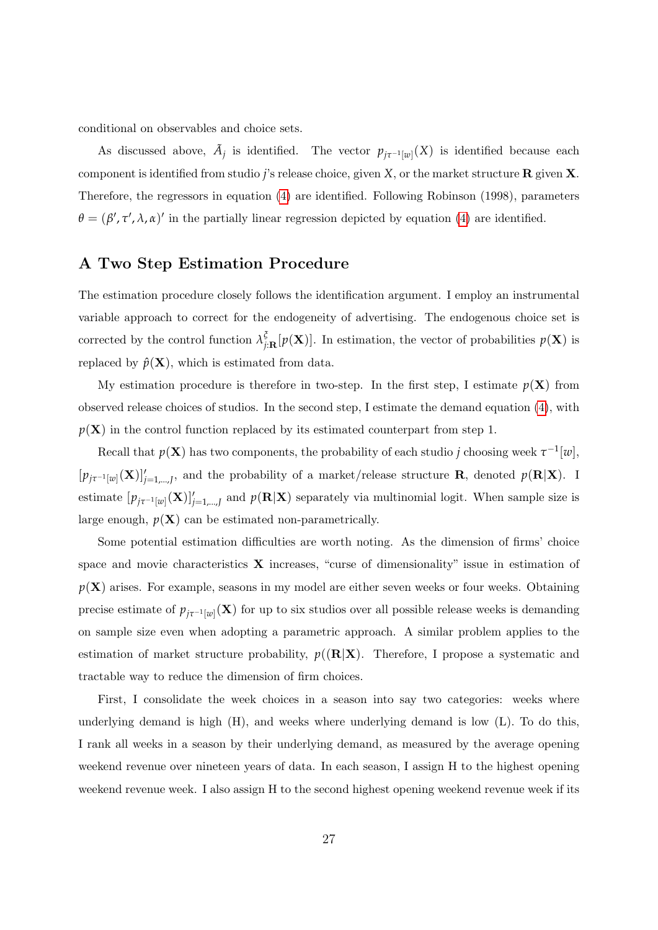conditional on observables and choice sets.

As discussed above,  $\tilde{A}_j$  is identified. The vector  $p_{j\tau^{-1}[w]}(X)$  is identified because each component is identified from studio *j*'s release choice, given *X*, or the market structure R given X. Therefore, the regressors in equation [\(4\)](#page-25-0) are identified. Following Robinson (1998), parameters  $\theta = (\beta', \tau', \lambda, \alpha)'$  in the partially linear regression depicted by equation [\(4\)](#page-25-0) are identified.

### A Two Step Estimation Procedure

The estimation procedure closely follows the identification argument. I employ an instrumental variable approach to correct for the endogeneity of advertising. The endogenous choice set is corrected by the control function  $\lambda_i^{\xi}$  $\mathcal{P}_{j:\mathbf{R}}^{\mathfrak{b}}[p(\mathbf{X})]$ . In estimation, the vector of probabilities  $p(\mathbf{X})$  is replaced by  $\hat{p}(\mathbf{X})$ , which is estimated from data.

My estimation procedure is therefore in two-step. In the first step, I estimate  $p(X)$  from observed release choices of studios. In the second step, I estimate the demand equation [\(4\)](#page-25-0), with  $p(X)$  in the control function replaced by its estimated counterpart from step 1.

Recall that  $p(X)$  has two components, the probability of each studio *j* choosing week  $\tau^{-1}[w]$ ,  $[p_{j\tau^{-1}[w]}(\mathbf{X})]'_{j=1,\dots,J}$ , and the probability of a market/release structure **R**, denoted  $p(\mathbf{R}|\mathbf{X})$ . I estimate  $[p_{j\tau^{-1}[w]}(\mathbf{X})]_{j=1,\dots,J}$  and  $p(\mathbf{R}|\mathbf{X})$  separately via multinomial logit. When sample size is large enough,  $p(X)$  can be estimated non-parametrically.

Some potential estimation difficulties are worth noting. As the dimension of firms' choice space and movie characteristics  $X$  increases, "curse of dimensionality" issue in estimation of *p*(X) arises. For example, seasons in my model are either seven weeks or four weeks. Obtaining precise estimate of  $p_{j\tau^{-1}[w]}(X)$  for up to six studios over all possible release weeks is demanding on sample size even when adopting a parametric approach. A similar problem applies to the estimation of market structure probability,  $p((\mathbf{R}|\mathbf{X})$ . Therefore, I propose a systematic and tractable way to reduce the dimension of firm choices.

First, I consolidate the week choices in a season into say two categories: weeks where underlying demand is high  $(H)$ , and weeks where underlying demand is low  $(L)$ . To do this, I rank all weeks in a season by their underlying demand, as measured by the average opening weekend revenue over nineteen years of data. In each season, I assign H to the highest opening weekend revenue week. I also assign H to the second highest opening weekend revenue week if its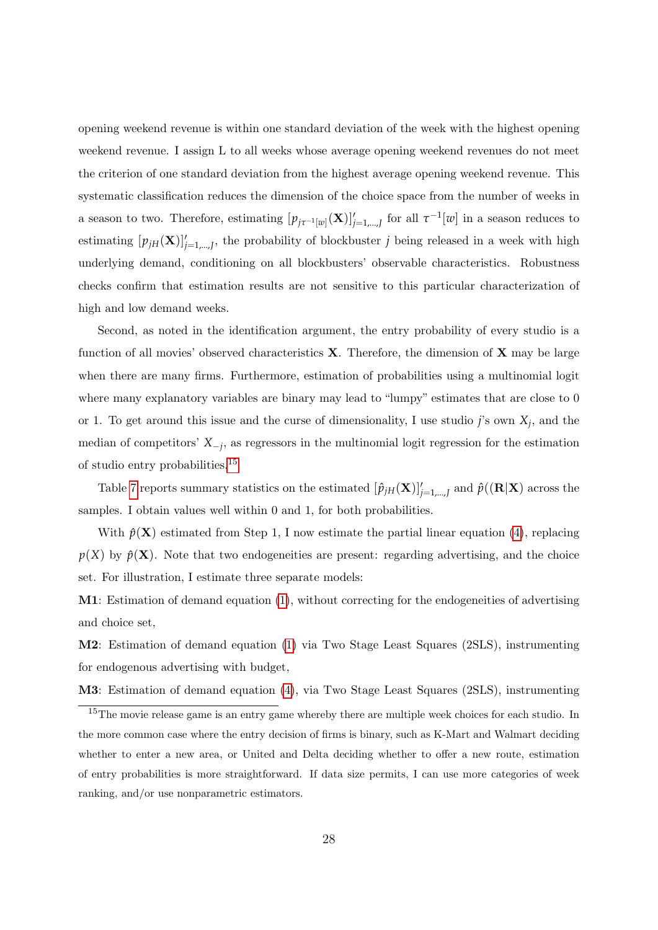opening weekend revenue is within one standard deviation of the week with the highest opening weekend revenue. I assign L to all weeks whose average opening weekend revenues do not meet the criterion of one standard deviation from the highest average opening weekend revenue. This systematic classification reduces the dimension of the choice space from the number of weeks in a season to two. Therefore, estimating  $[p_{j\tau^{-1}[w]}(\mathbf{X})]_{j=1,\dots,J}$  for all  $\tau^{-1}[w]$  in a season reduces to estimating  $[p_{jH}(\mathbf{X})]_{j=1,\dots,J}$ , the probability of blockbuster *j* being released in a week with high underlying demand, conditioning on all blockbusters' observable characteristics. Robustness checks confirm that estimation results are not sensitive to this particular characterization of high and low demand weeks.

Second, as noted in the identification argument, the entry probability of every studio is a function of all movies' observed characteristics  $X$ . Therefore, the dimension of  $X$  may be large when there are many firms. Furthermore, estimation of probabilities using a multinomial logit where many explanatory variables are binary may lead to "lumpy" estimates that are close to 0 or 1. To get around this issue and the curse of dimensionality, I use studio *j*'s own *X<sup>j</sup>* , and the median of competitors' *X*−*<sup>j</sup>* , as regressors in the multinomial logit regression for the estimation of studio entry probabilities.[15](#page-27-0)

Table [7](#page-43-2) reports summary statistics on the estimated  $[\hat{p}_{jH}(\mathbf{X})]_{j=1,\dots,J}^{\prime}$  and  $\hat{p}((\mathbf{R}|\mathbf{X})$  across the samples. I obtain values well within 0 and 1, for both probabilities.

With  $\hat{p}(\mathbf{X})$  estimated from Step 1, I now estimate the partial linear equation [\(4\)](#page-25-0), replacing  $p(X)$  by  $\hat{p}(X)$ . Note that two endogeneities are present: regarding advertising, and the choice set. For illustration, I estimate three separate models:

M1: Estimation of demand equation [\(1\)](#page-16-0), without correcting for the endogeneities of advertising and choice set,

M2: Estimation of demand equation [\(1\)](#page-16-0) via Two Stage Least Squares (2SLS), instrumenting for endogenous advertising with budget,

M3: Estimation of demand equation [\(4\)](#page-25-0), via Two Stage Least Squares (2SLS), instrumenting

<span id="page-27-0"></span><sup>&</sup>lt;sup>15</sup>The movie release game is an entry game whereby there are multiple week choices for each studio. In the more common case where the entry decision of firms is binary, such as K-Mart and Walmart deciding whether to enter a new area, or United and Delta deciding whether to offer a new route, estimation of entry probabilities is more straightforward. If data size permits, I can use more categories of week ranking, and/or use nonparametric estimators.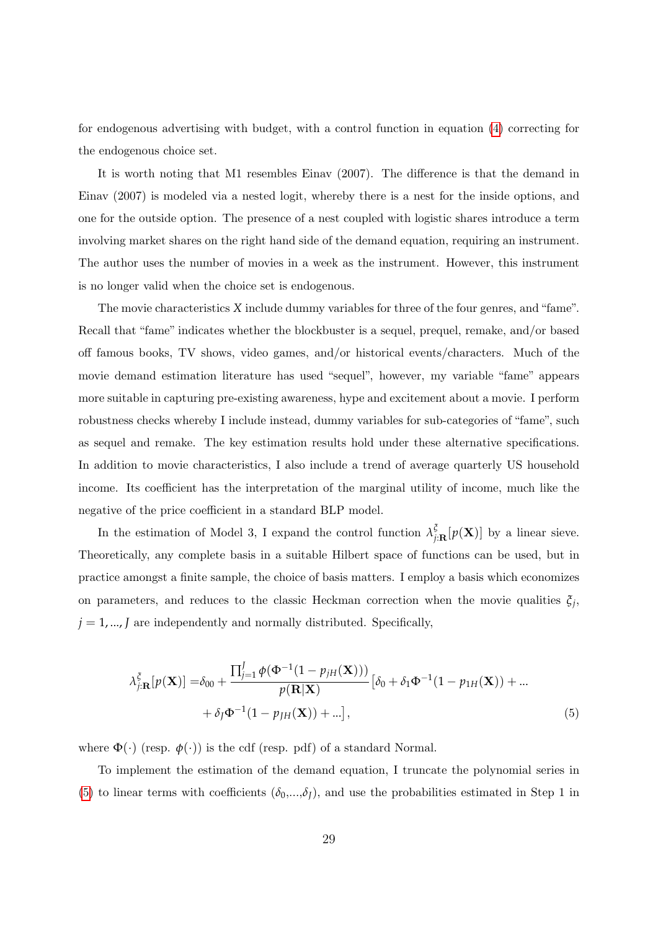for endogenous advertising with budget, with a control function in equation [\(4\)](#page-25-0) correcting for the endogenous choice set.

It is worth noting that M1 resembles Einav (2007). The difference is that the demand in Einav (2007) is modeled via a nested logit, whereby there is a nest for the inside options, and one for the outside option. The presence of a nest coupled with logistic shares introduce a term involving market shares on the right hand side of the demand equation, requiring an instrument. The author uses the number of movies in a week as the instrument. However, this instrument is no longer valid when the choice set is endogenous.

The movie characteristics *X* include dummy variables for three of the four genres, and "fame". Recall that "fame" indicates whether the blockbuster is a sequel, prequel, remake, and/or based off famous books, TV shows, video games, and/or historical events/characters. Much of the movie demand estimation literature has used "sequel", however, my variable "fame" appears more suitable in capturing pre-existing awareness, hype and excitement about a movie. I perform robustness checks whereby I include instead, dummy variables for sub-categories of "fame", such as sequel and remake. The key estimation results hold under these alternative specifications. In addition to movie characteristics, I also include a trend of average quarterly US household income. Its coefficient has the interpretation of the marginal utility of income, much like the negative of the price coefficient in a standard BLP model.

In the estimation of Model 3, I expand the control function  $\lambda_i^{\xi}$  $\int_{j:\mathbf{R}}^{6}[p(\mathbf{X})]$  by a linear sieve. Theoretically, any complete basis in a suitable Hilbert space of functions can be used, but in practice amongst a finite sample, the choice of basis matters. I employ a basis which economizes on parameters, and reduces to the classic Heckman correction when the movie qualities  $\xi_j$ ,  $j = 1, \ldots, J$  are independently and normally distributed. Specifically,

<span id="page-28-0"></span>
$$
\lambda_{j:\mathbf{R}}^{\xi}[p(\mathbf{X})] = \delta_{00} + \frac{\prod_{j=1}^{J} \phi(\Phi^{-1}(1 - p_{jH}(\mathbf{X})))}{p(\mathbf{R}|\mathbf{X})} [\delta_0 + \delta_1 \Phi^{-1}(1 - p_{1H}(\mathbf{X})) + ... + \delta_j \Phi^{-1}(1 - p_{JH}(\mathbf{X})) + ...],
$$
\n(5)

where  $\Phi(\cdot)$  (resp.  $\phi(\cdot)$ ) is the cdf (resp. pdf) of a standard Normal.

To implement the estimation of the demand equation, I truncate the polynomial series in [\(5\)](#page-28-0) to linear terms with coefficients  $(\delta_0,...,\delta_l)$ , and use the probabilities estimated in Step 1 in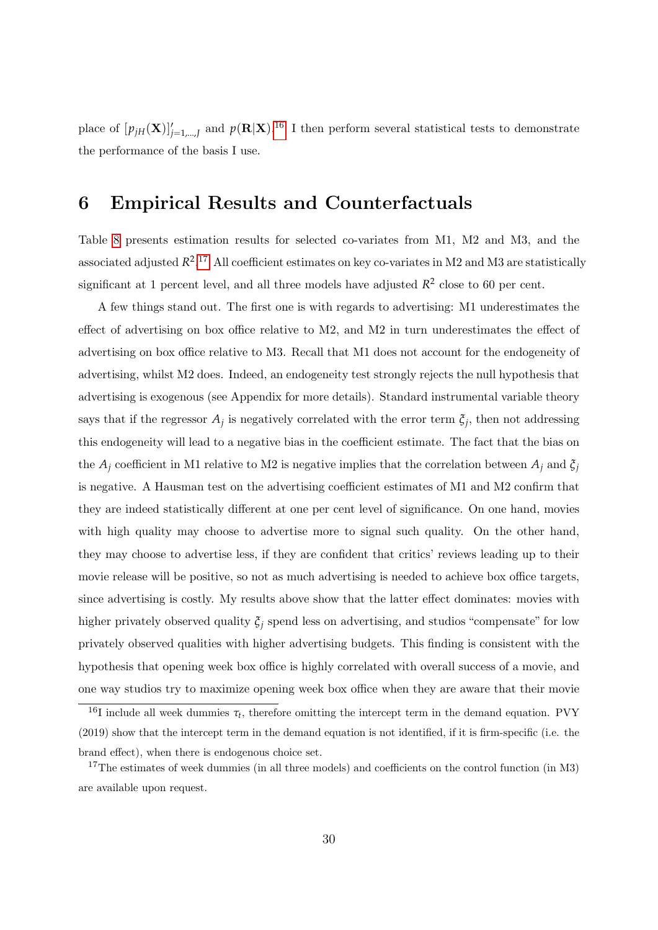place of  $[p_{jH}(\mathbf{X})]_{j=1,\dots,J}$  and  $p(\mathbf{R}|\mathbf{X})$ .<sup>[16](#page-29-0)</sup> I then perform several statistical tests to demonstrate the performance of the basis I use.

# 6 Empirical Results and Counterfactuals

Table [8](#page-44-0) presents estimation results for selected co-variates from M1, M2 and M3, and the associated adjusted  $R^2$ .<sup>[17](#page-29-1)</sup> All coefficient estimates on key co-variates in M2 and M3 are statistically significant at 1 percent level, and all three models have adjusted  $R^2$  close to 60 per cent.

A few things stand out. The first one is with regards to advertising: M1 underestimates the effect of advertising on box office relative to M2, and M2 in turn underestimates the effect of advertising on box office relative to M3. Recall that M1 does not account for the endogeneity of advertising, whilst M2 does. Indeed, an endogeneity test strongly rejects the null hypothesis that advertising is exogenous (see Appendix for more details). Standard instrumental variable theory says that if the regressor  $A_j$  is negatively correlated with the error term  $\xi_j$ , then not addressing this endogeneity will lead to a negative bias in the coefficient estimate. The fact that the bias on the  $A_j$  coefficient in M1 relative to M2 is negative implies that the correlation between  $A_j$  and  $\xi_j$ is negative. A Hausman test on the advertising coefficient estimates of M1 and M2 confirm that they are indeed statistically different at one per cent level of significance. On one hand, movies with high quality may choose to advertise more to signal such quality. On the other hand, they may choose to advertise less, if they are confident that critics' reviews leading up to their movie release will be positive, so not as much advertising is needed to achieve box office targets, since advertising is costly. My results above show that the latter effect dominates: movies with higher privately observed quality  $\xi$ <sup>*j*</sup> spend less on advertising, and studios "compensate" for low privately observed qualities with higher advertising budgets. This finding is consistent with the hypothesis that opening week box office is highly correlated with overall success of a movie, and one way studios try to maximize opening week box office when they are aware that their movie

<span id="page-29-0"></span><sup>&</sup>lt;sup>16</sup>I include all week dummies  $\tau_t$ , therefore omitting the intercept term in the demand equation. PVY (2019) show that the intercept term in the demand equation is not identified, if it is firm-specific (i.e. the brand effect), when there is endogenous choice set.

<span id="page-29-1"></span><sup>&</sup>lt;sup>17</sup>The estimates of week dummies (in all three models) and coefficients on the control function (in M3) are available upon request.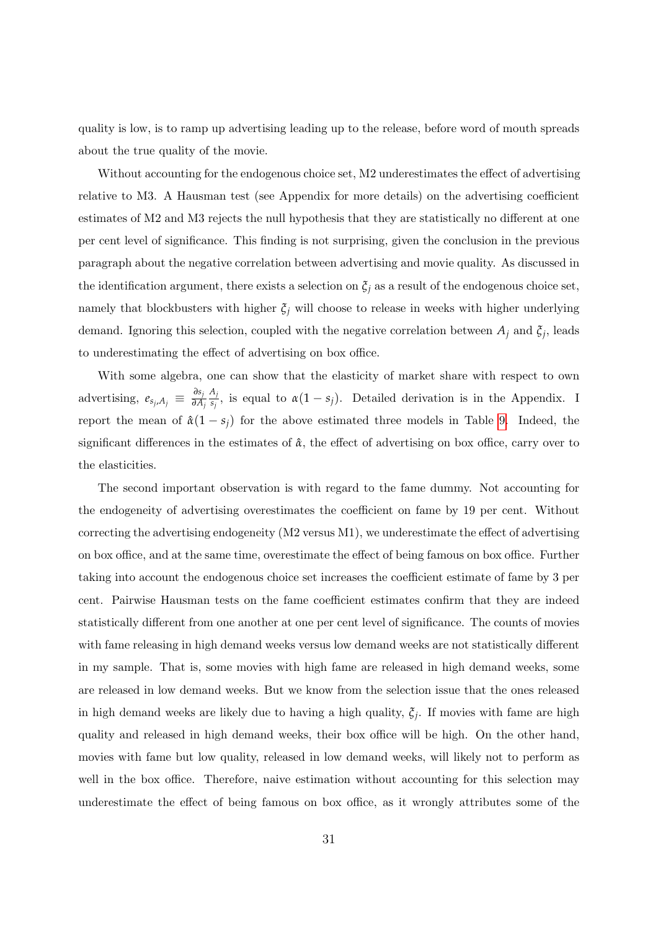quality is low, is to ramp up advertising leading up to the release, before word of mouth spreads about the true quality of the movie.

Without accounting for the endogenous choice set, M2 underestimates the effect of advertising relative to M3. A Hausman test (see Appendix for more details) on the advertising coefficient estimates of M2 and M3 rejects the null hypothesis that they are statistically no different at one per cent level of significance. This finding is not surprising, given the conclusion in the previous paragraph about the negative correlation between advertising and movie quality. As discussed in the identification argument, there exists a selection on  $\xi_i$  as a result of the endogenous choice set, namely that blockbusters with higher  $\xi_j$  will choose to release in weeks with higher underlying demand. Ignoring this selection, coupled with the negative correlation between  $A_j$  and  $\xi_j$ , leads to underestimating the effect of advertising on box office.

With some algebra, one can show that the elasticity of market share with respect to own advertising,  $e_{s_j, A_j} \equiv \frac{\partial s_j}{\partial A}$ *∂A<sup>j</sup> Aj*  $\frac{\alpha_j}{s_j}$ , is equal to  $\alpha(1-s_j)$ . Detailed derivation is in the Appendix. I report the mean of  $\hat{\alpha}(1-s_i)$  for the above estimated three models in Table [9.](#page-44-1) Indeed, the significant differences in the estimates of *α*ˆ, the effect of advertising on box office, carry over to the elasticities.

The second important observation is with regard to the fame dummy. Not accounting for the endogeneity of advertising overestimates the coefficient on fame by 19 per cent. Without correcting the advertising endogeneity (M2 versus M1), we underestimate the effect of advertising on box office, and at the same time, overestimate the effect of being famous on box office. Further taking into account the endogenous choice set increases the coefficient estimate of fame by 3 per cent. Pairwise Hausman tests on the fame coefficient estimates confirm that they are indeed statistically different from one another at one per cent level of significance. The counts of movies with fame releasing in high demand weeks versus low demand weeks are not statistically different in my sample. That is, some movies with high fame are released in high demand weeks, some are released in low demand weeks. But we know from the selection issue that the ones released in high demand weeks are likely due to having a high quality,  $\xi_j$ . If movies with fame are high quality and released in high demand weeks, their box office will be high. On the other hand, movies with fame but low quality, released in low demand weeks, will likely not to perform as well in the box office. Therefore, naive estimation without accounting for this selection may underestimate the effect of being famous on box office, as it wrongly attributes some of the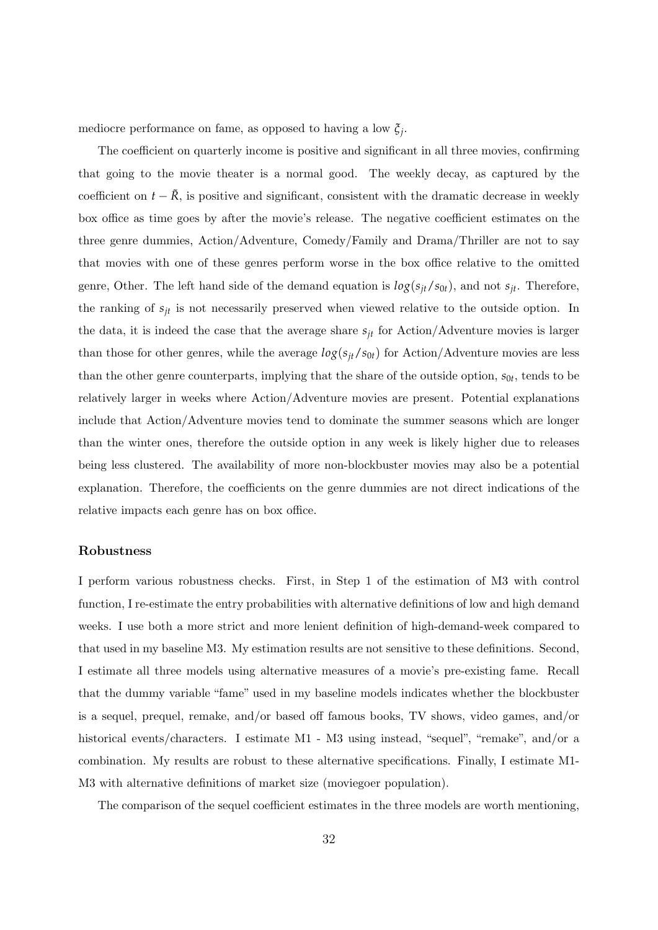mediocre performance on fame, as opposed to having a low *ξ<sup>j</sup>* .

The coefficient on quarterly income is positive and significant in all three movies, confirming that going to the movie theater is a normal good. The weekly decay, as captured by the coefficient on  $t - \tilde{R}$ , is positive and significant, consistent with the dramatic decrease in weekly box office as time goes by after the movie's release. The negative coefficient estimates on the three genre dummies, Action/Adventure, Comedy/Family and Drama/Thriller are not to say that movies with one of these genres perform worse in the box office relative to the omitted genre, Other. The left hand side of the demand equation is  $log(s_{it}/s_{0t})$ , and not  $s_{it}$ . Therefore, the ranking of *sjt* is not necessarily preserved when viewed relative to the outside option. In the data, it is indeed the case that the average share  $s_{it}$  for Action/Adventure movies is larger than those for other genres, while the average  $log(s_{jt}/s_{0t})$  for Action/Adventure movies are less than the other genre counterparts, implying that the share of the outside option,  $s_{0t}$ , tends to be relatively larger in weeks where Action/Adventure movies are present. Potential explanations include that Action/Adventure movies tend to dominate the summer seasons which are longer than the winter ones, therefore the outside option in any week is likely higher due to releases being less clustered. The availability of more non-blockbuster movies may also be a potential explanation. Therefore, the coefficients on the genre dummies are not direct indications of the relative impacts each genre has on box office.

#### Robustness

I perform various robustness checks. First, in Step 1 of the estimation of M3 with control function, I re-estimate the entry probabilities with alternative definitions of low and high demand weeks. I use both a more strict and more lenient definition of high-demand-week compared to that used in my baseline M3. My estimation results are not sensitive to these definitions. Second, I estimate all three models using alternative measures of a movie's pre-existing fame. Recall that the dummy variable "fame" used in my baseline models indicates whether the blockbuster is a sequel, prequel, remake, and/or based off famous books, TV shows, video games, and/or historical events/characters. I estimate M1 - M3 using instead, "sequel", "remake", and/or a combination. My results are robust to these alternative specifications. Finally, I estimate M1- M3 with alternative definitions of market size (moviegoer population).

The comparison of the sequel coefficient estimates in the three models are worth mentioning,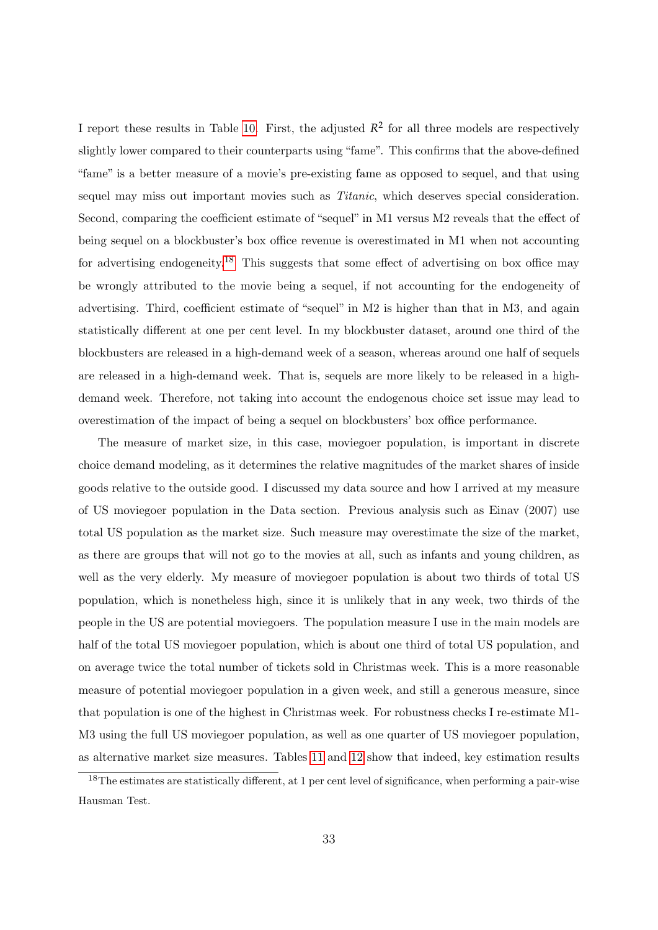I report these results in Table [10.](#page-45-0) First, the adjusted  $R^2$  for all three models are respectively slightly lower compared to their counterparts using "fame". This confirms that the above-defined "fame" is a better measure of a movie's pre-existing fame as opposed to sequel, and that using sequel may miss out important movies such as *Titanic*, which deserves special consideration. Second, comparing the coefficient estimate of "sequel" in M1 versus M2 reveals that the effect of being sequel on a blockbuster's box office revenue is overestimated in M1 when not accounting for advertising endogeneity.<sup>[18](#page-32-0)</sup> This suggests that some effect of advertising on box office may be wrongly attributed to the movie being a sequel, if not accounting for the endogeneity of advertising. Third, coefficient estimate of "sequel" in M2 is higher than that in M3, and again statistically different at one per cent level. In my blockbuster dataset, around one third of the blockbusters are released in a high-demand week of a season, whereas around one half of sequels are released in a high-demand week. That is, sequels are more likely to be released in a highdemand week. Therefore, not taking into account the endogenous choice set issue may lead to overestimation of the impact of being a sequel on blockbusters' box office performance.

The measure of market size, in this case, moviegoer population, is important in discrete choice demand modeling, as it determines the relative magnitudes of the market shares of inside goods relative to the outside good. I discussed my data source and how I arrived at my measure of US moviegoer population in the Data section. Previous analysis such as Einav (2007) use total US population as the market size. Such measure may overestimate the size of the market, as there are groups that will not go to the movies at all, such as infants and young children, as well as the very elderly. My measure of moviegoer population is about two thirds of total US population, which is nonetheless high, since it is unlikely that in any week, two thirds of the people in the US are potential moviegoers. The population measure I use in the main models are half of the total US moviegoer population, which is about one third of total US population, and on average twice the total number of tickets sold in Christmas week. This is a more reasonable measure of potential moviegoer population in a given week, and still a generous measure, since that population is one of the highest in Christmas week. For robustness checks I re-estimate M1- M3 using the full US moviegoer population, as well as one quarter of US moviegoer population, as alternative market size measures. Tables [11](#page-45-1) and [12](#page-46-0) show that indeed, key estimation results

<span id="page-32-0"></span><sup>&</sup>lt;sup>18</sup>The estimates are statistically different, at 1 per cent level of significance, when performing a pair-wise Hausman Test.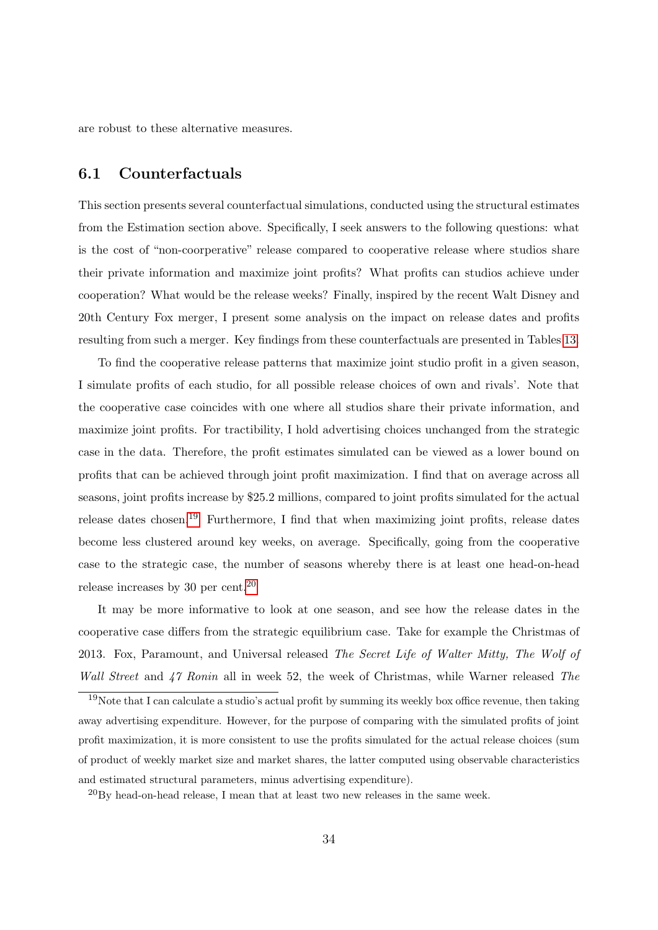are robust to these alternative measures.

### 6.1 Counterfactuals

This section presents several counterfactual simulations, conducted using the structural estimates from the Estimation section above. Specifically, I seek answers to the following questions: what is the cost of "non-coorperative" release compared to cooperative release where studios share their private information and maximize joint profits? What profits can studios achieve under cooperation? What would be the release weeks? Finally, inspired by the recent Walt Disney and 20th Century Fox merger, I present some analysis on the impact on release dates and profits resulting from such a merger. Key findings from these counterfactuals are presented in Tables [13.](#page-46-1)

To find the cooperative release patterns that maximize joint studio profit in a given season, I simulate profits of each studio, for all possible release choices of own and rivals'. Note that the cooperative case coincides with one where all studios share their private information, and maximize joint profits. For tractibility, I hold advertising choices unchanged from the strategic case in the data. Therefore, the profit estimates simulated can be viewed as a lower bound on profits that can be achieved through joint profit maximization. I find that on average across all seasons, joint profits increase by \$25.2 millions, compared to joint profits simulated for the actual release dates chosen.<sup>[19](#page-33-0)</sup> Furthermore, I find that when maximizing joint profits, release dates become less clustered around key weeks, on average. Specifically, going from the cooperative case to the strategic case, the number of seasons whereby there is at least one head-on-head release increases by 30 per cent.[20](#page-33-1)

It may be more informative to look at one season, and see how the release dates in the cooperative case differs from the strategic equilibrium case. Take for example the Christmas of 2013. Fox, Paramount, and Universal released The Secret Life of Walter Mitty, The Wolf of Wall Street and 47 Ronin all in week 52, the week of Christmas, while Warner released The

<span id="page-33-0"></span> $19$ Note that I can calculate a studio's actual profit by summing its weekly box office revenue, then taking away advertising expenditure. However, for the purpose of comparing with the simulated profits of joint profit maximization, it is more consistent to use the profits simulated for the actual release choices (sum of product of weekly market size and market shares, the latter computed using observable characteristics and estimated structural parameters, minus advertising expenditure).

<span id="page-33-1"></span> $^{20}$ By head-on-head release, I mean that at least two new releases in the same week.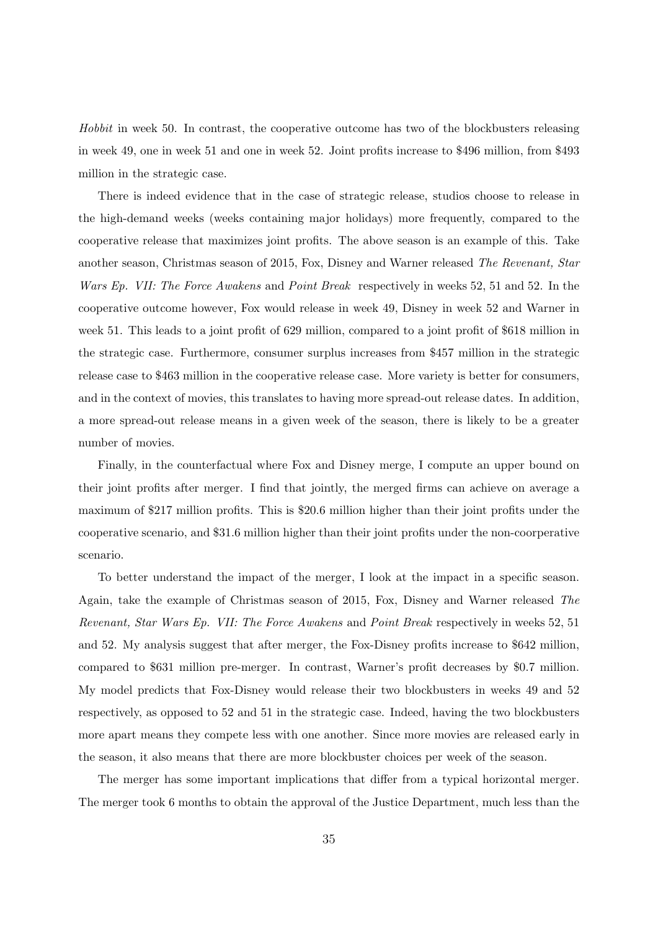Hobbit in week 50. In contrast, the cooperative outcome has two of the blockbusters releasing in week 49, one in week 51 and one in week 52. Joint profits increase to \$496 million, from \$493 million in the strategic case.

There is indeed evidence that in the case of strategic release, studios choose to release in the high-demand weeks (weeks containing major holidays) more frequently, compared to the cooperative release that maximizes joint profits. The above season is an example of this. Take another season, Christmas season of 2015, Fox, Disney and Warner released The Revenant, Star Wars Ep. VII: The Force Awakens and Point Break respectively in weeks 52, 51 and 52. In the cooperative outcome however, Fox would release in week 49, Disney in week 52 and Warner in week 51. This leads to a joint profit of 629 million, compared to a joint profit of \$618 million in the strategic case. Furthermore, consumer surplus increases from \$457 million in the strategic release case to \$463 million in the cooperative release case. More variety is better for consumers, and in the context of movies, this translates to having more spread-out release dates. In addition, a more spread-out release means in a given week of the season, there is likely to be a greater number of movies.

Finally, in the counterfactual where Fox and Disney merge, I compute an upper bound on their joint profits after merger. I find that jointly, the merged firms can achieve on average a maximum of \$217 million profits. This is \$20.6 million higher than their joint profits under the cooperative scenario, and \$31.6 million higher than their joint profits under the non-coorperative scenario.

To better understand the impact of the merger, I look at the impact in a specific season. Again, take the example of Christmas season of 2015, Fox, Disney and Warner released The Revenant, Star Wars Ep. VII: The Force Awakens and Point Break respectively in weeks 52, 51 and 52. My analysis suggest that after merger, the Fox-Disney profits increase to \$642 million, compared to \$631 million pre-merger. In contrast, Warner's profit decreases by \$0.7 million. My model predicts that Fox-Disney would release their two blockbusters in weeks 49 and 52 respectively, as opposed to 52 and 51 in the strategic case. Indeed, having the two blockbusters more apart means they compete less with one another. Since more movies are released early in the season, it also means that there are more blockbuster choices per week of the season.

The merger has some important implications that differ from a typical horizontal merger. The merger took 6 months to obtain the approval of the Justice Department, much less than the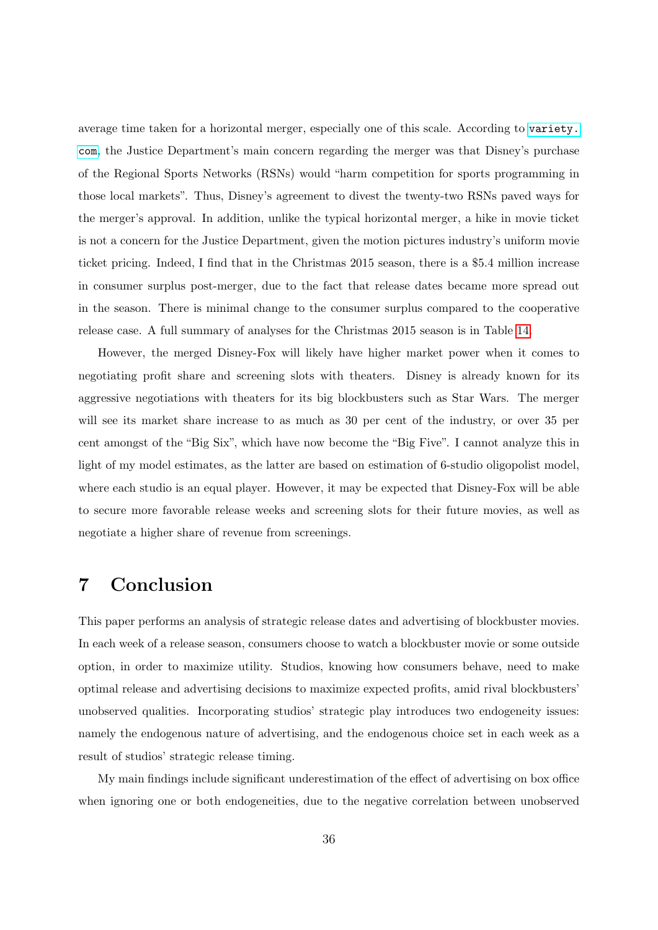average time taken for a horizontal merger, especially one of this scale. According to [variety.](variety.com) [com](variety.com), the Justice Department's main concern regarding the merger was that Disney's purchase of the Regional Sports Networks (RSNs) would "harm competition for sports programming in those local markets". Thus, Disney's agreement to divest the twenty-two RSNs paved ways for the merger's approval. In addition, unlike the typical horizontal merger, a hike in movie ticket is not a concern for the Justice Department, given the motion pictures industry's uniform movie ticket pricing. Indeed, I find that in the Christmas 2015 season, there is a \$5.4 million increase in consumer surplus post-merger, due to the fact that release dates became more spread out in the season. There is minimal change to the consumer surplus compared to the cooperative release case. A full summary of analyses for the Christmas 2015 season is in Table [14.](#page-47-0)

However, the merged Disney-Fox will likely have higher market power when it comes to negotiating profit share and screening slots with theaters. Disney is already known for its aggressive negotiations with theaters for its big blockbusters such as Star Wars. The merger will see its market share increase to as much as 30 per cent of the industry, or over 35 per cent amongst of the "Big Six", which have now become the "Big Five". I cannot analyze this in light of my model estimates, as the latter are based on estimation of 6-studio oligopolist model, where each studio is an equal player. However, it may be expected that Disney-Fox will be able to secure more favorable release weeks and screening slots for their future movies, as well as negotiate a higher share of revenue from screenings.

# 7 Conclusion

This paper performs an analysis of strategic release dates and advertising of blockbuster movies. In each week of a release season, consumers choose to watch a blockbuster movie or some outside option, in order to maximize utility. Studios, knowing how consumers behave, need to make optimal release and advertising decisions to maximize expected profits, amid rival blockbusters' unobserved qualities. Incorporating studios' strategic play introduces two endogeneity issues: namely the endogenous nature of advertising, and the endogenous choice set in each week as a result of studios' strategic release timing.

My main findings include significant underestimation of the effect of advertising on box office when ignoring one or both endogeneities, due to the negative correlation between unobserved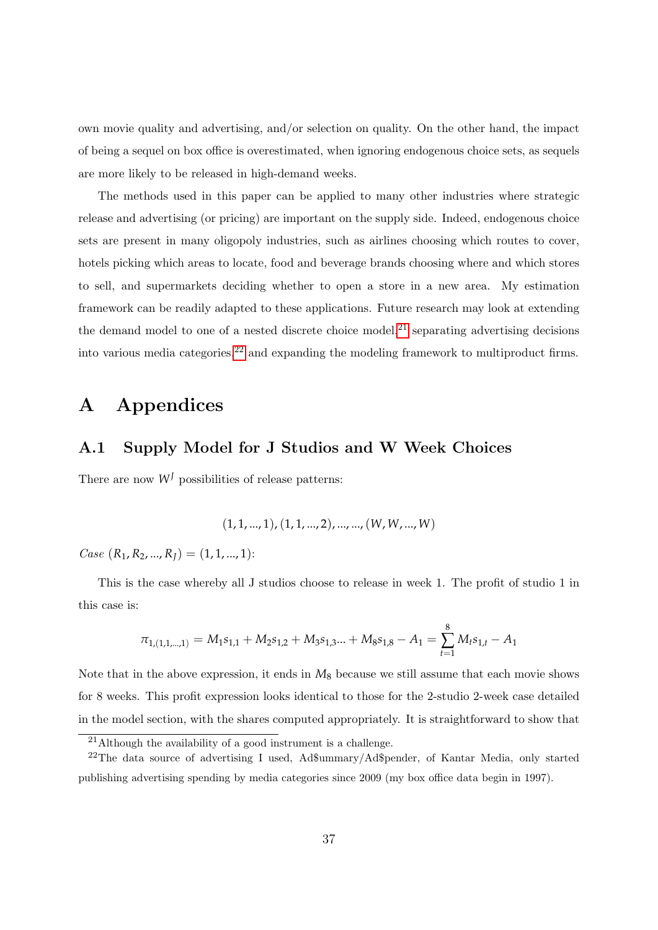own movie quality and advertising, and/or selection on quality. On the other hand, the impact of being a sequel on box office is overestimated, when ignoring endogenous choice sets, as sequels are more likely to be released in high-demand weeks.

The methods used in this paper can be applied to many other industries where strategic release and advertising (or pricing) are important on the supply side. Indeed, endogenous choice sets are present in many oligopoly industries, such as airlines choosing which routes to cover, hotels picking which areas to locate, food and beverage brands choosing where and which stores to sell, and supermarkets deciding whether to open a store in a new area. My estimation framework can be readily adapted to these applications. Future research may look at extending the demand model to one of a nested discrete choice model,<sup>[21](#page-36-0)</sup> separating advertising decisions into various media categories, $2^2$  and expanding the modeling framework to multiproduct firms.

# A Appendices

### A.1 Supply Model for J Studios and W Week Choices

There are now  $W<sup>J</sup>$  possibilities of release patterns:

$$
(1, 1, ..., 1), (1, 1, ..., 2), ..., ..., (W, W, ..., W)
$$

 $Case (R_1, R_2, ..., R_I) = (1, 1, ..., 1):$ 

This is the case whereby all J studios choose to release in week 1. The profit of studio 1 in this case is:

$$
\pi_{1,(1,1,\dots,1)} = M_1 s_{1,1} + M_2 s_{1,2} + M_3 s_{1,3} + M_8 s_{1,8} - A_1 = \sum_{t=1}^{8} M_t s_{1,t} - A_1
$$

Note that in the above expression, it ends in  $M_8$  because we still assume that each movie shows for 8 weeks. This profit expression looks identical to those for the 2-studio 2-week case detailed in the model section, with the shares computed appropriately. It is straightforward to show that

<span id="page-36-1"></span><span id="page-36-0"></span> $21$ Although the availability of a good instrument is a challenge.

<sup>22</sup>The data source of advertising I used, Ad\$ummary/Ad\$pender, of Kantar Media, only started publishing advertising spending by media categories since 2009 (my box office data begin in 1997).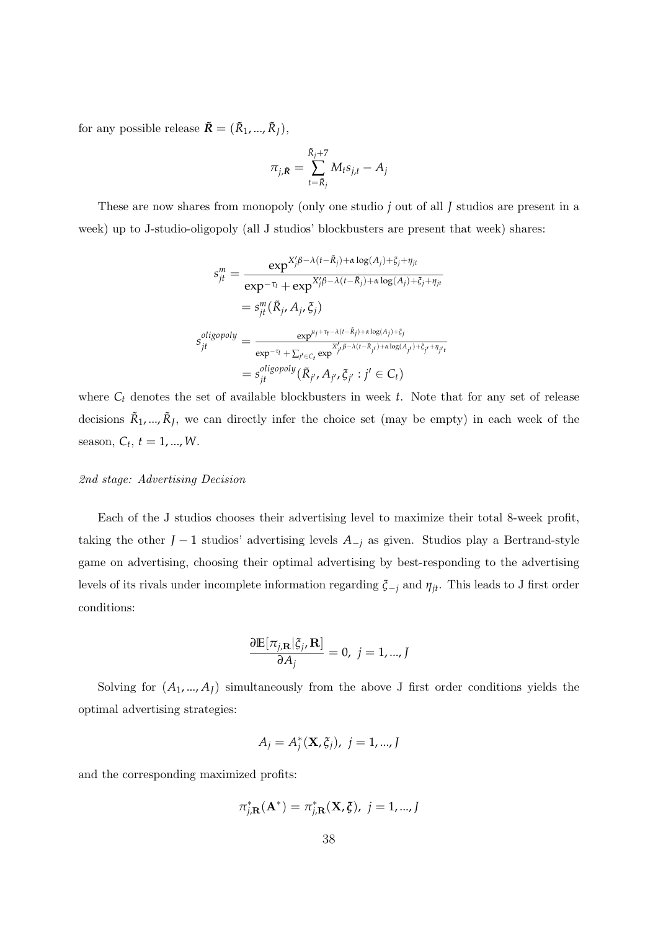for any possible release  $\tilde{R} = (\tilde{R}_1, ..., \tilde{R}_I),$ 

$$
\pi_{j,\bar{\mathbf{R}}} = \sum_{t=\tilde{R}_j}^{\tilde{R}_j+7} M_t s_{j,t} - A_j
$$

These are now shares from monopoly (only one studio *j* out of all *J* studios are present in a week) up to J-studio-oligopoly (all J studios' blockbusters are present that week) shares:

$$
s_{jt}^{m} = \frac{\exp^{X'_{j}\beta - \lambda(t - \tilde{R}_{j}) + \alpha \log(A_{j}) + \xi_{j} + \eta_{jt}}}{\exp^{-\tau_{t}} + \exp^{X'_{j}\beta - \lambda(t - \tilde{R}_{j}) + \alpha \log(A_{j}) + \xi_{j} + \eta_{jt}}}
$$
  

$$
= s_{jt}^{m}(\tilde{R}_{j}, A_{j}, \xi_{j})
$$
  

$$
s_{jt}^{oligopoly} = \frac{\exp^{\mu_{j} + \tau_{t} - \lambda(t - \tilde{R}_{j}) + \alpha \log(A_{j}) + \xi_{j}}}{\exp^{-\tau_{t}} + \sum_{j' \in C_{t}} \exp^{X'_{j}\beta - \lambda(t - \tilde{R}_{j'}) + \alpha \log(A_{j'}) + \xi_{j} + \eta_{jt'}}}
$$
  

$$
= s_{jt}^{oligopoly}(\tilde{R}_{j'}, A_{j'}, \xi_{j'} : j' \in C_{t})
$$

where  $C_t$  denotes the set of available blockbusters in week  $t$ . Note that for any set of release decisions  $\tilde{R}_1, ..., \tilde{R}_J$ , we can directly infer the choice set (may be empty) in each week of the season,  $C_t$ ,  $t = 1, ..., W$ .

#### 2nd stage: Advertising Decision

Each of the J studios chooses their advertising level to maximize their total 8-week profit, taking the other *J* − 1 studios' advertising levels  $A_{-j}$  as given. Studios play a Bertrand-style game on advertising, choosing their optimal advertising by best-responding to the advertising levels of its rivals under incomplete information regarding *ξ*−*<sup>j</sup>* and *ηjt*. This leads to J first order conditions:

$$
\frac{\partial \mathbb{E}[\pi_{j,\mathbf{R}}|\xi_j, \mathbf{R}]}{\partial A_j} = 0, \ j = 1, ..., J
$$

Solving for  $(A_1, ..., A_J)$  simultaneously from the above J first order conditions yields the optimal advertising strategies:

$$
A_j = A_j^*(\mathbf{X}, \xi_j), \ j = 1, ..., J
$$

and the corresponding maximized profits:

$$
\pi_{j,\mathbf{R}}^*(\mathbf{A}^*) = \pi_{j,\mathbf{R}}^*(\mathbf{X}, \boldsymbol{\xi}), \ j = 1, ..., J
$$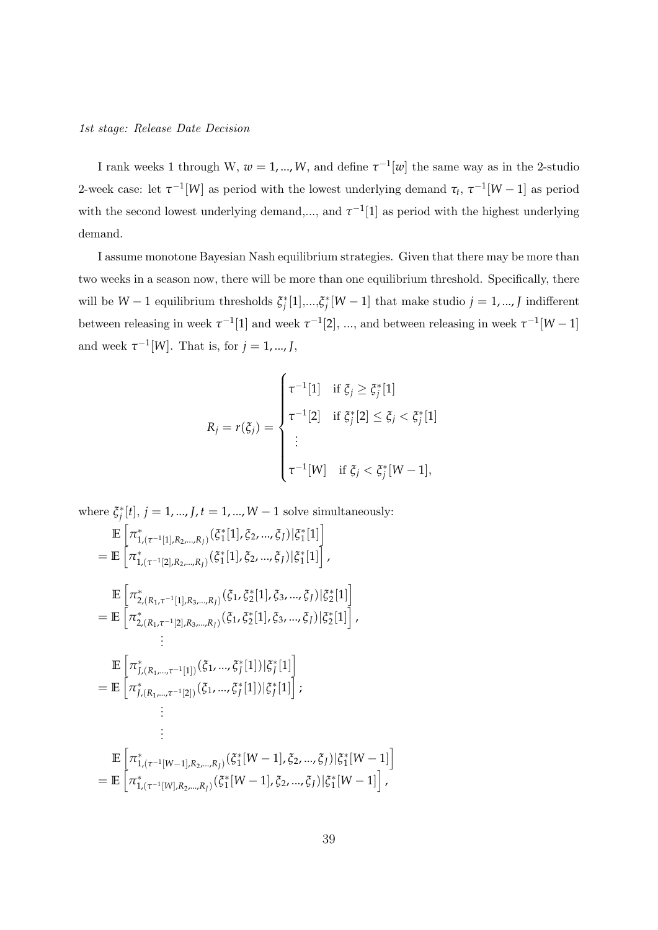I rank weeks 1 through W,  $w = 1, ..., W$ , and define  $\tau^{-1}[w]$  the same way as in the 2-studio 2-week case: let  $\tau^{-1}[W]$  as period with the lowest underlying demand  $\tau_t$ ,  $\tau^{-1}[W-1]$  as period with the second lowest underlying demand,..., and  $\tau^{-1}[1]$  as period with the highest underlying demand.

I assume monotone Bayesian Nash equilibrium strategies. Given that there may be more than two weeks in a season now, there will be more than one equilibrium threshold. Specifically, there will be  $W-1$  equilibrium thresholds  $\zeta_j^*[1],...,\zeta_j^*[W-1]$  that make studio  $j=1,...,J$  indifferent between releasing in week  $\tau^{-1}[1]$  and week  $\tau^{-1}[2]$ , ..., and between releasing in week  $\tau^{-1}[W-1]$ and week  $\tau^{-1}[W]$ . That is, for  $j = 1, ..., J$ ,

$$
R_{j} = r(\xi_{j}) = \begin{cases} \tau^{-1}[1] & \text{if } \xi_{j} \geq \xi_{j}^{*}[1] \\ \tau^{-1}[2] & \text{if } \xi_{j}^{*}[2] \leq \xi_{j} < \xi_{j}^{*}[1] \\ \vdots \\ \tau^{-1}[W] & \text{if } \xi_{j} < \xi_{j}^{*}[W-1], \end{cases}
$$

where  $\xi_j^*[t]$ ,  $j = 1, ..., J$ ,  $t = 1, ..., W - 1$  solve simultaneously:

$$
\mathbb{E}\left[\pi_{1,(\tau^{-1}[1],R_2,...,R_J)}^*(\xi_1^*[1],\xi_2,...,\xi_J)|\xi_1^*[1]\right]
$$
\n
$$
= \mathbb{E}\left[\pi_{1,(\tau^{-1}[2],R_2,...,R_J)}^*(\xi_1^*[1],\xi_2,...,\xi_J)|\xi_1^*[1]\right],
$$
\n
$$
\mathbb{E}\left[\pi_{2,(R_1,\tau^{-1}[1],R_3,...,R_J)}^*(\xi_1,\xi_2^*[1],\xi_3,...,\xi_J)|\xi_2^*[1]\right]
$$
\n
$$
= \mathbb{E}\left[\pi_{2,(R_1,\tau^{-1}[2],R_3,...,R_J)}^*(\xi_1,\xi_2^*[1],\xi_3,...,\xi_J)|\xi_2^*[1]\right],
$$
\n
$$
\vdots
$$
\n
$$
\mathbb{E}\left[\pi_{f,(R_1,...,\tau^{-1}[2])}^*(\xi_1,...,\xi_J^*[1])|\xi_J^*[1]\right]
$$
\n
$$
= \mathbb{E}\left[\pi_{f,(R_1,...,\tau^{-1}[2])}^*(\xi_1,...,\xi_J^*[1])|\xi_J^*[1]\right];
$$
\n
$$
\vdots
$$
\n
$$
\mathbb{E}\left[\pi_{1,(\tau^{-1}[W-1],R_2,...,R_J)}^*(\xi_1^*[W-1],\xi_2,...,\xi_J)|\xi_1^*[W-1]\right]
$$
\n
$$
= \mathbb{E}\left[\pi_{1,(\tau^{-1}[W],R_2,...,R_J)}^*(\xi_1^*[W-1],\xi_2,...,\xi_J)|\xi_1^*[W-1]\right],
$$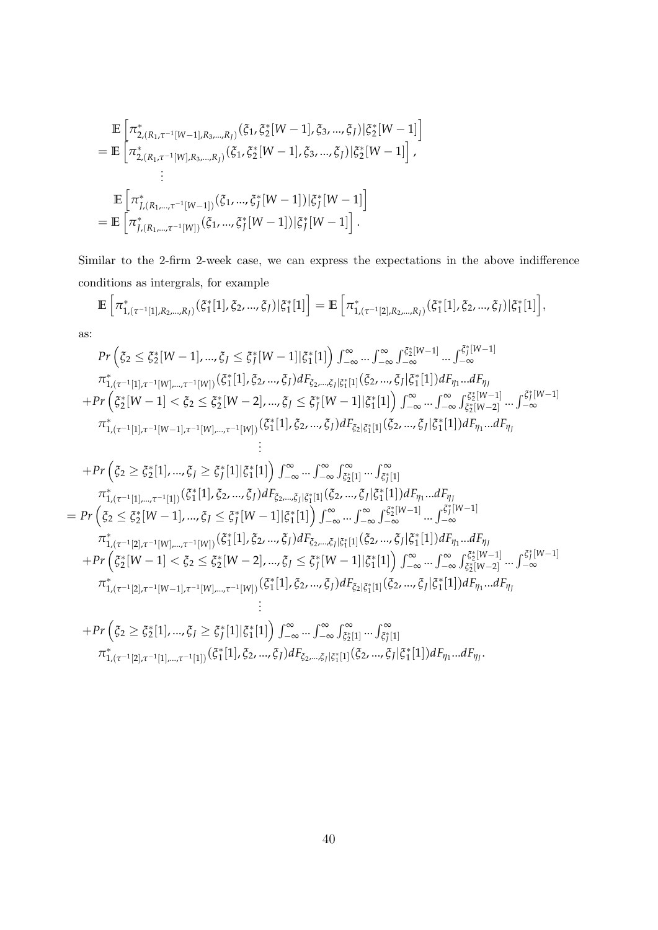$$
\mathbb{E}\left[\pi_{2,(R_1,\tau^{-1}[W-1],R_3,\ldots,R_J)}^*(\xi_1,\xi_2^*[W-1],\xi_3,\ldots,\xi_J)|\xi_2^*[W-1]\right]
$$
\n
$$
=\mathbb{E}\left[\pi_{2,(R_1,\tau^{-1}[W],R_3,\ldots,R_J)}^*(\xi_1,\xi_2^*[W-1],\xi_3,\ldots,\xi_J)|\xi_2^*[W-1]\right],
$$
\n
$$
\vdots
$$
\n
$$
\mathbb{E}\left[\pi_{J,(R_1,\ldots,\tau^{-1}[W-1])}^*(\xi_1,\ldots,\xi_J^*[W-1])|\xi_J^*[W-1]\right]
$$
\n
$$
=\mathbb{E}\left[\pi_{J,(R_1,\ldots,\tau^{-1}[W])}^*(\xi_1,\ldots,\xi_J^*[W-1])|\xi_J^*[W-1]\right].
$$

Similar to the 2-firm 2-week case, we can express the expectations in the above indifference conditions as intergrals, for example

$$
\mathbb{E}\left[\pi_{1,(\tau^{-1}[1],R_2,\ldots,R_J)}^*(\zeta_1^*[1],\zeta_2,\ldots,\zeta_J)|\zeta_1^*[1]\right] = \mathbb{E}\left[\pi_{1,(\tau^{-1}[2],R_2,\ldots,R_J)}^*(\zeta_1^*[1],\zeta_2,\ldots,\zeta_J)|\zeta_1^*[1]\right],
$$

as:

$$
Pr\left(\xi_{2} \leq \xi_{2}^{*}[W-1], ..., \xi_{J} \leq \xi_{J}^{*}[W-1]|\xi_{1}^{*}[1]\right) \int_{-\infty}^{\infty} ... \int_{-\infty}^{\infty} \int_{-\infty}^{\xi_{2}^{*}[W-1]} ... \int_{-\infty}^{\xi_{J}^{*}[W-1]} \frac{\tau_{1,(\tau^{-1}[1],\tau^{-1}[W], ..., \tau^{-1}[W])}(\xi_{1}^{*}[1], \xi_{2}, ..., \xi_{J})dF_{\xi_{2}, ..., \xi_{J}}|\xi_{1}^{*}[1](\xi_{2}, ..., \xi_{J}|\xi_{1}^{*}[1])dF_{\eta_{1}}...dF_{\eta_{J}}}{+\Pr\left(\xi_{2}^{*}[W-1] < \xi_{2} \leq \xi_{2}^{*}[W-2], ..., \xi_{J} \leq \xi_{J}^{*}[W-1]|\xi_{1}^{*}[1]\right) \int_{-\infty}^{\infty} ... \int_{-\infty}^{\infty} \int_{\xi_{2}^{*}[W-2]}^{\xi_{2}^{*}[W-1]} ... \int_{-\infty}^{\xi_{J}^{*}[W-1]} \pi_{1,(\tau^{-1}[1],\tau^{-1}[W-1],\tau^{-1}[W], ..., \tau^{-1}[W])}(\xi_{1}^{*}[1], \xi_{2}, ..., \xi_{J})dF_{\xi_{2}|\xi_{1}^{*}[1]}(\xi_{2}, ..., \xi_{J}|\xi_{1}^{*}[1])dF_{\eta_{1}}...dF_{\eta_{J}}
$$
  
\n
$$
+Pr\left(\xi_{2} \geq \xi_{2}^{*}[1], ..., \xi_{J} \geq \xi_{J}^{*}[1]|\xi_{1}^{*}[1]\right) \int_{-\infty}^{\infty} ... \int_{-\infty}^{\infty} \int_{\xi_{2}^{*}[1]} ... \int_{\xi_{J}^{*}[1]} \pi_{1}^{*} \pi_{1,(\tau^{-1}[1], ..., \tau^{-1}[1])}(\xi_{1}^{*}[1], \xi_{2}, ..., \xi_{J})dF_{\xi_{2}, ..., \xi_{J}|\xi_{1}^{*}[1]}(\xi_{2}, ..., \xi_{J}|\xi_{1}^{*}[1])dF_{\eta_{1}}...dF_{\eta_{J}}
$$
  
\n
$$
=Pr\left(\xi_{2} \leq \xi_{2}^{*}[W-1],
$$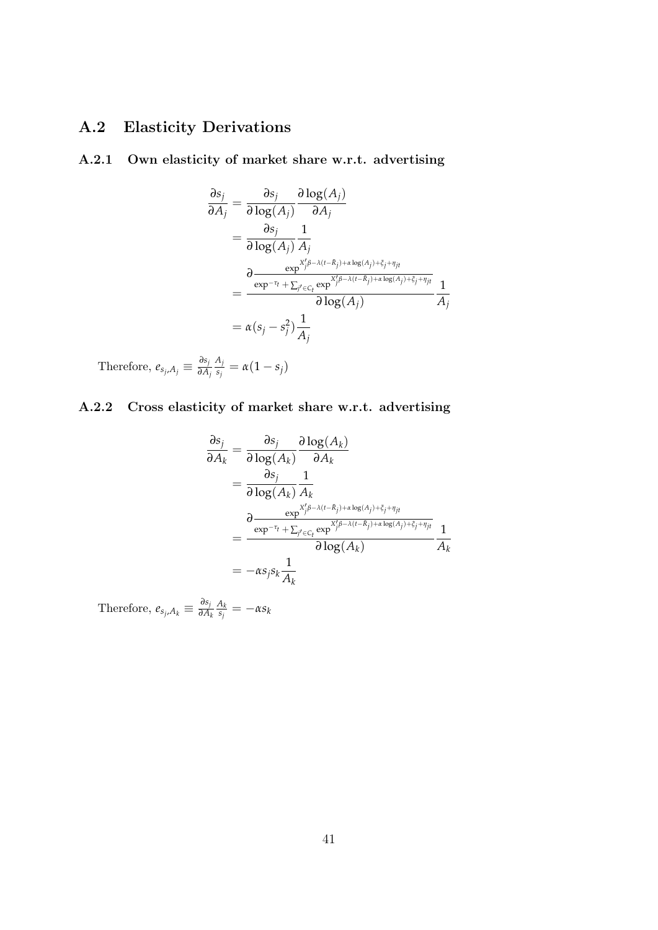# A.2 Elasticity Derivations

### A.2.1 Own elasticity of market share w.r.t. advertising

$$
\frac{\partial s_j}{\partial A_j} = \frac{\partial s_j}{\partial \log(A_j)} \frac{\partial \log(A_j)}{\partial A_j}
$$
  
\n
$$
= \frac{\partial s_j}{\partial \log(A_j)} \frac{1}{A_j}
$$
  
\n
$$
= \frac{\partial \frac{\exp^{X_j'\beta - \lambda(t - \bar{R}_j) + \alpha \log(A_j) + \bar{\zeta}_j + \eta_{jt}}}{\exp^{-\tau_t} + \sum_{j' \in C_t} \exp^{X_j'\beta - \lambda(t - \bar{R}_j) + \alpha \log(A_j) + \bar{\zeta}_j + \eta_{jt}}}
$$
  
\n
$$
= \frac{\partial (s_j - s_j^2)}{\partial \log(A_j)} \frac{1}{A_j}
$$

Therefore,  $e_{s_j,A_j} \equiv \frac{\partial s_j}{\partial A}$ *∂A<sup>j</sup> Aj*  $\frac{\alpha_j}{s_j} = \alpha(1-s_j)$ 

# A.2.2 Cross elasticity of market share w.r.t. advertising

$$
\frac{\partial s_j}{\partial A_k} = \frac{\partial s_j}{\partial \log(A_k)} \frac{\partial \log(A_k)}{\partial A_k}
$$
  
\n
$$
= \frac{\partial s_j}{\partial \log(A_k)} \frac{1}{A_k}
$$
  
\n
$$
= \frac{\partial \frac{\exp^{X'_j \beta - \lambda(t - \bar{R}_j) + \alpha \log(A_j) + \bar{\zeta}_j + \eta_{jt}}}{\exp^{-\tau_t} + \sum_{j' \in C_t} \exp^{X'_j \beta - \lambda(t - \bar{R}_j) + \alpha \log(A_j) + \bar{\zeta}_j + \eta_{jt}}}
$$
  
\n
$$
= -\alpha s_j s_k \frac{1}{A_k}
$$

Therefore,  $e_{s_j, A_k} \equiv \frac{\partial s_j}{\partial A}$ *∂A<sup>k</sup> Ak*  $\frac{A_k}{s_j} = -\alpha s_k$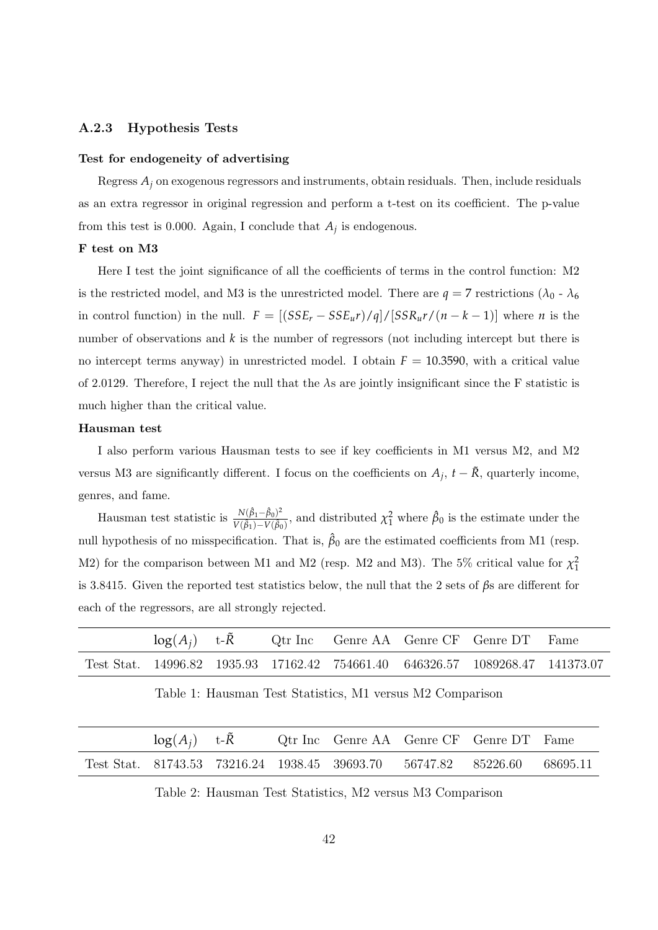#### A.2.3 Hypothesis Tests

#### Test for endogeneity of advertising

Regress  $A_i$  on exogenous regressors and instruments, obtain residuals. Then, include residuals as an extra regressor in original regression and perform a t-test on its coefficient. The p-value from this test is 0.000. Again, I conclude that  $A_j$  is endogenous.

#### F test on M3

Here I test the joint significance of all the coefficients of terms in the control function: M2 is the restricted model, and M3 is the unrestricted model. There are  $q = 7$  restrictions ( $\lambda_0$  -  $\lambda_6$ ) in control function) in the null.  $F = [(SSE_r - SSE_u r)/q]/[SSR_u r/(n-k-1)]$  where *n* is the number of observations and *k* is the number of regressors (not including intercept but there is no intercept terms anyway) in unrestricted model. I obtain  $F = 10.3590$ , with a critical value of 2.0129. Therefore, I reject the null that the *λ*s are jointly insignificant since the F statistic is much higher than the critical value.

#### Hausman test

I also perform various Hausman tests to see if key coefficients in M1 versus M2, and M2 versus M3 are significantly different. I focus on the coefficients on  $A_j$ ,  $t - \tilde{R}$ , quarterly income, genres, and fame.

Hausman test statistic is  $\frac{N(\hat{\beta}_1 - \hat{\beta}_0)^2}{V(\hat{\beta}) - V(\hat{\beta})}$  $\frac{N(\beta_1 - \beta_0)^2}{V(\beta_1) - V(\beta_0)}$ , and distributed  $\chi_1^2$  where  $\hat{\beta}_0$  is the estimate under the null hypothesis of no misspecification. That is,  $\hat{\beta}_0$  are the estimated coefficients from M1 (resp. M2) for the comparison between M1 and M2 (resp. M2 and M3). The 5% critical value for  $\chi_1^2$ is 3.8415. Given the reported test statistics below, the null that the 2 sets of *β*s are different for each of the regressors, are all strongly rejected.

| $log(A_i)$ t- $\overline{R}$ |  |  | Qtr Inc Genre AA Genre CF Genre DT Fame                                       |  |
|------------------------------|--|--|-------------------------------------------------------------------------------|--|
|                              |  |  | Test Stat. 14996.82 1935.93 17162.42 754661.40 646326.57 1089268.47 141373.07 |  |

Table 1: Hausman Test Statistics, M1 versus M2 Comparison

| $log(A_i)$ t- $\overline{R}$ |  | Qtr Inc Genre AA Genre CF Genre DT Fame                         |  |          |
|------------------------------|--|-----------------------------------------------------------------|--|----------|
|                              |  | Test Stat. 81743.53 73216.24 1938.45 39693.70 56747.82 85226.60 |  | 68695.11 |

Table 2: Hausman Test Statistics, M2 versus M3 Comparison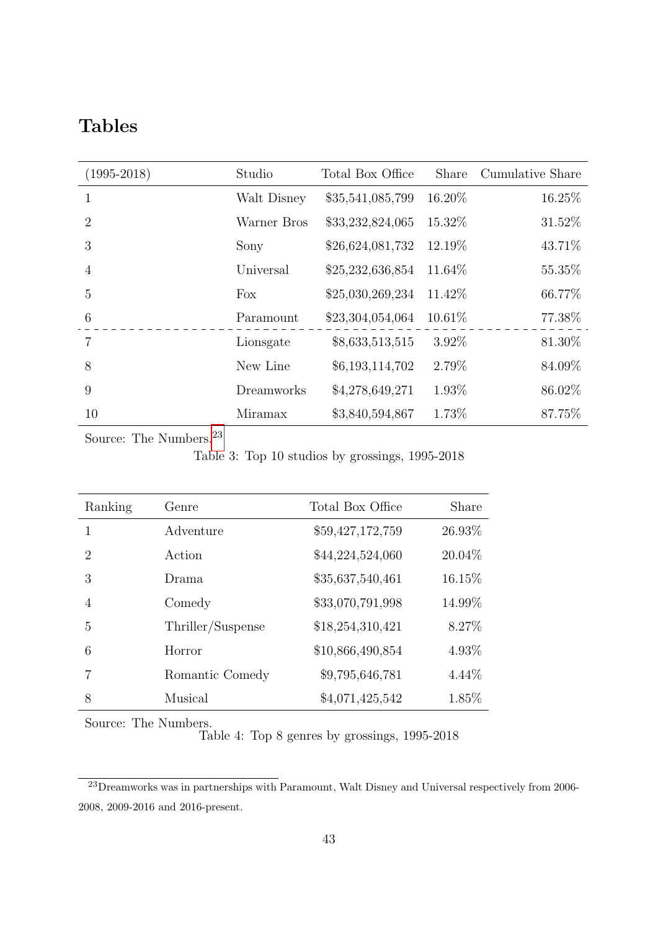# Tables

| $(1995 - 2018)$             | Studio      | Total Box Office | Share   | Cumulative Share |
|-----------------------------|-------------|------------------|---------|------------------|
| 1                           | Walt Disney | \$35,541,085,799 | 16.20%  | 16.25%           |
| $\mathcal{D}_{\mathcal{L}}$ | Warner Bros | \$33,232,824,065 | 15.32\% | 31.52%           |
| 3                           | Sony        | \$26,624,081,732 | 12.19%  | 43.71%           |
| 4                           | Universal   | \$25,232,636,854 | 11.64\% | 55.35%           |
| 5                           | Fox         | \$25,030,269,234 | 11.42\% | 66.77%           |
| 6                           | Paramount   | \$23,304,054,064 | 10.61%  | 77.38%           |
| 7                           | Lionsgate   | \$8,633,513,515  | 3.92%   | 81.30%           |
| 8                           | New Line    | \$6,193,114,702  | 2.79%   | 84.09%           |
| 9                           | Dreamworks  | \$4,278,649,271  | 1.93%   | 86.02%           |
| 10                          | Miramax     | \$3,840,594,867  | 1.73%   | 87.75%           |

<span id="page-42-0"></span>Source: The Numbers.  $^{23}$  $^{23}$  $^{23}$ 

Table 3: Top 10 studios by grossings, 1995-2018

| Ranking                     | Genre             | Total Box Office | Share    |
|-----------------------------|-------------------|------------------|----------|
| 1                           | Adventure         | \$59,427,172,759 | 26.93%   |
| $\mathcal{D}_{\mathcal{L}}$ | Action            | \$44,224,524,060 | 20.04%   |
| 3                           | Drama             | \$35,637,540,461 | 16.15%   |
| 4                           | Comedy            | \$33,070,791,998 | 14.99%   |
| 5                           | Thriller/Suspense | \$18,254,310,421 | 8.27%    |
| 6                           | Horror            | \$10,866,490,854 | 4.93%    |
|                             | Romantic Comedy   | \$9,795,646,781  | $4.44\%$ |
| 8                           | Musical           | \$4,071,425,542  | 1.85%    |

<span id="page-42-1"></span>Source: The Numbers.

Table 4: Top 8 genres by grossings, 1995-2018

<span id="page-42-2"></span><sup>&</sup>lt;sup>23</sup>Dreamworks was in partnerships with Paramount, Walt Disney and Universal respectively from 2006-2008, 2009-2016 and 2016-present.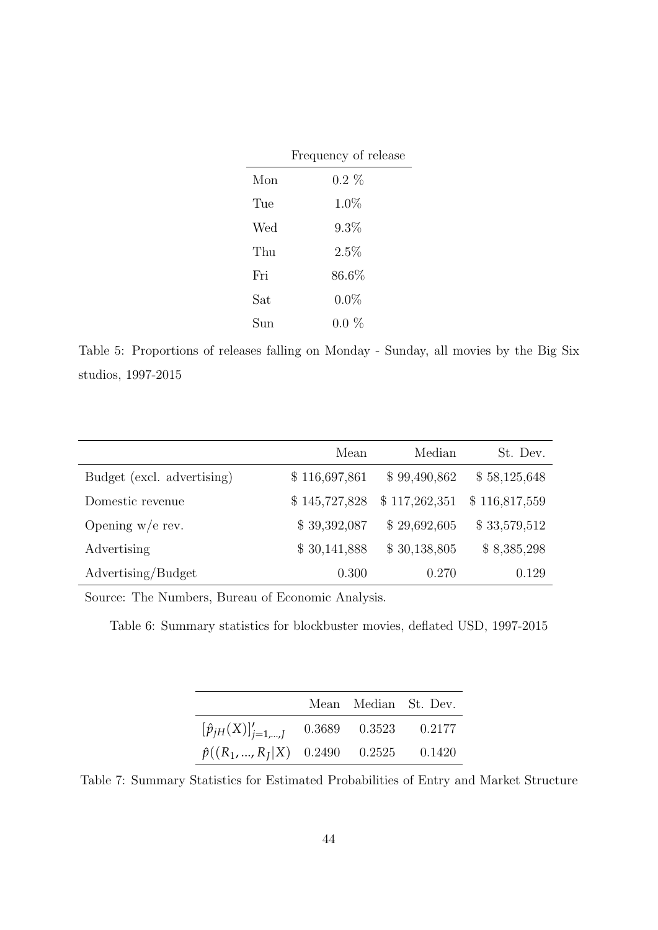|     | Frequency of release |
|-----|----------------------|
| Mon | $0.2\%$              |
| Tue | $1.0\%$              |
| Wed | 9.3%                 |
| Thu | 2.5%                 |
| Fri | $86.6\%$             |
| Sat | $0.0\%$              |
| Sun | $0.0 \%$             |

<span id="page-43-0"></span>Table 5: Proportions of releases falling on Monday - Sunday, all movies by the Big Six studios, 1997-2015

|                            | Mean          | Median        | St. Dev.      |
|----------------------------|---------------|---------------|---------------|
| Budget (excl. advertising) | \$116,697,861 | \$99,490,862  | \$58,125,648  |
| Domestic revenue           | \$145,727,828 | \$117,262,351 | \$116,817,559 |
| Opening $w/e$ rev.         | \$39,392,087  | \$29,692,605  | \$33,579,512  |
| Advertising                | \$30,141,888  | \$30,138,805  | \$8,385,298   |
| Advertising/Budget         | 0.300         | 0.270         | 0.129         |

<span id="page-43-1"></span>Source: The Numbers, Bureau of Economic Analysis.

Table 6: Summary statistics for blockbuster movies, deflated USD, 1997-2015

|                                                         |  | Mean Median St. Dev. |
|---------------------------------------------------------|--|----------------------|
| $[\hat{p}_{jH}(X)]'_{j=1,\dots,J}$ 0.3689 0.3523 0.2177 |  |                      |
| $\hat{p}((R_1, , R_I X)$ 0.2490 0.2525 0.1420           |  |                      |

<span id="page-43-2"></span>Table 7: Summary Statistics for Estimated Probabilities of Entry and Market Structure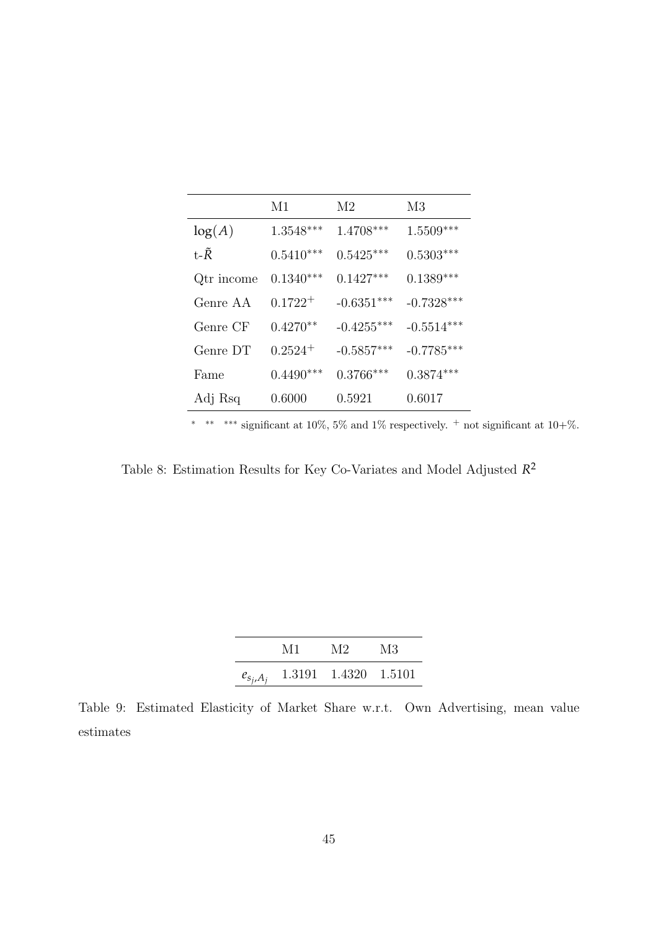|                | M1           | M2           | M <sub>3</sub>   |
|----------------|--------------|--------------|------------------|
| log(A)         | $1.3548***$  | $1.4708***$  | $1.5509***$      |
| t- $\tilde{R}$ | $0.5410***$  | $0.5425***$  | $0.5303^{***}\,$ |
| Qtr income     | $0.1340***$  | $0.1427***$  | $0.1389***$      |
| Genre AA       | $0.1722^{+}$ | $-0.6351***$ | $-0.7328***$     |
| Genre CF       | $0.4270**$   | $-0.4255***$ | $-0.5514***$     |
| Genre DT       | $0.2524^{+}$ | $-0.5857***$ | $-0.7785***$     |
| Fame           | $0.4490***$  | $0.3766***$  | $0.3874***$      |
| Adj Rsq        | 0.6000       | 0.5921       | 0.6017           |

∗ ∗∗ ∗∗∗ significant at 10%, 5% and 1% respectively. <sup>+</sup> not significant at 10+%.

<span id="page-44-0"></span>Table 8: Estimation Results for Key Co-Variates and Model Adjusted *R* 2

| M1 | M2                                 | M3 |
|----|------------------------------------|----|
|    | $e_{s_j,A_j}$ 1.3191 1.4320 1.5101 |    |

<span id="page-44-1"></span>Table 9: Estimated Elasticity of Market Share w.r.t. Own Advertising, mean value estimates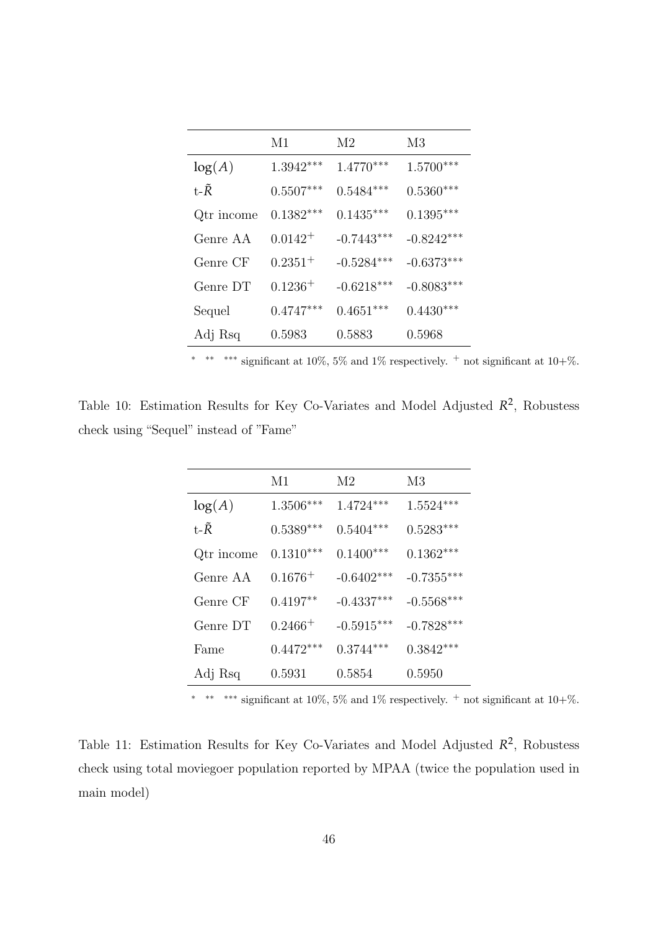|                | M1           | M2           | M <sub>3</sub> |
|----------------|--------------|--------------|----------------|
| log(A)         | $1.3942***$  | $1.4770***$  | $1.5700***$    |
| t- $\tilde{R}$ | $0.5507***$  | $0.5484***$  | $0.5360***$    |
| Qtr income     | $0.1382***$  | $0.1435***$  | $0.1395***$    |
| Genre AA       | $0.0142^{+}$ | $-0.7443***$ | $-0.8242***$   |
| Genre CF       | $0.2351^{+}$ | $-0.5284***$ | $-0.6373***$   |
| Genre DT       | $0.1236 +$   | $-0.6218***$ | $-0.8083***$   |
| Sequel         | $0.4747***$  | $0.4651***$  | $0.4430***$    |
| Adj Rsq        | 0.5983       | 0.5883       | 0.5968         |

<sup>\*</sup> \*\*\* significant at 10%, 5% and 1% respectively. <sup>+</sup> not significant at 10+%.

<span id="page-45-0"></span>Table 10: Estimation Results for Key Co-Variates and Model Adjusted  $R^2$ , Robustess check using "Sequel" instead of "Fame"

|                | M1           | M2           | M <sub>3</sub> |
|----------------|--------------|--------------|----------------|
| log(A)         | $1.3506***$  | $1.4724***$  | $1.5524***$    |
| t- $\tilde{R}$ | $0.5389***$  | $0.5404***$  | $0.5283***$    |
| Qtr income     | $0.1310***$  | $0.1400***$  | $0.1362***$    |
| Genre AA       | $0.1676^{+}$ | $-0.6402***$ | $-0.7355***$   |
| Genre CF       | $0.4197**$   | $-0.4337***$ | $-0.5568***$   |
| Genre DT       | $0.2466 +$   | $-0.5915***$ | $-0.7828***$   |
| Fame           | $0.4472***$  | $0.3744***$  | $0.3842***$    |
| Adj Rsq        | 0.5931       | 0.5854       | 0.5950         |

<sup>\*</sup> \*\*\* significant at 10%, 5% and 1% respectively. <sup>+</sup> not significant at 10+%.

<span id="page-45-1"></span>Table 11: Estimation Results for Key Co-Variates and Model Adjusted  $\mathbb{R}^2$ , Robustess check using total moviegoer population reported by MPAA (twice the population used in main model)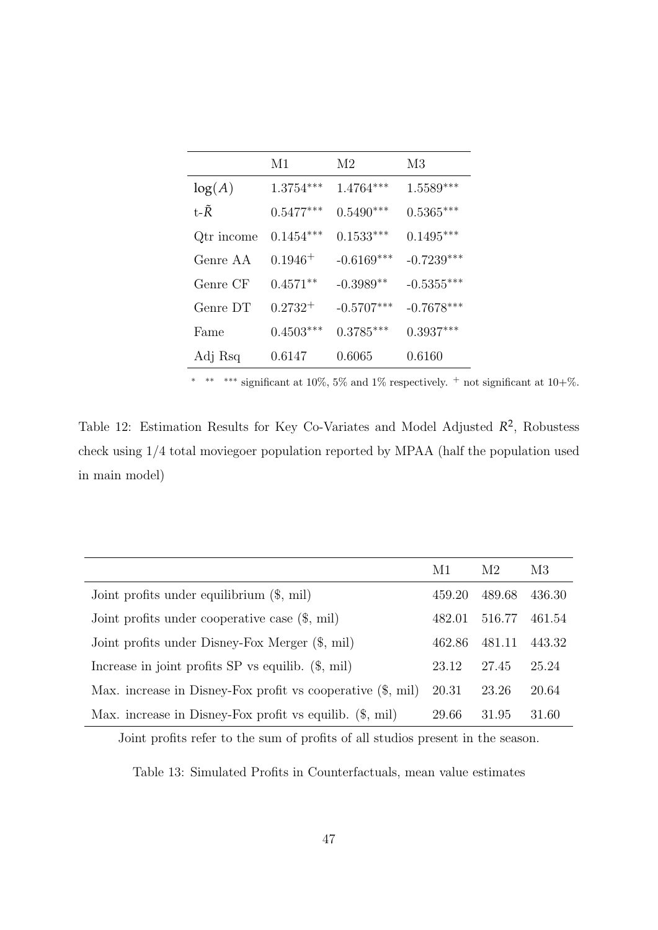|                | M1           | M2           | M <sub>3</sub> |
|----------------|--------------|--------------|----------------|
| log(A)         | $1.3754***$  | $1.4764***$  | $1.5589***$    |
| t- $\tilde{R}$ | $0.5477***$  | $0.5490***$  | $0.5365***$    |
| Qtr income     | $0.1454***$  | $0.1533***$  | $0.1495***$    |
| Genre AA       | $0.1946^{+}$ | $-0.6169***$ | $-0.7239***$   |
| Genre CF       | $0.4571**$   | $-0.3989**$  | $-0.5355***$   |
| Genre DT       | $0.2732^+$   | $-0.5707***$ | $-0.7678***$   |
| Fame           | $0.4503***$  | $0.3785***$  | $0.3937***$    |
| Adj Rsq        | 0.6147       | 0.6065       | 0.6160         |

\*\* \*\*\* significant at 10%, 5% and 1% respectively.  $+$  not significant at 10+%.

<span id="page-46-0"></span>Table 12: Estimation Results for Key Co-Variates and Model Adjusted  $\mathbb{R}^2$ , Robustess check using 1/4 total moviegoer population reported by MPAA (half the population used in main model)

|                                                                      | M1     | M2     | M <sub>3</sub> |
|----------------------------------------------------------------------|--------|--------|----------------|
| Joint profits under equilibrium $(\$, \text{mil})$                   | 459.20 | 489.68 | 436.30         |
| Joint profits under cooperative case $(\$,$ mil)                     | 482.01 | 516.77 | 461.54         |
| Joint profits under Disney-Fox Merger (\$, mil)                      | 462.86 | 481.11 | 443.32         |
| Increase in joint profits $SP$ vs equilib. $(\$, \text{mil})$        | 23.12  | 27.45  | 25.24          |
| Max. increase in Disney-Fox profit vs cooperative $(\$, \text{mil})$ | 20.31  | 23.26  | 20.64          |
| Max. increase in Disney-Fox profit vs equilib. $(\$, mil)$           | 29.66  | 31.95  | 31.60          |

<span id="page-46-1"></span>Joint profits refer to the sum of profits of all studios present in the season.

Table 13: Simulated Profits in Counterfactuals, mean value estimates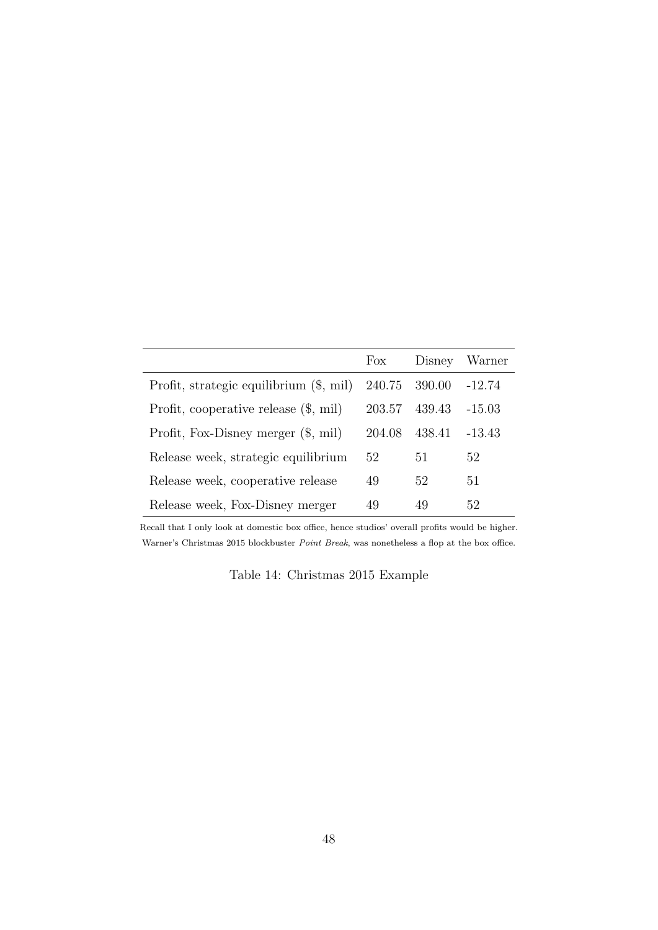|                                         | Fox    | Disney | Warner   |
|-----------------------------------------|--------|--------|----------|
| Profit, strategic equilibrium (\$, mil) | 240.75 | 390.00 | $-12.74$ |
| Profit, cooperative release $(\$, mil)$ | 203.57 | 439.43 | $-15.03$ |
| Profit, Fox-Disney merger $(\$, mil)$   | 204.08 | 438.41 | -13.43   |
| Release week, strategic equilibrium     | 52     | 51     | 52       |
| Release week, cooperative release       | 49     | 52     | 51       |
| Release week, Fox-Disney merger         | 49     | 49     | 52       |

<span id="page-47-0"></span>Recall that I only look at domestic box office, hence studios' overall profits would be higher. Warner's Christmas 2015 blockbuster Point Break, was nonetheless a flop at the box office.

Table 14: Christmas 2015 Example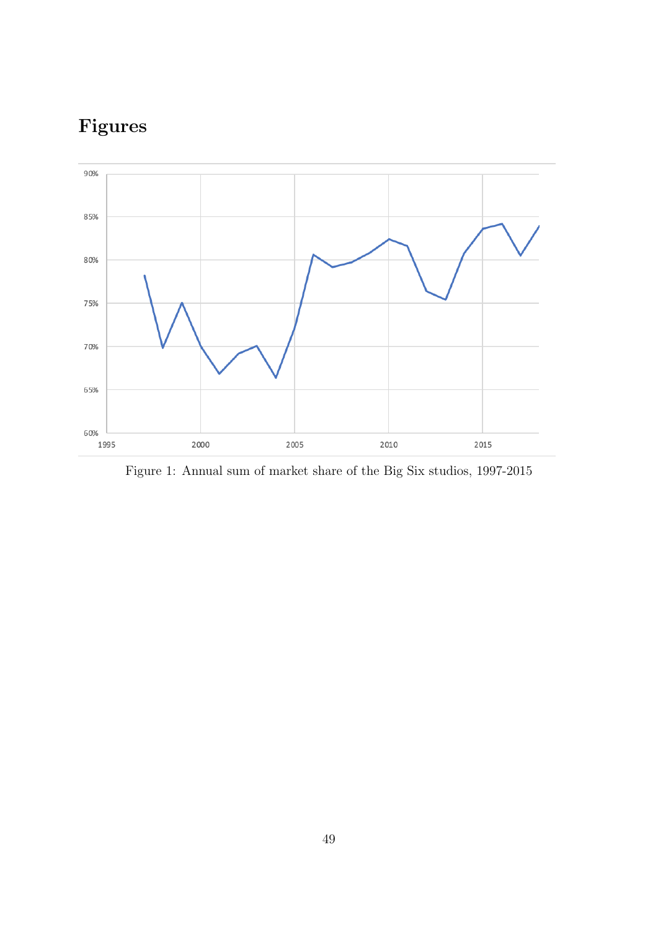# Figures



<span id="page-48-0"></span>Figure 1: Annual sum of market share of the Big Six studios, 1997-2015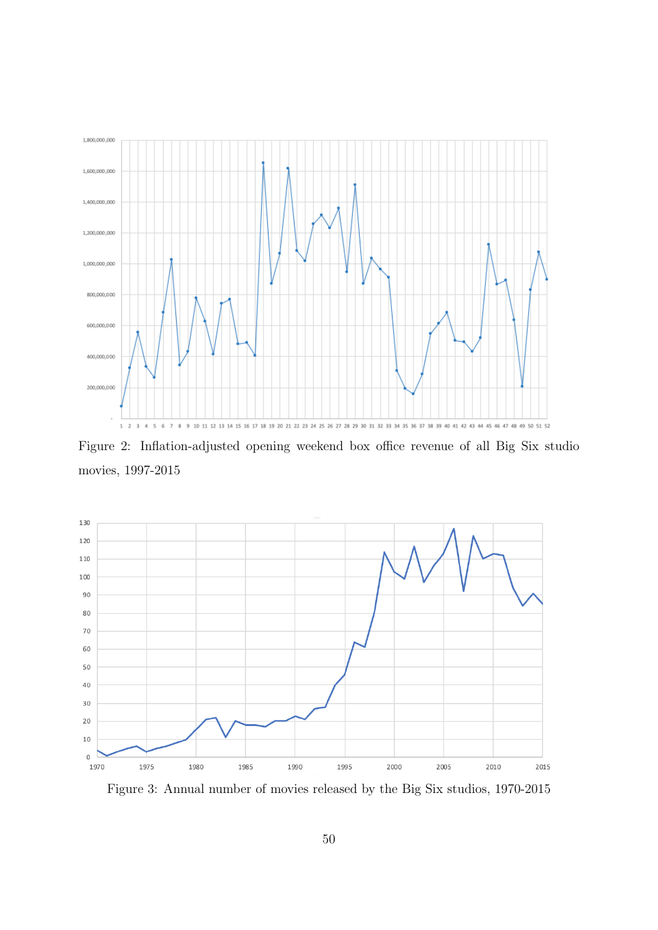

<span id="page-49-0"></span>Figure 2: Inflation-adjusted opening weekend box office revenue of all Big Six studio movies, 1997-2015



<span id="page-49-1"></span>Figure 3: Annual number of movies released by the Big Six studios, 1970-2015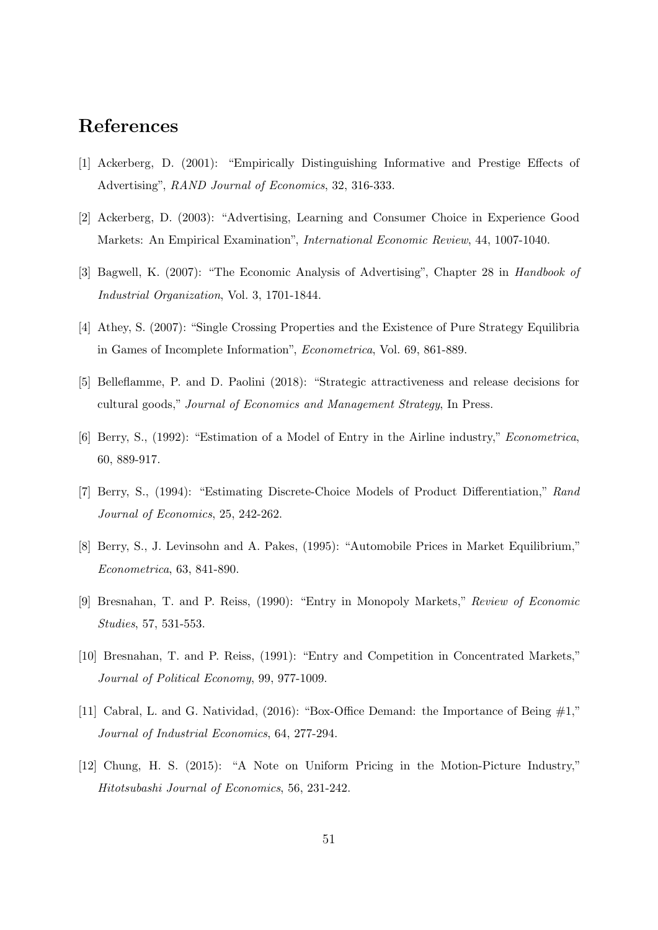# References

- [1] Ackerberg, D. (2001): "Empirically Distinguishing Informative and Prestige Effects of Advertising", RAND Journal of Economics, 32, 316-333.
- [2] Ackerberg, D. (2003): "Advertising, Learning and Consumer Choice in Experience Good Markets: An Empirical Examination", International Economic Review, 44, 1007-1040.
- [3] Bagwell, K. (2007): "The Economic Analysis of Advertising", Chapter 28 in Handbook of Industrial Organization, Vol. 3, 1701-1844.
- [4] Athey, S. (2007): "Single Crossing Properties and the Existence of Pure Strategy Equilibria in Games of Incomplete Information", Econometrica, Vol. 69, 861-889.
- [5] Belleflamme, P. and D. Paolini (2018): "Strategic attractiveness and release decisions for cultural goods," Journal of Economics and Management Strategy, In Press.
- [6] Berry, S., (1992): "Estimation of a Model of Entry in the Airline industry," Econometrica, 60, 889-917.
- [7] Berry, S., (1994): "Estimating Discrete-Choice Models of Product Differentiation," Rand Journal of Economics, 25, 242-262.
- [8] Berry, S., J. Levinsohn and A. Pakes, (1995): "Automobile Prices in Market Equilibrium," Econometrica, 63, 841-890.
- [9] Bresnahan, T. and P. Reiss, (1990): "Entry in Monopoly Markets," Review of Economic Studies, 57, 531-553.
- [10] Bresnahan, T. and P. Reiss, (1991): "Entry and Competition in Concentrated Markets," Journal of Political Economy, 99, 977-1009.
- [11] Cabral, L. and G. Natividad, (2016): "Box-Office Demand: the Importance of Being #1," Journal of Industrial Economics, 64, 277-294.
- [12] Chung, H. S. (2015): "A Note on Uniform Pricing in the Motion-Picture Industry," Hitotsubashi Journal of Economics, 56, 231-242.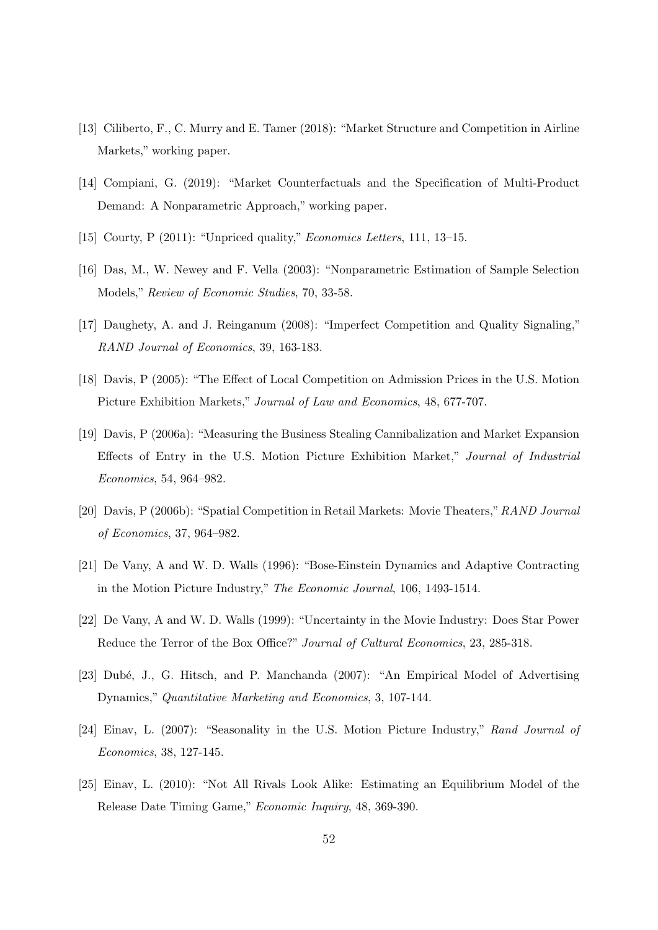- [13] Ciliberto, F., C. Murry and E. Tamer (2018): "Market Structure and Competition in Airline Markets," working paper.
- [14] Compiani, G. (2019): "Market Counterfactuals and the Specification of Multi-Product Demand: A Nonparametric Approach," working paper.
- [15] Courty, P (2011): "Unpriced quality," Economics Letters, 111, 13–15.
- [16] Das, M., W. Newey and F. Vella (2003): "Nonparametric Estimation of Sample Selection Models," Review of Economic Studies, 70, 33-58.
- [17] Daughety, A. and J. Reinganum (2008): "Imperfect Competition and Quality Signaling," RAND Journal of Economics, 39, 163-183.
- [18] Davis, P (2005): "The Effect of Local Competition on Admission Prices in the U.S. Motion Picture Exhibition Markets," Journal of Law and Economics, 48, 677-707.
- [19] Davis, P (2006a): "Measuring the Business Stealing Cannibalization and Market Expansion Effects of Entry in the U.S. Motion Picture Exhibition Market," Journal of Industrial Economics, 54, 964–982.
- [20] Davis, P (2006b): "Spatial Competition in Retail Markets: Movie Theaters,"RAND Journal of Economics, 37, 964–982.
- [21] De Vany, A and W. D. Walls (1996): "Bose-Einstein Dynamics and Adaptive Contracting in the Motion Picture Industry," The Economic Journal, 106, 1493-1514.
- [22] De Vany, A and W. D. Walls (1999): "Uncertainty in the Movie Industry: Does Star Power Reduce the Terror of the Box Office?" Journal of Cultural Economics, 23, 285-318.
- [23] Dubé, J., G. Hitsch, and P. Manchanda (2007): "An Empirical Model of Advertising Dynamics," Quantitative Marketing and Economics, 3, 107-144.
- [24] Einav, L. (2007): "Seasonality in the U.S. Motion Picture Industry," Rand Journal of Economics, 38, 127-145.
- [25] Einav, L. (2010): "Not All Rivals Look Alike: Estimating an Equilibrium Model of the Release Date Timing Game," Economic Inquiry, 48, 369-390.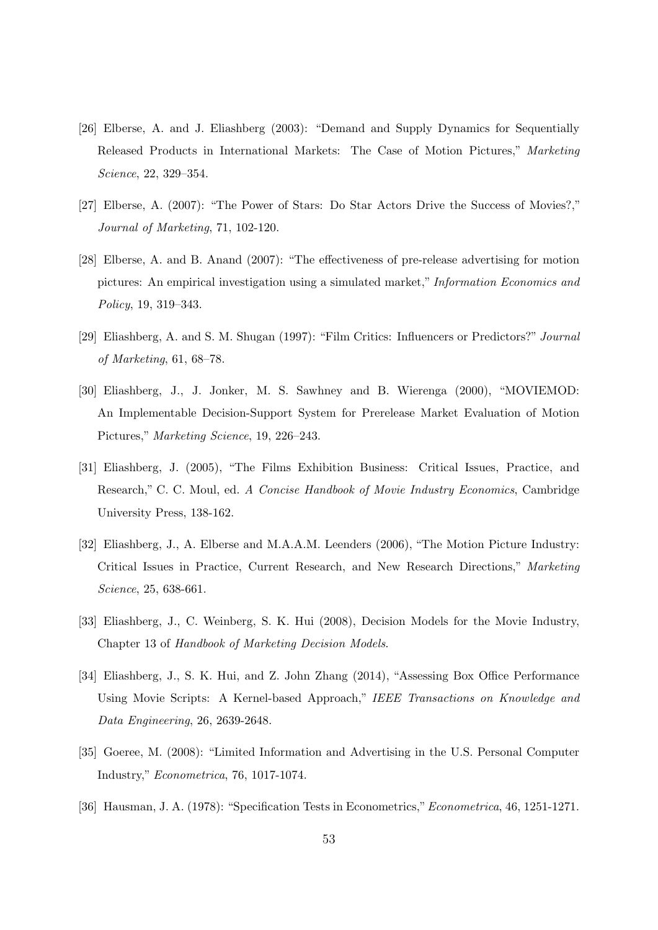- [26] Elberse, A. and J. Eliashberg (2003): "Demand and Supply Dynamics for Sequentially Released Products in International Markets: The Case of Motion Pictures," Marketing Science, 22, 329–354.
- [27] Elberse, A. (2007): "The Power of Stars: Do Star Actors Drive the Success of Movies?," Journal of Marketing, 71, 102-120.
- [28] Elberse, A. and B. Anand (2007): "The effectiveness of pre-release advertising for motion pictures: An empirical investigation using a simulated market," Information Economics and Policy, 19, 319–343.
- [29] Eliashberg, A. and S. M. Shugan (1997): "Film Critics: Influencers or Predictors?" Journal of Marketing, 61, 68–78.
- [30] Eliashberg, J., J. Jonker, M. S. Sawhney and B. Wierenga (2000), "MOVIEMOD: An Implementable Decision-Support System for Prerelease Market Evaluation of Motion Pictures," Marketing Science, 19, 226–243.
- [31] Eliashberg, J. (2005), "The Films Exhibition Business: Critical Issues, Practice, and Research," C. C. Moul, ed. A Concise Handbook of Movie Industry Economics, Cambridge University Press, 138-162.
- [32] Eliashberg, J., A. Elberse and M.A.A.M. Leenders (2006), "The Motion Picture Industry: Critical Issues in Practice, Current Research, and New Research Directions," Marketing Science, 25, 638-661.
- [33] Eliashberg, J., C. Weinberg, S. K. Hui (2008), Decision Models for the Movie Industry, Chapter 13 of Handbook of Marketing Decision Models.
- [34] Eliashberg, J., S. K. Hui, and Z. John Zhang (2014), "Assessing Box Office Performance Using Movie Scripts: A Kernel-based Approach," IEEE Transactions on Knowledge and Data Engineering, 26, 2639-2648.
- [35] Goeree, M. (2008): "Limited Information and Advertising in the U.S. Personal Computer Industry," Econometrica, 76, 1017-1074.
- [36] Hausman, J. A. (1978): "Specification Tests in Econometrics,"Econometrica, 46, 1251-1271.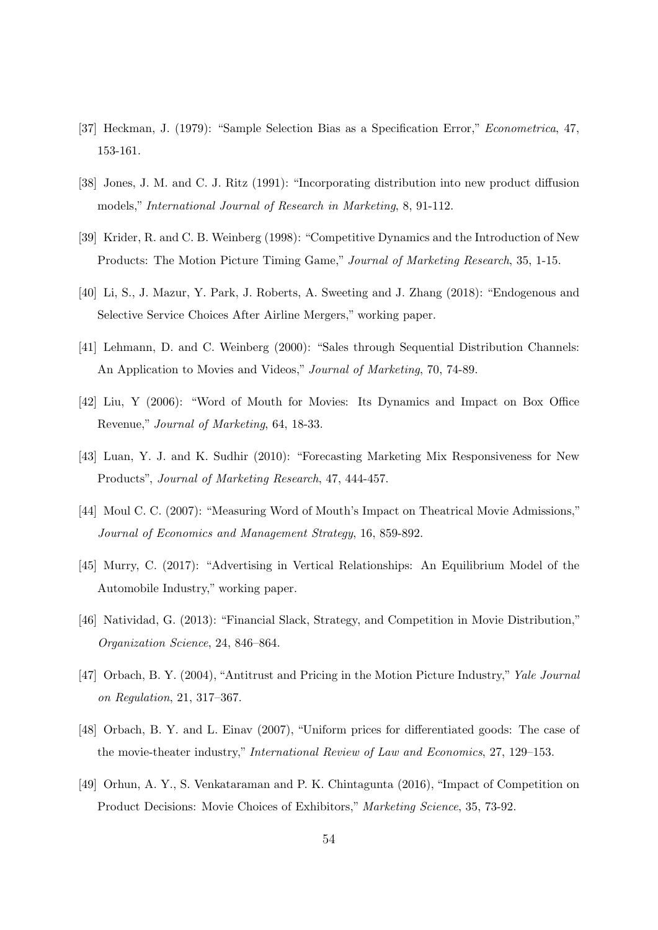- [37] Heckman, J. (1979): "Sample Selection Bias as a Specification Error," Econometrica, 47, 153-161.
- [38] Jones, J. M. and C. J. Ritz (1991): "Incorporating distribution into new product diffusion models," International Journal of Research in Marketing, 8, 91-112.
- [39] Krider, R. and C. B. Weinberg (1998): "Competitive Dynamics and the Introduction of New Products: The Motion Picture Timing Game," Journal of Marketing Research, 35, 1-15.
- [40] Li, S., J. Mazur, Y. Park, J. Roberts, A. Sweeting and J. Zhang (2018): "Endogenous and Selective Service Choices After Airline Mergers," working paper.
- [41] Lehmann, D. and C. Weinberg (2000): "Sales through Sequential Distribution Channels: An Application to Movies and Videos," Journal of Marketing, 70, 74-89.
- [42] Liu, Y (2006): "Word of Mouth for Movies: Its Dynamics and Impact on Box Office Revenue," Journal of Marketing, 64, 18-33.
- [43] Luan, Y. J. and K. Sudhir (2010): "Forecasting Marketing Mix Responsiveness for New Products", Journal of Marketing Research, 47, 444-457.
- [44] Moul C. C. (2007): "Measuring Word of Mouth's Impact on Theatrical Movie Admissions," Journal of Economics and Management Strategy, 16, 859-892.
- [45] Murry, C. (2017): "Advertising in Vertical Relationships: An Equilibrium Model of the Automobile Industry," working paper.
- [46] Natividad, G. (2013): "Financial Slack, Strategy, and Competition in Movie Distribution," Organization Science, 24, 846–864.
- [47] Orbach, B. Y. (2004), "Antitrust and Pricing in the Motion Picture Industry," Yale Journal on Regulation, 21, 317–367.
- [48] Orbach, B. Y. and L. Einav (2007), "Uniform prices for differentiated goods: The case of the movie-theater industry," International Review of Law and Economics, 27, 129–153.
- [49] Orhun, A. Y., S. Venkataraman and P. K. Chintagunta (2016), "Impact of Competition on Product Decisions: Movie Choices of Exhibitors," Marketing Science, 35, 73-92.